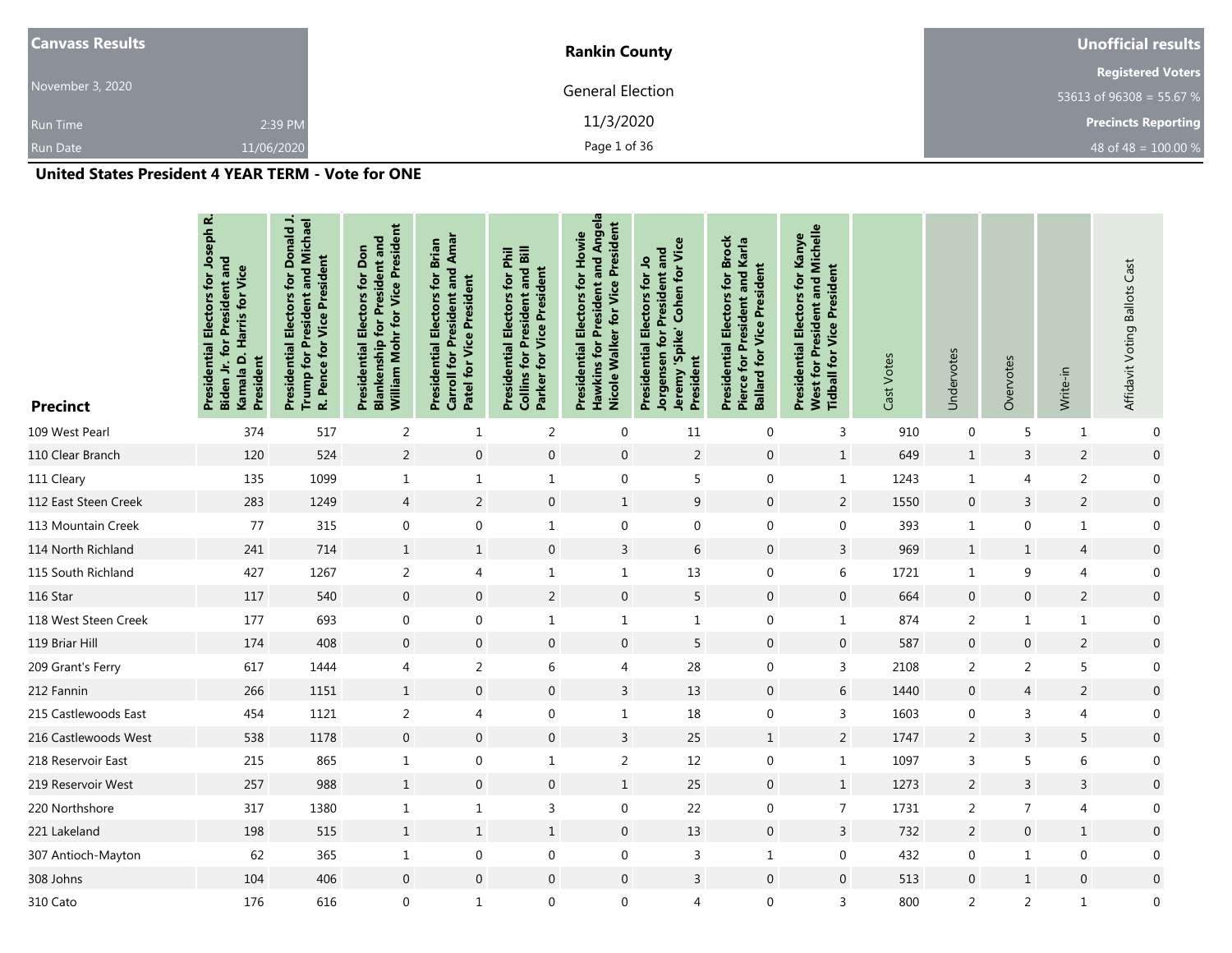| <b>Canvass Results</b> |            | <b>Rankin County</b>    | Unofficial results         |  |  |
|------------------------|------------|-------------------------|----------------------------|--|--|
|                        |            |                         | <b>Registered Voters</b>   |  |  |
| November 3, 2020       |            | <b>General Election</b> | 53613 of 96308 = 55.67 %   |  |  |
| <b>Run Time</b>        | 2:39 PM    | 11/3/2020               | <b>Precincts Reporting</b> |  |  |
| <b>Run Date</b>        | 11/06/2020 | Page 1 of 36            | 48 of 48 = $100.00\%$      |  |  |

| <b>Precinct</b>      | Electors for Joseph R.<br>and<br>Kamala D. Harris for Vice<br>č<br>Presidential<br>President<br>Biden. | Presidential Electors for Donald J.<br>Trump for President and Michael<br>R. Pence for Vice President | William Mohr for Vice President<br><b>Blankenship for President and</b><br>Presidential Electors for Don | Carroll for President and Amar<br><b>Presidential Electors for Brian</b><br>Patel for Vice President | <b>Collins for President and Bill</b><br>Presidential Electors for Phil<br>Parker for Vice President | Angela<br>Nicole Walker for Vice President<br>Presidential Electors for Howie<br>and<br>President<br>$f$ or<br>Hawkins | Jeremy 'Spike' Cohen for Vice<br>Jorgensen for President and<br>Electors for Jo<br>Presidential<br>President | <b>Presidential Electors for Brock</b><br>Pierce for President and Karla<br><b>Ballard for Vice President</b> | West for President and Michelle<br>Presidential Electors for Kanye<br>President<br><b>Tidball for Vice</b> | Cast Votes | Undervotes     | Overvotes        | Write-in       | Affidavit Voting Ballots Cast |
|----------------------|--------------------------------------------------------------------------------------------------------|-------------------------------------------------------------------------------------------------------|----------------------------------------------------------------------------------------------------------|------------------------------------------------------------------------------------------------------|------------------------------------------------------------------------------------------------------|------------------------------------------------------------------------------------------------------------------------|--------------------------------------------------------------------------------------------------------------|---------------------------------------------------------------------------------------------------------------|------------------------------------------------------------------------------------------------------------|------------|----------------|------------------|----------------|-------------------------------|
| 109 West Pearl       | 374                                                                                                    | 517                                                                                                   | $\overline{2}$                                                                                           | $\mathbf{1}$                                                                                         | $\overline{2}$                                                                                       | $\boldsymbol{0}$                                                                                                       | 11                                                                                                           | $\mathbf 0$                                                                                                   | 3                                                                                                          | 910        | $\mathbf 0$    | 5                | $\mathbf{1}$   | 0                             |
| 110 Clear Branch     | 120                                                                                                    | 524                                                                                                   | $\sqrt{2}$                                                                                               | $\boldsymbol{0}$                                                                                     | $\boldsymbol{0}$                                                                                     | $\boldsymbol{0}$                                                                                                       | $\sqrt{2}$                                                                                                   | $\boldsymbol{0}$                                                                                              | $\mathbf{1}$                                                                                               | 649        | $\mathbf{1}$   | $\mathsf 3$      | $\overline{2}$ | $\boldsymbol{0}$              |
| 111 Cleary           | 135                                                                                                    | 1099                                                                                                  | $\mathbf{1}$                                                                                             | $\mathbf{1}$                                                                                         | $\mathbf{1}$                                                                                         | $\boldsymbol{0}$                                                                                                       | 5                                                                                                            | $\mathbf 0$                                                                                                   | $\mathbf{1}$                                                                                               | 1243       | $\mathbf{1}$   | 4                | $\overline{2}$ | 0                             |
| 112 East Steen Creek | 283                                                                                                    | 1249                                                                                                  | $\overline{4}$                                                                                           | $\overline{2}$                                                                                       | $\mathbf 0$                                                                                          | $\mathbf{1}$                                                                                                           | 9                                                                                                            | $\mathbf 0$                                                                                                   | $\overline{2}$                                                                                             | 1550       | $\mathbf{0}$   | 3                | 2              | $\boldsymbol{0}$              |
| 113 Mountain Creek   | 77                                                                                                     | 315                                                                                                   | $\boldsymbol{0}$                                                                                         | $\mathbf 0$                                                                                          | $\mathbf{1}$                                                                                         | $\boldsymbol{0}$                                                                                                       | $\mathbf 0$                                                                                                  | $\mathbf 0$                                                                                                   | $\mathbf 0$                                                                                                | 393        | $\mathbf{1}$   | $\mathbf 0$      | $\mathbf{1}$   | $\mathbf 0$                   |
| 114 North Richland   | 241                                                                                                    | 714                                                                                                   | $\mathbf{1}$                                                                                             | $\mathbf{1}$                                                                                         | $\mathbf{0}$                                                                                         | $\overline{3}$                                                                                                         | 6                                                                                                            | $\mathbf 0$                                                                                                   | $\overline{3}$                                                                                             | 969        | $\mathbf{1}$   | $\mathbf{1}$     | $\overline{4}$ | $\boldsymbol{0}$              |
| 115 South Richland   | 427                                                                                                    | 1267                                                                                                  | 2                                                                                                        | 4                                                                                                    | $\mathbf{1}$                                                                                         | $\mathbf{1}$                                                                                                           | 13                                                                                                           | $\mathbf 0$                                                                                                   | 6                                                                                                          | 1721       | $\mathbf{1}$   | 9                | 4              | 0                             |
| 116 Star             | 117                                                                                                    | 540                                                                                                   | $\mathbf 0$                                                                                              | $\mathbf{0}$                                                                                         | $\overline{2}$                                                                                       | $\mathbf 0$                                                                                                            | 5                                                                                                            | $\mathbf 0$                                                                                                   | $\mathbf{0}$                                                                                               | 664        | $\mathbf{0}$   | $\mathbf 0$      | $\overline{2}$ | $\boldsymbol{0}$              |
| 118 West Steen Creek | 177                                                                                                    | 693                                                                                                   | $\mathbf 0$                                                                                              | $\mathbf 0$                                                                                          | $\mathbf{1}$                                                                                         | $\mathbf{1}$                                                                                                           | $\mathbf{1}$                                                                                                 | $\mathbf 0$                                                                                                   | $\mathbf{1}$                                                                                               | 874        | $\overline{2}$ | 1                | $\mathbf{1}$   | $\mathbf 0$                   |
| 119 Briar Hill       | 174                                                                                                    | 408                                                                                                   | $\boldsymbol{0}$                                                                                         | $\mathbf 0$                                                                                          | $\mathbf{0}$                                                                                         | $\mathbf 0$                                                                                                            | 5                                                                                                            | $\mathbf 0$                                                                                                   | $\mathbf 0$                                                                                                | 587        | $\mathbf{0}$   | $\boldsymbol{0}$ | $\overline{2}$ | $\boldsymbol{0}$              |
| 209 Grant's Ferry    | 617                                                                                                    | 1444                                                                                                  | $\overline{4}$                                                                                           | $\overline{2}$                                                                                       | 6                                                                                                    | 4                                                                                                                      | 28                                                                                                           | $\boldsymbol{0}$                                                                                              | 3                                                                                                          | 2108       | $\overline{2}$ | $\overline{2}$   | 5              | $\boldsymbol{0}$              |
| 212 Fannin           | 266                                                                                                    | 1151                                                                                                  | $\mathbf{1}$                                                                                             | $\mathbf{0}$                                                                                         | $\mathbf{0}$                                                                                         | $\overline{3}$                                                                                                         | 13                                                                                                           | $\mathbf{0}$                                                                                                  | 6                                                                                                          | 1440       | $\mathbf 0$    | 4                | $\overline{2}$ | $\boldsymbol{0}$              |
| 215 Castlewoods East | 454                                                                                                    | 1121                                                                                                  | $\overline{2}$                                                                                           | 4                                                                                                    | 0                                                                                                    | $\mathbf{1}$                                                                                                           | 18                                                                                                           | $\boldsymbol{0}$                                                                                              | $\mathsf{3}$                                                                                               | 1603       | $\mathbf 0$    | 3                | 4              | $\overline{0}$                |
| 216 Castlewoods West | 538                                                                                                    | 1178                                                                                                  | $\boldsymbol{0}$                                                                                         | $\mathbf 0$                                                                                          | $\mathbf{0}$                                                                                         | $\overline{3}$                                                                                                         | 25                                                                                                           | $\mathbf{1}$                                                                                                  | $\overline{2}$                                                                                             | 1747       | $\overline{2}$ | 3                | 5              | $\boldsymbol{0}$              |
| 218 Reservoir East   | 215                                                                                                    | 865                                                                                                   | $\mathbf{1}$                                                                                             | $\mathbf 0$                                                                                          | $\mathbf{1}$                                                                                         | $\overline{2}$                                                                                                         | 12                                                                                                           | $\mathbf 0$                                                                                                   | $\mathbf{1}$                                                                                               | 1097       | 3              | 5                | 6              | $\boldsymbol{0}$              |
| 219 Reservoir West   | 257                                                                                                    | 988                                                                                                   | $\mathbf{1}$                                                                                             | $\mathbf 0$                                                                                          | $\mathbf 0$                                                                                          | $\mathbf{1}$                                                                                                           | 25                                                                                                           | $\boldsymbol{0}$                                                                                              | $\mathbf{1}$                                                                                               | 1273       | $\overline{2}$ | 3                | 3              | $\boldsymbol{0}$              |
| 220 Northshore       | 317                                                                                                    | 1380                                                                                                  | $\mathbf{1}$                                                                                             | $\mathbf{1}$                                                                                         | 3                                                                                                    | $\boldsymbol{0}$                                                                                                       | 22                                                                                                           | $\mathbf 0$                                                                                                   | $\overline{7}$                                                                                             | 1731       | 2              | $\overline{7}$   | 4              | $\Omega$                      |
| 221 Lakeland         | 198                                                                                                    | 515                                                                                                   | $\mathbf{1}$                                                                                             | $\mathbf{1}$                                                                                         | $\mathbf{1}$                                                                                         | $\mathbf 0$                                                                                                            | 13                                                                                                           | $\mathbf 0$                                                                                                   | $\overline{3}$                                                                                             | 732        | $\overline{2}$ | $\boldsymbol{0}$ | $\mathbf{1}$   | $\boldsymbol{0}$              |
| 307 Antioch-Mayton   | 62                                                                                                     | 365                                                                                                   | $\mathbf{1}$                                                                                             | $\mathbf 0$                                                                                          | 0                                                                                                    | $\boldsymbol{0}$                                                                                                       | 3                                                                                                            | $\mathbf{1}$                                                                                                  | $\mathbf 0$                                                                                                | 432        | $\mathbf 0$    | 1                | 0              | $\mathbf 0$                   |
| 308 Johns            | 104                                                                                                    | 406                                                                                                   | $\mathbf 0$                                                                                              | $\mathbf 0$                                                                                          | $\mathbf 0$                                                                                          | $\mathbf 0$                                                                                                            | $\overline{3}$                                                                                               | $\boldsymbol{0}$                                                                                              | $\mathbf{0}$                                                                                               | 513        | $\mathbf 0$    | $\mathbf{1}$     | $\mathbf 0$    | $\boldsymbol{0}$              |
| 310 Cato             | 176                                                                                                    | 616                                                                                                   | $\mathbf 0$                                                                                              | $\mathbf{1}$                                                                                         | $\mathbf 0$                                                                                          | $\boldsymbol{0}$                                                                                                       | 4                                                                                                            | $\mathbf 0$                                                                                                   | $\overline{3}$                                                                                             | 800        | 2              | $\overline{2}$   | $\mathbf{1}$   | $\mathbf{0}$                  |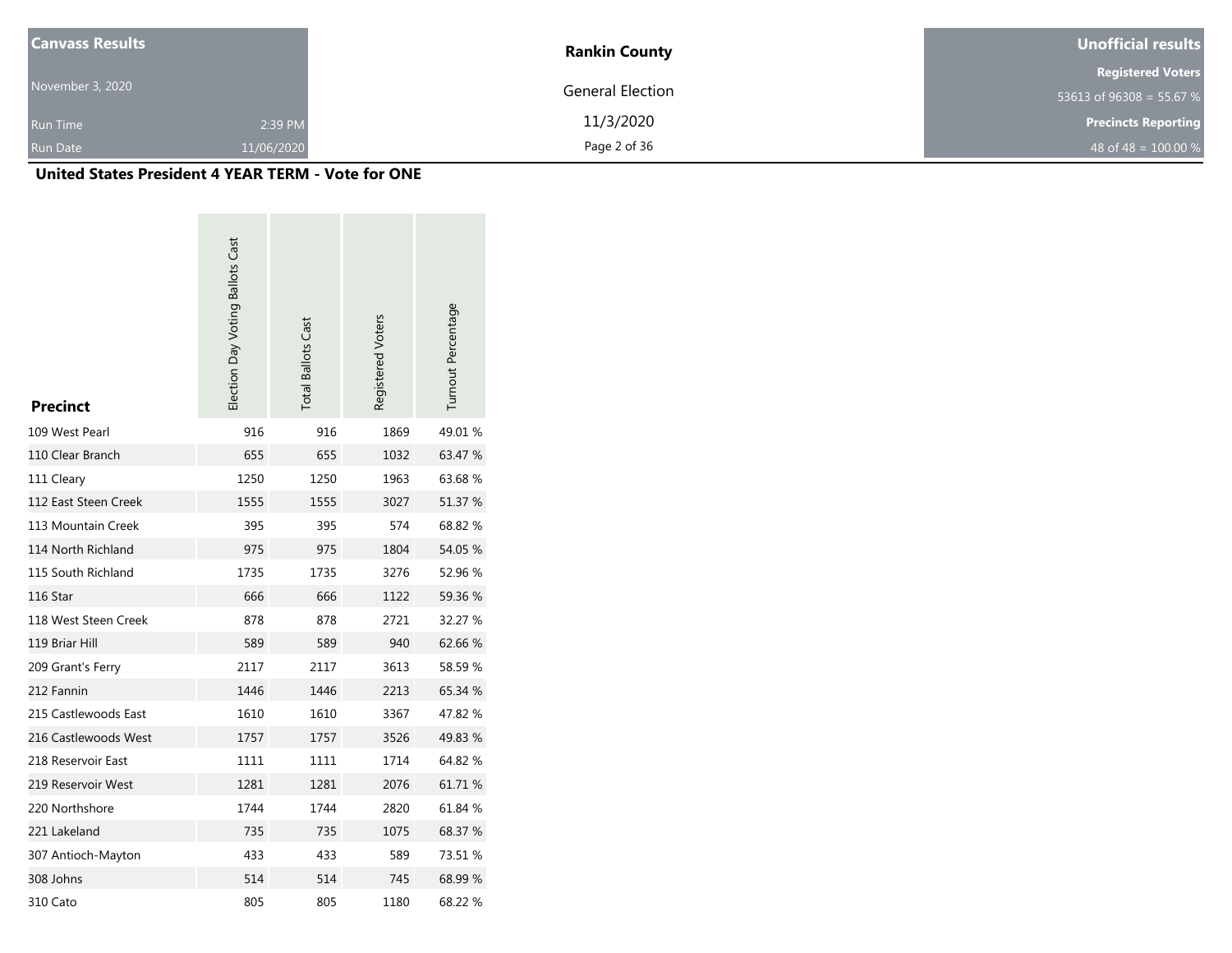| <b>Canvass Results</b> |            | <b>Rankin County</b>    | Unofficial results         |  |  |
|------------------------|------------|-------------------------|----------------------------|--|--|
|                        |            |                         | <b>Registered Voters</b>   |  |  |
| November 3, 2020       |            | <b>General Election</b> | 53613 of 96308 = 55.67 %   |  |  |
| <b>Run Time</b>        | 2:39 PM    | 11/3/2020               | <b>Precincts Reporting</b> |  |  |
| Run Date               | 11/06/2020 | Page 2 of 36            | 48 of 48 = $100.00\%$      |  |  |

| <b>Precinct</b>      | Election Day Voting Ballots Cast | <b>Total Ballots Cast</b> | Registered Voters | Turnout Percentage |
|----------------------|----------------------------------|---------------------------|-------------------|--------------------|
| 109 West Pearl       | 916                              | 916                       | 1869              | 49.01%             |
| 110 Clear Branch     | 655                              | 655                       | 1032              | 63.47 %            |
| 111 Cleary           | 1250                             | 1250                      | 1963              | 63.68%             |
| 112 East Steen Creek | 1555                             | 1555                      | 3027              | 51.37 %            |
| 113 Mountain Creek   | 395                              | 395                       | 574               | 68.82 %            |
| 114 North Richland   | 975                              | 975                       | 1804              | 54.05 %            |
| 115 South Richland   | 1735                             | 1735                      | 3276              | 52.96 %            |
| 116 Star             | 666                              | 666                       | 1122              | 59.36 %            |
| 118 West Steen Creek | 878                              | 878                       | 2721              | 32.27 %            |
| 119 Briar Hill       | 589                              | 589                       | 940               | 62.66%             |
| 209 Grant's Ferry    | 2117                             | 2117                      | 3613              | 58.59%             |
| 212 Fannin           | 1446                             | 1446                      | 2213              | 65.34 %            |
| 215 Castlewoods East | 1610                             | 1610                      | 3367              | 47.82%             |
| 216 Castlewoods West | 1757                             | 1757                      | 3526              | 49.83 %            |
| 218 Reservoir East   | 1111                             | 1111                      | 1714              | 64.82%             |
| 219 Reservoir West   | 1281                             | 1281                      | 2076              | 61.71 %            |
| 220 Northshore       | 1744                             | 1744                      | 2820              | 61.84 %            |
| 221 Lakeland         | 735                              | 735                       | 1075              | 68.37 %            |
| 307 Antioch-Mayton   | 433                              | 433                       | 589               | 73.51 %            |
| 308 Johns            | 514                              | 514                       | 745               | 68.99 %            |
| 310 Cato             | 805                              | 805                       | 1180              | 68.22 %            |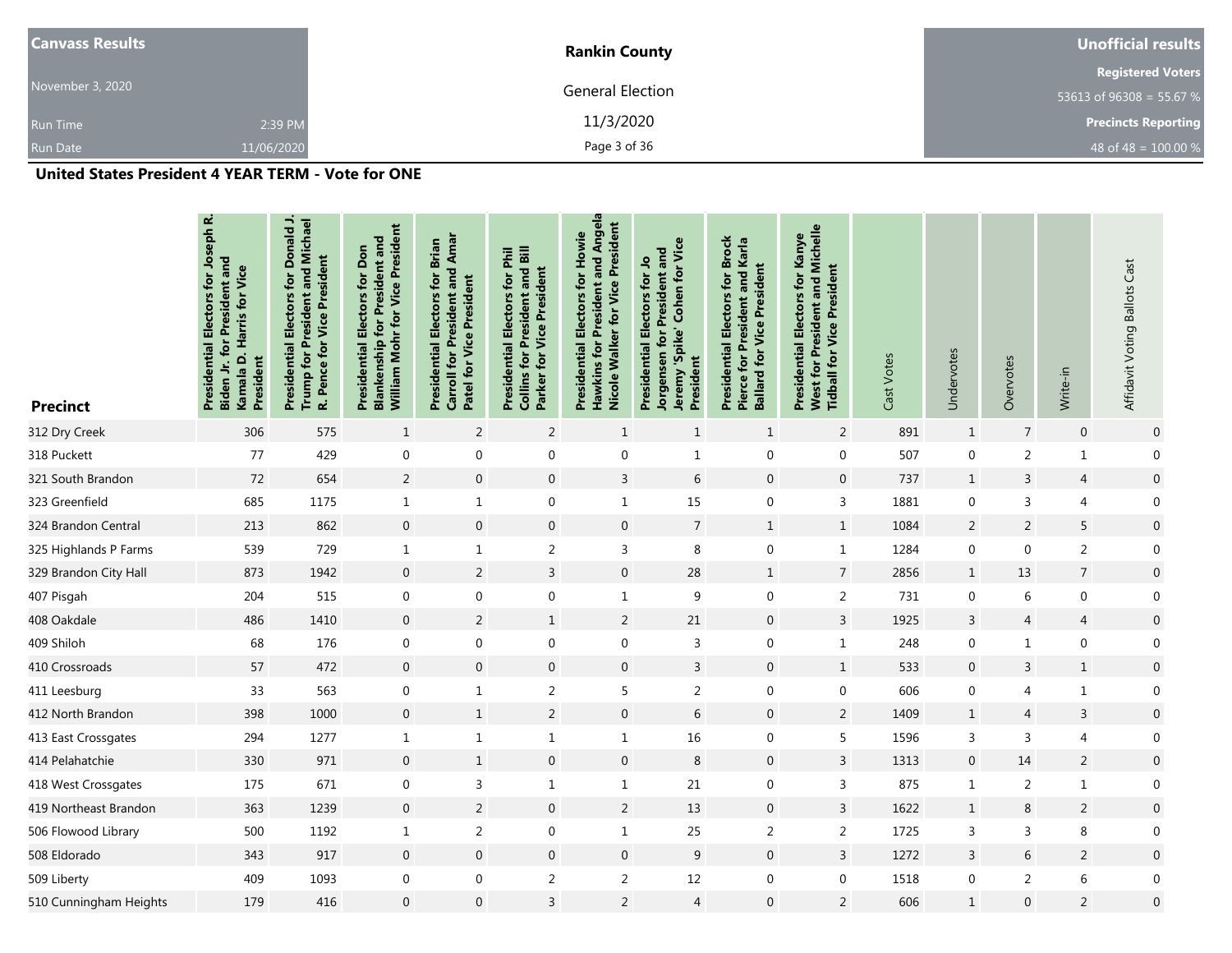| <b>Canvass Results</b> |            | <b>Rankin County</b> | Unofficial results         |  |  |
|------------------------|------------|----------------------|----------------------------|--|--|
|                        |            |                      | <b>Registered Voters</b>   |  |  |
| November 3, 2020       |            | General Election     | 53613 of 96308 = 55.67 %   |  |  |
| <b>Run Time</b>        | 2:39 PM    | 11/3/2020            | <b>Precincts Reporting</b> |  |  |
| <b>Run Date</b>        | 11/06/2020 | Page 3 of 36         | 48 of 48 = $100.00 %$      |  |  |

| <b>Precinct</b>        | Presidential Electors for Joseph R.<br>for President and<br>Kamala D. Harris for Vice<br>President<br>Biden Jr. | ∽.<br>Trump for President and Michael<br><b>Presidential Electors for Donald</b><br>R. Pence for Vice President | William Mohr for Vice President<br><b>Blankenship for President and</b><br><b>Presidential Electors for Don</b> | <b>Carroll for President and Amar</b><br>Presidential Electors for Brian<br><b>Patel for Vice President</b> | <b>Collins for President and Bill</b><br>Presidential Electors for Phil<br><b>Parker for Vice President</b> | and Angela<br>Nicole Walker for Vice President<br>Presidential Electors for Howie<br><b>Hawkins for President</b> | Jeremy 'Spike' Cohen for Vice<br>Jorgensen for President and<br>Presidential Electors for Jo<br>President | <b>Presidential Electors for Brock</b><br>Pierce for President and Karla<br><b>Ballard for Vice President</b> | <b>West for President and Michelle</b><br>Presidential Electors for Kanye<br><b>Tidball for Vice President</b> | Cast Votes | Undervotes       | Overvotes      | Write-in         | Affidavit Voting Ballots Cast |
|------------------------|-----------------------------------------------------------------------------------------------------------------|-----------------------------------------------------------------------------------------------------------------|-----------------------------------------------------------------------------------------------------------------|-------------------------------------------------------------------------------------------------------------|-------------------------------------------------------------------------------------------------------------|-------------------------------------------------------------------------------------------------------------------|-----------------------------------------------------------------------------------------------------------|---------------------------------------------------------------------------------------------------------------|----------------------------------------------------------------------------------------------------------------|------------|------------------|----------------|------------------|-------------------------------|
| 312 Dry Creek          | 306                                                                                                             | 575                                                                                                             | $\mathbf{1}$                                                                                                    | $\overline{2}$                                                                                              | $\overline{2}$                                                                                              | $\mathbf{1}$                                                                                                      | $\mathbf{1}$                                                                                              | $\mathbf{1}$                                                                                                  | 2                                                                                                              | 891        | $\mathbf{1}$     | $\overline{7}$ | $\mathbf{0}$     | $\boldsymbol{0}$              |
| 318 Puckett            | 77                                                                                                              | 429                                                                                                             | $\mathbf 0$                                                                                                     | 0                                                                                                           | $\mathbf 0$                                                                                                 | 0                                                                                                                 | $\mathbf{1}$                                                                                              | $\boldsymbol{0}$                                                                                              | $\boldsymbol{0}$                                                                                               | 507        | $\mathbf 0$      | $\overline{2}$ | $\mathbf{1}$     | $\boldsymbol{0}$              |
| 321 South Brandon      | 72                                                                                                              | 654                                                                                                             | 2                                                                                                               | $\mathbf 0$                                                                                                 | $\boldsymbol{0}$                                                                                            | $\mathsf{3}$                                                                                                      | 6                                                                                                         | $\boldsymbol{0}$                                                                                              | $\mathbf 0$                                                                                                    | 737        | $\mathbf{1}$     | 3              | 4                | $\boldsymbol{0}$              |
| 323 Greenfield         | 685                                                                                                             | 1175                                                                                                            | $\mathbf{1}$                                                                                                    | $\mathbf{1}$                                                                                                | $\mathbf 0$                                                                                                 | $\mathbf{1}$                                                                                                      | 15                                                                                                        | $\mathbf 0$                                                                                                   | $\overline{3}$                                                                                                 | 1881       | $\mathbf 0$      | $\overline{3}$ | 4                | $\boldsymbol{0}$              |
| 324 Brandon Central    | 213                                                                                                             | 862                                                                                                             | $\mathbf 0$                                                                                                     | $\mathbf 0$                                                                                                 | $\boldsymbol{0}$                                                                                            | $\mathbf 0$                                                                                                       | $\overline{7}$                                                                                            | $\mathbf{1}$                                                                                                  | $1\,$                                                                                                          | 1084       | $\overline{2}$   | $\overline{2}$ | 5                | $\boldsymbol{0}$              |
| 325 Highlands P Farms  | 539                                                                                                             | 729                                                                                                             | $\mathbf{1}$                                                                                                    | $\mathbf{1}$                                                                                                | $\sqrt{2}$                                                                                                  | 3                                                                                                                 | 8                                                                                                         | $\mathbf 0$                                                                                                   | $\mathbf{1}$                                                                                                   | 1284       | $\mathbf 0$      | $\Omega$       | $\overline{2}$   | $\boldsymbol{0}$              |
| 329 Brandon City Hall  | 873                                                                                                             | 1942                                                                                                            | $\overline{0}$                                                                                                  | $\overline{2}$                                                                                              | $\mathsf{3}$                                                                                                | $\boldsymbol{0}$                                                                                                  | 28                                                                                                        | $\mathbf{1}$                                                                                                  | $\overline{7}$                                                                                                 | 2856       | $\mathbf{1}$     | 13             | $\overline{7}$   | $\boldsymbol{0}$              |
| 407 Pisgah             | 204                                                                                                             | 515                                                                                                             | $\mathbf 0$                                                                                                     | 0                                                                                                           | $\mathbf 0$                                                                                                 | $\mathbf{1}$                                                                                                      | 9                                                                                                         | $\mathbf 0$                                                                                                   | $\overline{2}$                                                                                                 | 731        | $\mathbf 0$      | 6              | $\boldsymbol{0}$ | $\boldsymbol{0}$              |
| 408 Oakdale            | 486                                                                                                             | 1410                                                                                                            | $\overline{0}$                                                                                                  | $\overline{2}$                                                                                              | $\mathbf{1}$                                                                                                | $\overline{2}$                                                                                                    | 21                                                                                                        | $\pmb{0}$                                                                                                     | $\mathsf{3}$                                                                                                   | 1925       | 3                | 4              | 4                | $\pmb{0}$                     |
| 409 Shiloh             | 68                                                                                                              | 176                                                                                                             | $\boldsymbol{0}$                                                                                                | 0                                                                                                           | $\boldsymbol{0}$                                                                                            | 0                                                                                                                 | 3                                                                                                         | $\boldsymbol{0}$                                                                                              | $\mathbf 1$                                                                                                    | 248        | $\mathbf 0$      | $\mathbf{1}$   | $\boldsymbol{0}$ | $\boldsymbol{0}$              |
| 410 Crossroads         | 57                                                                                                              | 472                                                                                                             | $\boldsymbol{0}$                                                                                                | $\boldsymbol{0}$                                                                                            | $\boldsymbol{0}$                                                                                            | $\boldsymbol{0}$                                                                                                  | $\mathsf{3}$                                                                                              | $\boldsymbol{0}$                                                                                              | $1\,$                                                                                                          | 533        | $\boldsymbol{0}$ | 3              | $\mathbf{1}$     | $\boldsymbol{0}$              |
| 411 Leesburg           | 33                                                                                                              | 563                                                                                                             | $\mathbf 0$                                                                                                     | $\mathbf{1}$                                                                                                | $\sqrt{2}$                                                                                                  | 5                                                                                                                 | $\overline{2}$                                                                                            | $\mathbf 0$                                                                                                   | $\mathbf 0$                                                                                                    | 606        | $\mathbf 0$      | 4              | $\mathbf{1}$     | $\boldsymbol{0}$              |
| 412 North Brandon      | 398                                                                                                             | 1000                                                                                                            | $\overline{0}$                                                                                                  | $\mathbf{1}$                                                                                                | $\sqrt{2}$                                                                                                  | $\boldsymbol{0}$                                                                                                  | $\,$ 6 $\,$                                                                                               | $\boldsymbol{0}$                                                                                              | $\sqrt{2}$                                                                                                     | 1409       | $\mathbf{1}$     | $\overline{4}$ | $\mathsf{3}$     | $\boldsymbol{0}$              |
| 413 East Crossgates    | 294                                                                                                             | 1277                                                                                                            | $\mathbf{1}$                                                                                                    | $\mathbf{1}$                                                                                                | $\mathbf{1}$                                                                                                | $\mathbf 1$                                                                                                       | 16                                                                                                        | $\boldsymbol{0}$                                                                                              | 5                                                                                                              | 1596       | 3                | 3              | 4                | $\boldsymbol{0}$              |
| 414 Pelahatchie        | 330                                                                                                             | 971                                                                                                             | $\overline{0}$                                                                                                  | $\mathbf{1}$                                                                                                | $\boldsymbol{0}$                                                                                            | $\boldsymbol{0}$                                                                                                  | $\,8\,$                                                                                                   | $\boldsymbol{0}$                                                                                              | $\overline{3}$                                                                                                 | 1313       | $\mathbf 0$      | 14             | $\overline{2}$   | $\boldsymbol{0}$              |
| 418 West Crossgates    | 175                                                                                                             | 671                                                                                                             | $\mathbf 0$                                                                                                     | 3                                                                                                           | $\mathbf{1}$                                                                                                | $\mathbf{1}$                                                                                                      | 21                                                                                                        | $\boldsymbol{0}$                                                                                              | 3                                                                                                              | 875        | $\mathbf{1}$     | $\overline{2}$ | $\mathbf{1}$     | $\boldsymbol{0}$              |
| 419 Northeast Brandon  | 363                                                                                                             | 1239                                                                                                            | $\mathbf 0$                                                                                                     | $\overline{2}$                                                                                              | $\mathbf 0$                                                                                                 | $\overline{2}$                                                                                                    | 13                                                                                                        | $\mathbf 0$                                                                                                   | $\overline{3}$                                                                                                 | 1622       | $\mathbf{1}$     | 8              | $\overline{2}$   | $\boldsymbol{0}$              |
| 506 Flowood Library    | 500                                                                                                             | 1192                                                                                                            | $\mathbf{1}$                                                                                                    | 2                                                                                                           | $\boldsymbol{0}$                                                                                            | $\mathbf{1}$                                                                                                      | 25                                                                                                        | $\overline{2}$                                                                                                | $\overline{2}$                                                                                                 | 1725       | 3                | 3              | 8                | $\boldsymbol{0}$              |
| 508 Eldorado           | 343                                                                                                             | 917                                                                                                             | $\mathbf 0$                                                                                                     | $\mathbf 0$                                                                                                 | $\mathbf 0$                                                                                                 | $\mathbf 0$                                                                                                       | 9                                                                                                         | $\mathbf 0$                                                                                                   | $\overline{3}$                                                                                                 | 1272       | 3                | 6              | $\overline{2}$   | $\boldsymbol{0}$              |
| 509 Liberty            | 409                                                                                                             | 1093                                                                                                            | $\mathbf 0$                                                                                                     | 0                                                                                                           | $\sqrt{2}$                                                                                                  | 2                                                                                                                 | 12                                                                                                        | $\mathbf 0$                                                                                                   | $\mathbf 0$                                                                                                    | 1518       | 0                | $\overline{2}$ | 6                | $\boldsymbol{0}$              |
| 510 Cunningham Heights | 179                                                                                                             | 416                                                                                                             | $\mathbf 0$                                                                                                     | 0                                                                                                           | $\mathsf{3}$                                                                                                | $\overline{2}$                                                                                                    | $\overline{4}$                                                                                            | $\mathbf{0}$                                                                                                  | $\sqrt{2}$                                                                                                     | 606        | $\mathbf{1}$     | $\overline{0}$ | $\sqrt{2}$       | $\mathbf 0$                   |
|                        |                                                                                                                 |                                                                                                                 |                                                                                                                 |                                                                                                             |                                                                                                             |                                                                                                                   |                                                                                                           |                                                                                                               |                                                                                                                |            |                  |                |                  |                               |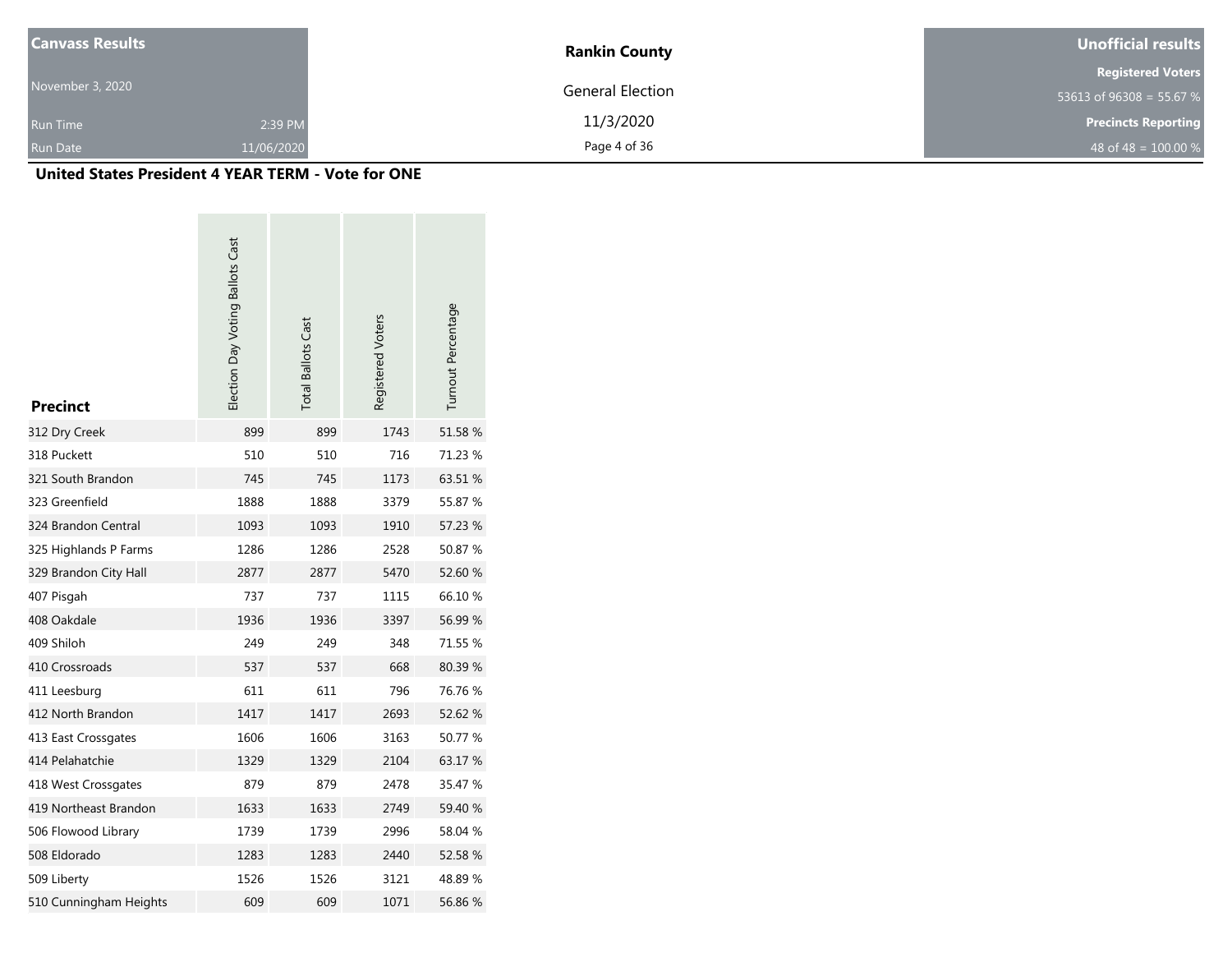| <b>Canvass Results</b> |            | <b>Rankin County</b>    | <b>Unofficial results</b>  |  |  |
|------------------------|------------|-------------------------|----------------------------|--|--|
|                        |            |                         | <b>Registered Voters</b>   |  |  |
| November 3, 2020       |            | <b>General Election</b> | 53613 of $96308 = 55.67 %$ |  |  |
| <b>Run Time</b>        | 2:39 PM    | 11/3/2020               | <b>Precincts Reporting</b> |  |  |
| <b>Run Date</b>        | 11/06/2020 | Page 4 of 36            | 48 of 48 = $100.00 %$      |  |  |

| <b>Precinct</b>        | Election Day Voting Ballots Cast | <b>Total Ballots Cast</b> | Registered Voters | Turnout Percentage |
|------------------------|----------------------------------|---------------------------|-------------------|--------------------|
| 312 Dry Creek          | 899                              | 899                       | 1743              | 51.58 %            |
| 318 Puckett            | 510                              | 510                       | 716               | 71.23 %            |
| 321 South Brandon      | 745                              | 745                       | 1173              | 63.51 %            |
| 323 Greenfield         | 1888                             | 1888                      | 3379              | 55.87 %            |
| 324 Brandon Central    | 1093                             | 1093                      | 1910              | 57.23 %            |
| 325 Highlands P Farms  | 1286                             | 1286                      | 2528              | 50.87 %            |
| 329 Brandon City Hall  | 2877                             | 2877                      | 5470              | 52.60 %            |
| 407 Pisgah             | 737                              | 737                       | 1115              | 66.10%             |
| 408 Oakdale            | 1936                             | 1936                      | 3397              | 56.99 %            |
| 409 Shiloh             | 249                              | 249                       | 348               | 71.55 %            |
| 410 Crossroads         | 537                              | 537                       | 668               | 80.39%             |
| 411 Leesburg           | 611                              | 611                       | 796               | 76.76 %            |
| 412 North Brandon      | 1417                             | 1417                      | 2693              | 52.62 %            |
| 413 East Crossgates    | 1606                             | 1606                      | 3163              | 50.77 %            |
| 414 Pelahatchie        | 1329                             | 1329                      | 2104              | 63.17 %            |
| 418 West Crossgates    | 879                              | 879                       | 2478              | 35.47 %            |
| 419 Northeast Brandon  | 1633                             | 1633                      | 2749              | 59.40 %            |
| 506 Flowood Library    | 1739                             | 1739                      | 2996              | 58.04 %            |
| 508 Eldorado           | 1283                             | 1283                      | 2440              | 52.58 %            |
| 509 Liberty            | 1526                             | 1526                      | 3121              | 48.89%             |
| 510 Cunningham Heights | 609                              | 609                       | 1071              | 56.86 %            |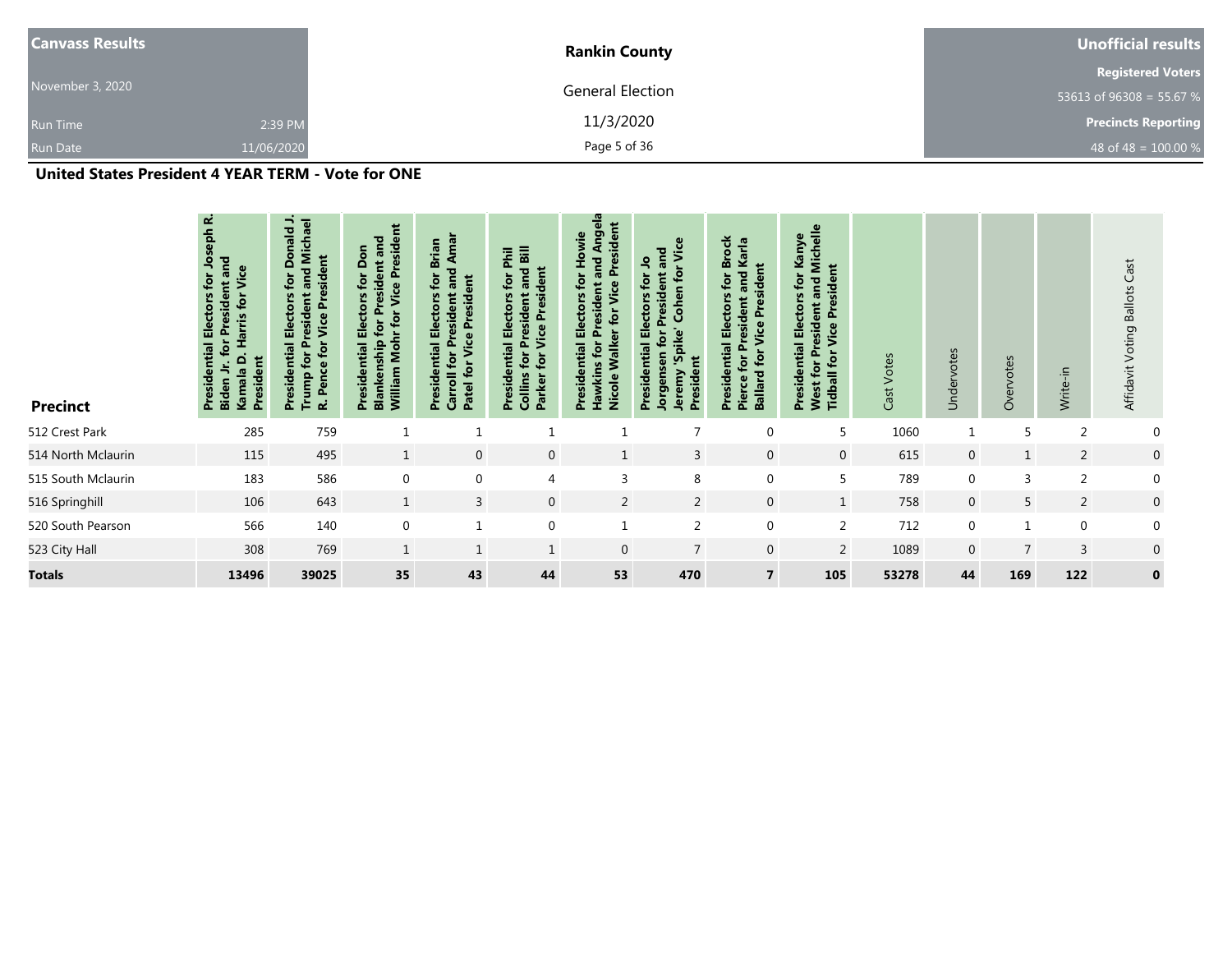| <b>Canvass Results</b> |            | <b>Rankin County</b> | Unofficial results         |  |  |
|------------------------|------------|----------------------|----------------------------|--|--|
|                        |            |                      | <b>Registered Voters</b>   |  |  |
| November 3, 2020       |            | General Election     | 53613 of 96308 = 55.67 %   |  |  |
| <b>Run Time</b>        | 2:39 PM    | 11/3/2020            | <b>Precincts Reporting</b> |  |  |
| <b>Run Date</b>        | 11/06/2020 | Page 5 of 36         | 48 of 48 = $100.00 %$      |  |  |

| <b>Precinct</b>    | نم<br>Joseph<br>and<br>Vice<br>$\overline{\mathbf{r}}$<br>Electors<br>$f$ or<br>识<br>Harris<br>Ā<br>ential<br>President<br>$\mathbf{\Omega}$<br>Kamala<br>Presid<br>Biden | $\overline{\phantom{a}}$<br>and Michael<br>Donald<br><b>Pence for Vice President</b><br>$\mathbf{r}$<br><b>Trump for President</b><br><b>Electors</b><br>Presidential<br>$\mathbf{r}$ | William Mohr for Vice President<br>and<br>Don<br>President<br><b>Presidential Electors for</b><br>for<br>Blankenship | Amar<br><b>Brian</b><br>and<br>for<br>$\overline{5}$<br>Presidential Electors<br>resident<br>Presid<br>Patel for Vice<br>Carroll for P | for Phil<br>and Bill<br>for Vice President<br><b>Presidential Electors</b><br><b>Collins for President</b><br>Parker | မ္မ<br>President<br>Ang<br>Presidential Electors for Howie<br>and<br>esident<br>$\overline{\mathbf{r}}$<br><b>Pr</b><br>Nicole Walker<br>Hawkins for | Vice<br>and<br>٩<br>$f$ or<br>President<br>ior<br>Cohen<br>ectors<br>'Spike'<br>Jorgensen for<br>ential<br>President<br>Jeremy<br><b>Presid</b> | Presidential Electors for Brock<br>Karla<br>President<br>and<br>resident<br>Vice<br>Ō.<br>Ballard for<br>for<br>Pierce | Michelle<br>Kanye<br>President<br>$\mathbf{r}$<br>and<br><b>Presidential Electors</b><br><b>West for President</b><br>Vice<br><b>Tidball for</b> | Votes<br>Cast | Undervotes     | Overvotes      | Write-in       | Affidavit Voting Ballots Cast |
|--------------------|---------------------------------------------------------------------------------------------------------------------------------------------------------------------------|---------------------------------------------------------------------------------------------------------------------------------------------------------------------------------------|----------------------------------------------------------------------------------------------------------------------|----------------------------------------------------------------------------------------------------------------------------------------|----------------------------------------------------------------------------------------------------------------------|------------------------------------------------------------------------------------------------------------------------------------------------------|-------------------------------------------------------------------------------------------------------------------------------------------------|------------------------------------------------------------------------------------------------------------------------|--------------------------------------------------------------------------------------------------------------------------------------------------|---------------|----------------|----------------|----------------|-------------------------------|
| 512 Crest Park     | 285                                                                                                                                                                       | 759                                                                                                                                                                                   | 1                                                                                                                    | $\mathbf{1}$                                                                                                                           |                                                                                                                      |                                                                                                                                                      | 7                                                                                                                                               | 0                                                                                                                      | 5                                                                                                                                                | 1060          | $\mathbf{1}$   | 5              | $\overline{2}$ | 0                             |
| 514 North Mclaurin | 115                                                                                                                                                                       | 495                                                                                                                                                                                   | $\mathbf{1}$                                                                                                         | $\mathbf 0$                                                                                                                            | $\mathbf 0$                                                                                                          | $\mathbf{1}$                                                                                                                                         | 3                                                                                                                                               | $\mathbf{0}$                                                                                                           | $\mathbf 0$                                                                                                                                      | 615           | $\mathbf 0$    | $\mathbf{1}$   | $\overline{2}$ | $\mathbf 0$                   |
| 515 South Mclaurin | 183                                                                                                                                                                       | 586                                                                                                                                                                                   | $\boldsymbol{0}$                                                                                                     | $\mathbf 0$                                                                                                                            | $\overline{4}$                                                                                                       | 3                                                                                                                                                    | 8                                                                                                                                               | $\mathbf 0$                                                                                                            | 5                                                                                                                                                | 789           | $\mathbf{0}$   | $\overline{3}$ | $\overline{2}$ | $\mathbf 0$                   |
| 516 Springhill     | 106                                                                                                                                                                       | 643                                                                                                                                                                                   | $\mathbf{1}$                                                                                                         | $\overline{3}$                                                                                                                         | $\overline{0}$                                                                                                       | $\overline{2}$                                                                                                                                       | $\overline{2}$                                                                                                                                  | $\mathbf 0$                                                                                                            | $\mathbf{1}$                                                                                                                                     | 758           | $\overline{0}$ | 5              | $\overline{2}$ | $\mathbf 0$                   |
| 520 South Pearson  | 566                                                                                                                                                                       | 140                                                                                                                                                                                   | $\boldsymbol{0}$                                                                                                     | $\mathbf{1}$                                                                                                                           | $\boldsymbol{0}$                                                                                                     |                                                                                                                                                      | 2                                                                                                                                               | $\boldsymbol{0}$                                                                                                       | $\overline{2}$                                                                                                                                   | 712           | 0              | $\mathbf{1}$   | $\mathbf{0}$   | $\mathbf 0$                   |
| 523 City Hall      | 308                                                                                                                                                                       | 769                                                                                                                                                                                   | $\mathbf{1}$                                                                                                         | $\mathbf{1}$                                                                                                                           | $\mathbf{1}$                                                                                                         | $\overline{0}$                                                                                                                                       | $\overline{7}$                                                                                                                                  | $\mathbf{0}$                                                                                                           | 2                                                                                                                                                | 1089          | $\overline{0}$ | $\overline{7}$ | 3              | 0                             |
| <b>Totals</b>      | 13496                                                                                                                                                                     | 39025                                                                                                                                                                                 | 35                                                                                                                   | 43                                                                                                                                     | 44                                                                                                                   | 53                                                                                                                                                   | 470                                                                                                                                             | $\overline{7}$                                                                                                         | 105                                                                                                                                              | 53278         | 44             | 169            | 122            | $\bf{0}$                      |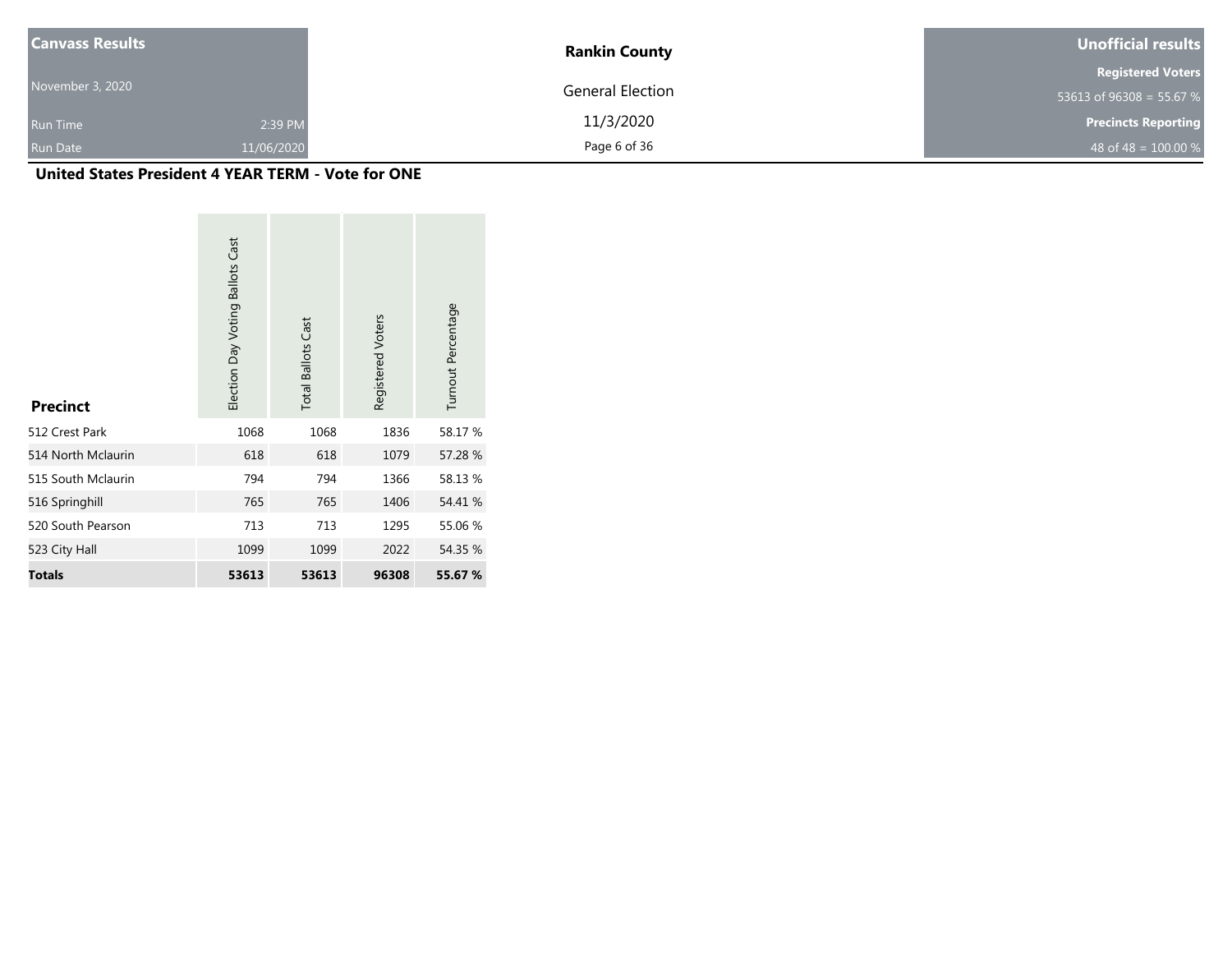| <b>Canvass Results</b> |            | <b>Rankin County</b>    | Unofficial results         |  |  |
|------------------------|------------|-------------------------|----------------------------|--|--|
|                        |            |                         | <b>Registered Voters</b>   |  |  |
| November 3, 2020       |            | <b>General Election</b> | 53613 of 96308 = 55.67 %   |  |  |
| <b>Run Time</b>        | 2:39 PM    | 11/3/2020               | <b>Precincts Reporting</b> |  |  |
| Run Date               | 11/06/2020 | Page 6 of 36            | 48 of 48 = $100.00\%$      |  |  |

| <b>Precinct</b>    | Election Day Voting Ballots Cast | <b>Total Ballots Cast</b> | Registered Voters | Turnout Percentage |
|--------------------|----------------------------------|---------------------------|-------------------|--------------------|
| 512 Crest Park     | 1068                             | 1068                      | 1836              | 58.17 %            |
| 514 North Mclaurin | 618                              | 618                       | 1079              | 57.28 %            |
| 515 South Mclaurin | 794                              | 794                       | 1366              | 58.13%             |
| 516 Springhill     | 765                              | 765                       | 1406              | 54.41 %            |
| 520 South Pearson  | 713                              | 713                       | 1295              | 55.06 %            |
| 523 City Hall      | 1099                             | 1099                      | 2022              | 54.35 %            |
| <b>Totals</b>      | 53613                            | 53613                     | 96308             | 55.67 %            |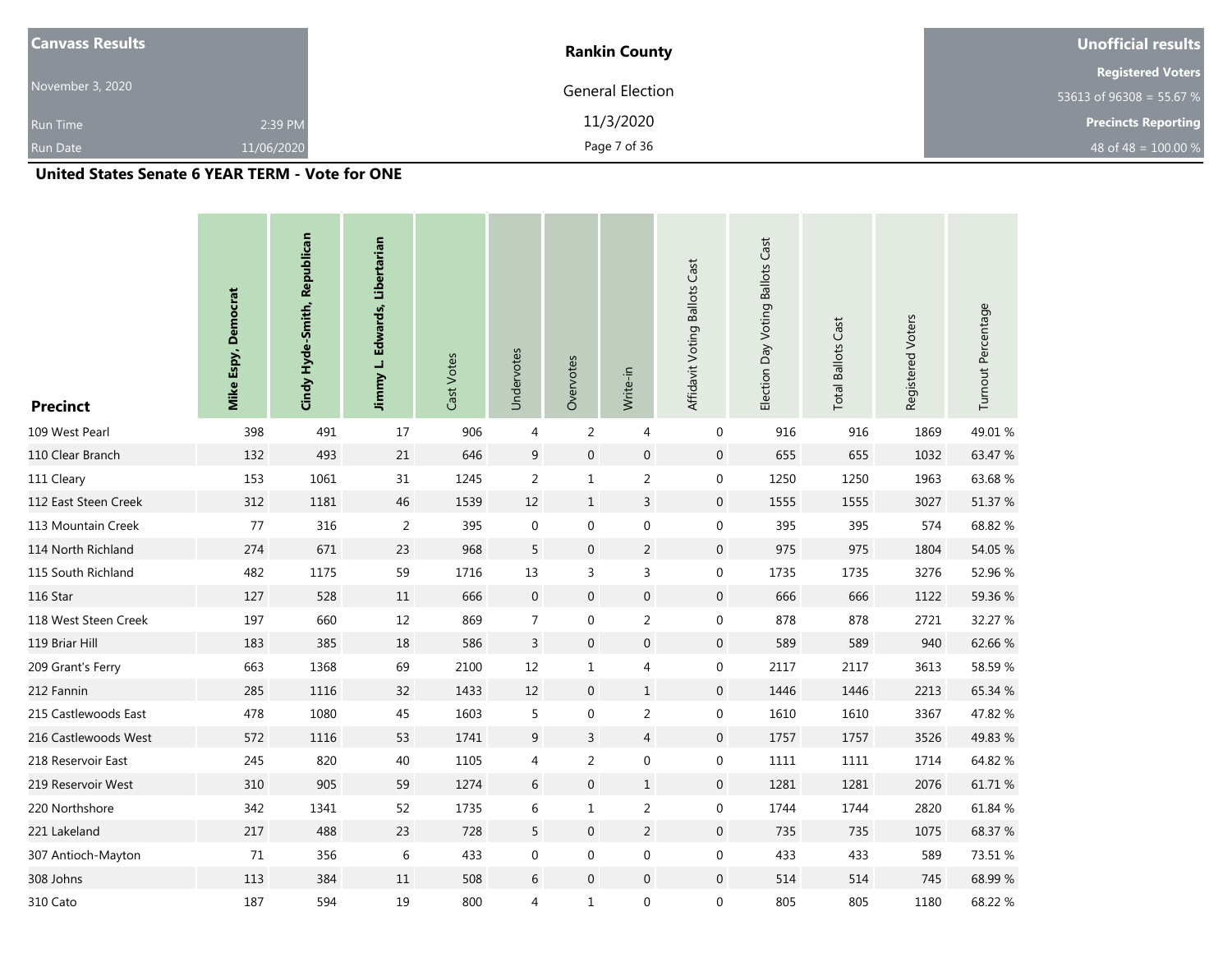| <b>Canvass Results</b> |            | <b>Rankin County</b> | Unofficial results         |
|------------------------|------------|----------------------|----------------------------|
|                        |            |                      | <b>Registered Voters</b>   |
| November 3, 2020       |            | General Election     | 53613 of 96308 = 55.67 %   |
| <b>Run Time</b>        | 2:39 PM    | 11/3/2020            | <b>Precincts Reporting</b> |
| <b>Run Date</b>        | 11/06/2020 | Page 7 of 36         | 48 of 48 = $100.00\%$      |

## **United States Senate 6 YEAR TERM - Vote for ONE**

| <b>Precinct</b>      | Mike Espy, Democrat | Cindy Hyde-Smith, Republican | Jimmy L. Edwards, Libertarian | Cast Votes | Undervotes       | Overvotes        | Write-in         | Affidavit Voting Ballots Cast | Election Day Voting Ballots Cast | <b>Total Ballots Cast</b> | Registered Voters | Turnout Percentage |
|----------------------|---------------------|------------------------------|-------------------------------|------------|------------------|------------------|------------------|-------------------------------|----------------------------------|---------------------------|-------------------|--------------------|
| 109 West Pearl       | 398                 | 491                          | 17                            | 906        | 4                | $\overline{2}$   | $\overline{4}$   | 0                             | 916                              | 916                       | 1869              | 49.01%             |
| 110 Clear Branch     | 132                 | 493                          | 21                            | 646        | $\boldsymbol{9}$ | $\boldsymbol{0}$ | $\boldsymbol{0}$ | $\boldsymbol{0}$              | 655                              | 655                       | 1032              | 63.47 %            |
| 111 Cleary           | 153                 | 1061                         | 31                            | 1245       | $\overline{2}$   | $\mathbf{1}$     | $\overline{2}$   | 0                             | 1250                             | 1250                      | 1963              | 63.68%             |
| 112 East Steen Creek | 312                 | 1181                         | 46                            | 1539       | 12               | $\mathbf{1}$     | $\mathsf{3}$     | $\mathbf 0$                   | 1555                             | 1555                      | 3027              | 51.37 %            |
| 113 Mountain Creek   | 77                  | 316                          | $\overline{2}$                | 395        | $\boldsymbol{0}$ | 0                | 0                | 0                             | 395                              | 395                       | 574               | 68.82 %            |
| 114 North Richland   | 274                 | 671                          | 23                            | 968        | 5                | $\boldsymbol{0}$ | $\overline{2}$   | $\pmb{0}$                     | 975                              | 975                       | 1804              | 54.05 %            |
| 115 South Richland   | 482                 | 1175                         | 59                            | 1716       | $13\,$           | 3                | 3                | 0                             | 1735                             | 1735                      | 3276              | 52.96 %            |
| 116 Star             | 127                 | 528                          | 11                            | 666        | $\boldsymbol{0}$ | $\boldsymbol{0}$ | $\boldsymbol{0}$ | 0                             | 666                              | 666                       | 1122              | 59.36 %            |
| 118 West Steen Creek | 197                 | 660                          | 12                            | 869        | $\overline{7}$   | 0                | $\overline{2}$   | 0                             | 878                              | 878                       | 2721              | 32.27 %            |
| 119 Briar Hill       | 183                 | 385                          | 18                            | 586        | $\mathsf{3}$     | $\boldsymbol{0}$ | $\boldsymbol{0}$ | $\mathbf 0$                   | 589                              | 589                       | 940               | 62.66 %            |
| 209 Grant's Ferry    | 663                 | 1368                         | 69                            | 2100       | $12\,$           | $\mathbf{1}$     | 4                | 0                             | 2117                             | 2117                      | 3613              | 58.59 %            |
| 212 Fannin           | 285                 | 1116                         | 32                            | 1433       | $12\,$           | $\boldsymbol{0}$ | $\mathbf 1$      | 0                             | 1446                             | 1446                      | 2213              | 65.34 %            |
| 215 Castlewoods East | 478                 | 1080                         | 45                            | 1603       | 5                | 0                | $\overline{2}$   | 0                             | 1610                             | 1610                      | 3367              | 47.82 %            |
| 216 Castlewoods West | 572                 | 1116                         | 53                            | 1741       | $\boldsymbol{9}$ | $\mathsf{3}$     | $\overline{4}$   | 0                             | 1757                             | 1757                      | 3526              | 49.83 %            |
| 218 Reservoir East   | 245                 | 820                          | 40                            | 1105       | 4                | $\overline{c}$   | $\boldsymbol{0}$ | 0                             | 1111                             | 1111                      | 1714              | 64.82 %            |
| 219 Reservoir West   | 310                 | 905                          | 59                            | 1274       | $\,$ 6 $\,$      | $\boldsymbol{0}$ | $\,1\,$          | $\boldsymbol{0}$              | 1281                             | 1281                      | 2076              | 61.71 %            |
| 220 Northshore       | 342                 | 1341                         | 52                            | 1735       | 6                | $\mathbf{1}$     | $\sqrt{2}$       | 0                             | 1744                             | 1744                      | 2820              | 61.84 %            |
| 221 Lakeland         | 217                 | 488                          | 23                            | 728        | 5                | $\boldsymbol{0}$ | $\overline{2}$   | 0                             | 735                              | 735                       | 1075              | 68.37 %            |
| 307 Antioch-Mayton   | 71                  | 356                          | $\,6\,$                       | 433        | 0                | 0                | $\boldsymbol{0}$ | 0                             | 433                              | 433                       | 589               | 73.51 %            |
| 308 Johns            | 113                 | 384                          | 11                            | 508        | $\,$ 6 $\,$      | $\boldsymbol{0}$ | $\mathbf 0$      | 0                             | 514                              | 514                       | 745               | 68.99%             |
| 310 Cato             | 187                 | 594                          | 19                            | 800        | 4                | $\mathbf{1}$     | 0                | 0                             | 805                              | 805                       | 1180              | 68.22 %            |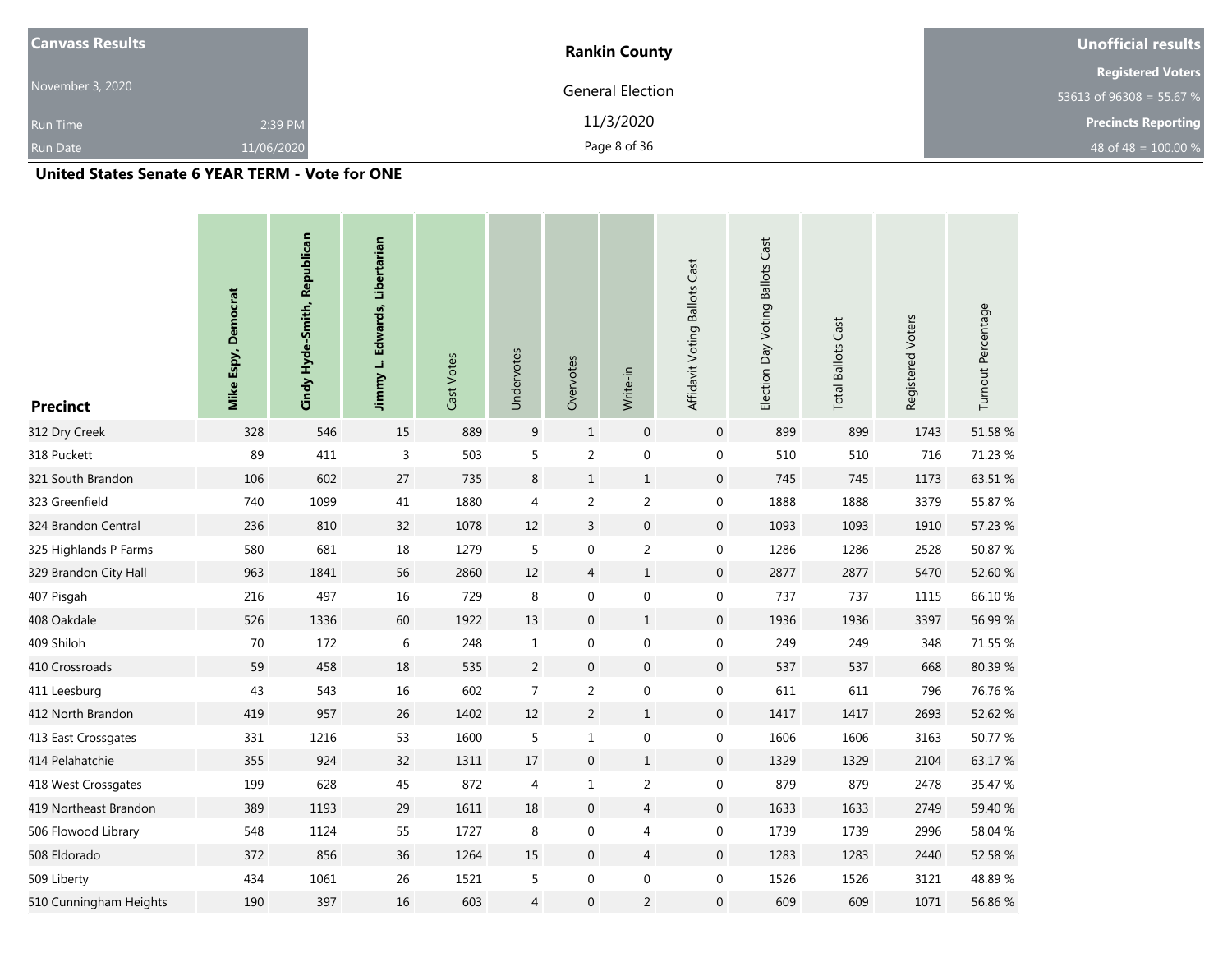| <b>Canvass Results</b> |            | <b>Rankin County</b> | Unofficial results         |
|------------------------|------------|----------------------|----------------------------|
|                        |            |                      | <b>Registered Voters</b>   |
| November 3, 2020       |            | General Election     | 53613 of 96308 = 55.67 %   |
| <b>Run Time</b>        | 2:39 PM    | 11/3/2020            | <b>Precincts Reporting</b> |
| <b>Run Date</b>        | 11/06/2020 | Page 8 of 36         | 48 of 48 = $100.00 %$      |

### **United States Senate 6 YEAR TERM - Vote for ONE**

| <b>Precinct</b>        | Mike Espy, Democrat | Cindy Hyde-Smith, Republican | Jimmy L. Edwards, Libertarian | Cast Votes | Undervotes     | Overvotes        | Write-in         | Affidavit Voting Ballots Cast | Election Day Voting Ballots Cast | <b>Total Ballots Cast</b> | Registered Voters | Turnout Percentage |
|------------------------|---------------------|------------------------------|-------------------------------|------------|----------------|------------------|------------------|-------------------------------|----------------------------------|---------------------------|-------------------|--------------------|
| 312 Dry Creek          | 328                 | 546                          | 15                            | 889        | 9              | $1\,$            | $\boldsymbol{0}$ | $\mathbf 0$                   | 899                              | 899                       | 1743              | 51.58 %            |
| 318 Puckett            | 89                  | 411                          | $\overline{3}$                | 503        | 5              | $\overline{2}$   | $\boldsymbol{0}$ | $\mathbf 0$                   | 510                              | 510                       | 716               | 71.23 %            |
| 321 South Brandon      | 106                 | 602                          | 27                            | 735        | 8              | $\mathbf{1}$     | $\mathbf{1}$     | $\mathbf 0$                   | 745                              | 745                       | 1173              | 63.51 %            |
| 323 Greenfield         | 740                 | 1099                         | 41                            | 1880       | 4              | $\overline{2}$   | $\sqrt{2}$       | $\boldsymbol{0}$              | 1888                             | 1888                      | 3379              | 55.87 %            |
| 324 Brandon Central    | 236                 | 810                          | 32                            | 1078       | $12\,$         | $\mathsf{3}$     | $\boldsymbol{0}$ | $\mathbf 0$                   | 1093                             | 1093                      | 1910              | 57.23 %            |
| 325 Highlands P Farms  | 580                 | 681                          | $18\,$                        | 1279       | 5              | $\boldsymbol{0}$ | $\sqrt{2}$       | 0                             | 1286                             | 1286                      | 2528              | 50.87 %            |
| 329 Brandon City Hall  | 963                 | 1841                         | 56                            | 2860       | $12\,$         | $\overline{4}$   | $\mathbf{1}$     | $\mathbf 0$                   | 2877                             | 2877                      | 5470              | 52.60 %            |
| 407 Pisgah             | 216                 | 497                          | $16\,$                        | 729        | $\,8\,$        | $\boldsymbol{0}$ | $\boldsymbol{0}$ | 0                             | 737                              | 737                       | 1115              | 66.10%             |
| 408 Oakdale            | 526                 | 1336                         | 60                            | 1922       | 13             | $\boldsymbol{0}$ | $\mathbf{1}$     | $\mathbf 0$                   | 1936                             | 1936                      | 3397              | 56.99%             |
| 409 Shiloh             | 70                  | 172                          | $\,$ 6 $\,$                   | 248        | $\mathbf{1}$   | $\boldsymbol{0}$ | $\boldsymbol{0}$ | 0                             | 249                              | 249                       | 348               | 71.55 %            |
| 410 Crossroads         | 59                  | 458                          | 18                            | 535        | $\overline{2}$ | $\boldsymbol{0}$ | $\boldsymbol{0}$ | $\mathbf 0$                   | 537                              | 537                       | 668               | 80.39%             |
| 411 Leesburg           | 43                  | 543                          | 16                            | 602        | $\overline{7}$ | $\overline{2}$   | $\boldsymbol{0}$ | $\boldsymbol{0}$              | 611                              | 611                       | 796               | 76.76 %            |
| 412 North Brandon      | 419                 | 957                          | 26                            | 1402       | $12\,$         | $\overline{2}$   | $\mathbf{1}$     | $\mathbf 0$                   | 1417                             | 1417                      | 2693              | 52.62 %            |
| 413 East Crossgates    | 331                 | 1216                         | 53                            | 1600       | 5              | $\mathbf 1$      | $\boldsymbol{0}$ | 0                             | 1606                             | 1606                      | 3163              | 50.77 %            |
| 414 Pelahatchie        | 355                 | 924                          | 32                            | 1311       | 17             | $\boldsymbol{0}$ | $\mathbf{1}$     | $\mathbf 0$                   | 1329                             | 1329                      | 2104              | 63.17%             |
| 418 West Crossgates    | 199                 | 628                          | 45                            | 872        | 4              | $\mathbf 1$      | $\sqrt{2}$       | 0                             | 879                              | 879                       | 2478              | 35.47 %            |
| 419 Northeast Brandon  | 389                 | 1193                         | 29                            | 1611       | 18             | $\mathbf 0$      | $\overline{4}$   | $\mathbf 0$                   | 1633                             | 1633                      | 2749              | 59.40 %            |
| 506 Flowood Library    | 548                 | 1124                         | 55                            | 1727       | 8              | 0                | $\overline{4}$   | 0                             | 1739                             | 1739                      | 2996              | 58.04 %            |
| 508 Eldorado           | 372                 | 856                          | 36                            | 1264       | 15             | $\mathbf 0$      | $\overline{4}$   | $\mathbf 0$                   | 1283                             | 1283                      | 2440              | 52.58 %            |
| 509 Liberty            | 434                 | 1061                         | 26                            | 1521       | 5              | 0                | 0                | 0                             | 1526                             | 1526                      | 3121              | 48.89%             |
| 510 Cunningham Heights | 190                 | 397                          | 16                            | 603        | 4              | $\boldsymbol{0}$ | $\overline{2}$   | $\mathbf 0$                   | 609                              | 609                       | 1071              | 56.86 %            |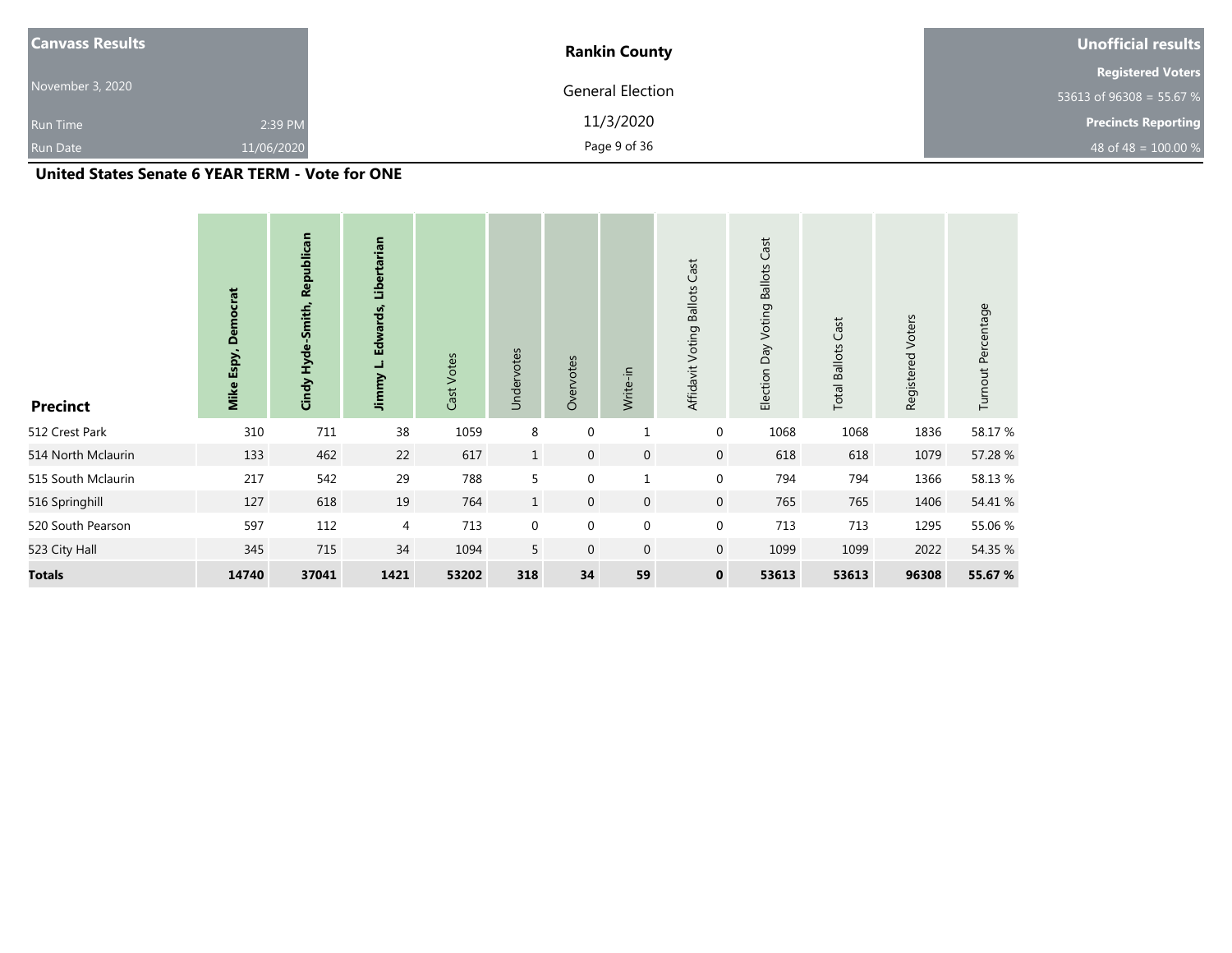| <b>Canvass Results</b> |            | <b>Rankin County</b>    | Unofficial results         |
|------------------------|------------|-------------------------|----------------------------|
|                        |            |                         | <b>Registered Voters</b>   |
| November 3, 2020       |            | <b>General Election</b> | 53613 of 96308 = 55.67 %   |
| <b>Run Time</b>        | 2:39 PM    | 11/3/2020               | <b>Precincts Reporting</b> |
| <b>Run Date</b>        | 11/06/2020 | Page 9 of 36            | 48 of 48 = $100.00\%$      |

## **United States Senate 6 YEAR TERM - Vote for ONE**

| <b>Precinct</b>    | <b>Democrat</b><br>Espy,<br>Mike | Republican<br>Cindy Hyde-Smith, | Libertarian<br>Jimmy L. Edwards, | Cast Votes | Undervotes   | Overvotes        | Write-in     | Affidavit Voting Ballots Cast | Cast<br><b>Voting Ballots</b><br>Day<br>Election | Cast<br><b>Total Ballots</b> | Registered Voters | Turnout Percentage |
|--------------------|----------------------------------|---------------------------------|----------------------------------|------------|--------------|------------------|--------------|-------------------------------|--------------------------------------------------|------------------------------|-------------------|--------------------|
| 512 Crest Park     | 310                              | 711                             | 38                               | 1059       | 8            | $\mathbf 0$      | $\mathbf{1}$ | $\mathbf 0$                   | 1068                                             | 1068                         | 1836              | 58.17 %            |
| 514 North Mclaurin | 133                              | 462                             | 22                               | 617        | $\mathbf{1}$ | $\mathbf 0$      | $\mathbf 0$  | $\mathbf 0$                   | 618                                              | 618                          | 1079              | 57.28 %            |
| 515 South Mclaurin | 217                              | 542                             | 29                               | 788        | 5            | $\mathbf 0$      | $\mathbf{1}$ | $\mathbf 0$                   | 794                                              | 794                          | 1366              | 58.13%             |
| 516 Springhill     | 127                              | 618                             | 19                               | 764        | $\mathbf{1}$ | $\mathbf 0$      | $\mathbf{0}$ | $\overline{0}$                | 765                                              | 765                          | 1406              | 54.41 %            |
| 520 South Pearson  | 597                              | 112                             | 4                                | 713        | $\mathbf 0$  | $\boldsymbol{0}$ | $\mathbf 0$  | $\mathbf 0$                   | 713                                              | 713                          | 1295              | 55.06 %            |
| 523 City Hall      | 345                              | 715                             | 34                               | 1094       | 5            | $\mathbf{0}$     | $\mathbf 0$  | $\overline{0}$                | 1099                                             | 1099                         | 2022              | 54.35 %            |
| <b>Totals</b>      | 14740                            | 37041                           | 1421                             | 53202      | 318          | 34               | 59           | $\mathbf 0$                   | 53613                                            | 53613                        | 96308             | 55.67 %            |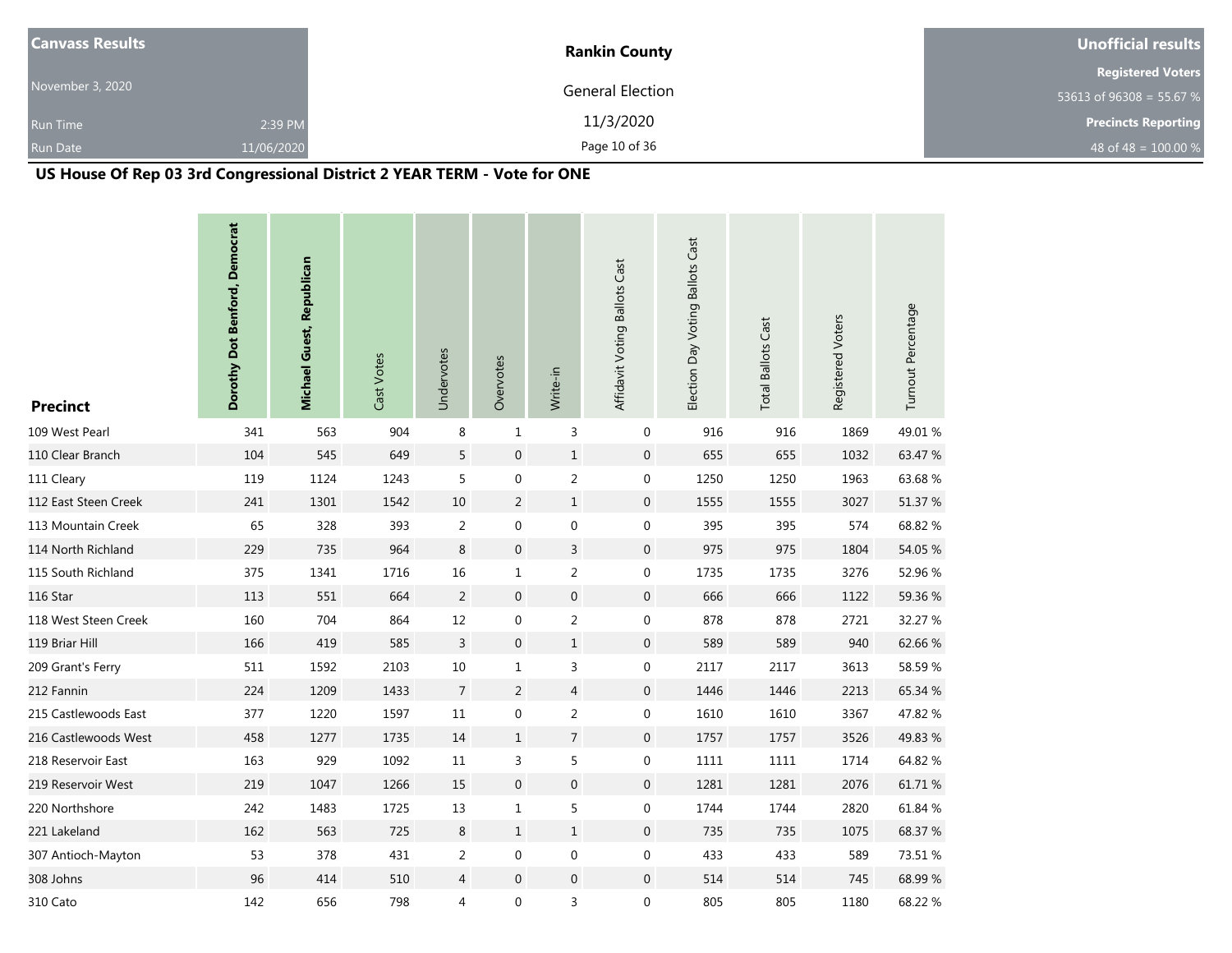| <b>Canvass Results</b> |            | <b>Rankin County</b> | Unofficial results         |
|------------------------|------------|----------------------|----------------------------|
|                        |            |                      | <b>Registered Voters</b>   |
| November 3, 2020       |            | General Election     | 53613 of 96308 = 55.67 %   |
| <b>Run Time</b>        | 2:39 PM    | 11/3/2020            | <b>Precincts Reporting</b> |
| <b>Run Date</b>        | 11/06/2020 | Page 10 of 36        | 48 of 48 = $100.00 %$      |

# **US House Of Rep 03 3rd Congressional District 2 YEAR TERM - Vote for ONE**

| <b>Precinct</b>      | Dorothy Dot Benford, Democrat | <b>Michael Guest, Republican</b> | Cast Votes | Undervotes     | Overvotes        | Write-in         | Affidavit Voting Ballots Cast | Election Day Voting Ballots Cast | <b>Total Ballots Cast</b> | Registered Voters | Turnout Percentage |
|----------------------|-------------------------------|----------------------------------|------------|----------------|------------------|------------------|-------------------------------|----------------------------------|---------------------------|-------------------|--------------------|
| 109 West Pearl       | 341                           | 563                              | 904        | 8              | $\mathbf{1}$     | 3                | $\mathbf 0$                   | 916                              | 916                       | 1869              | 49.01%             |
| 110 Clear Branch     | 104                           | 545                              | 649        | 5              | $\mathbf 0$      | $\,1\,$          | $\mathbf 0$                   | 655                              | 655                       | 1032              | 63.47 %            |
| 111 Cleary           | 119                           | 1124                             | 1243       | 5              | 0                | $\overline{2}$   | 0                             | 1250                             | 1250                      | 1963              | 63.68%             |
| 112 East Steen Creek | 241                           | 1301                             | 1542       | 10             | $\overline{2}$   | $\mathbf{1}$     | $\mathbf 0$                   | 1555                             | 1555                      | 3027              | 51.37 %            |
| 113 Mountain Creek   | 65                            | 328                              | 393        | $\overline{2}$ | $\boldsymbol{0}$ | $\boldsymbol{0}$ | $\boldsymbol{0}$              | 395                              | 395                       | 574               | 68.82 %            |
| 114 North Richland   | 229                           | 735                              | 964        | $\,8\,$        | $\mathbf 0$      | $\mathsf{3}$     | $\mathbf 0$                   | 975                              | 975                       | 1804              | 54.05 %            |
| 115 South Richland   | 375                           | 1341                             | 1716       | 16             | $\mathbf{1}$     | $\overline{2}$   | $\boldsymbol{0}$              | 1735                             | 1735                      | 3276              | 52.96 %            |
| 116 Star             | 113                           | 551                              | 664        | $\overline{2}$ | $\overline{0}$   | $\boldsymbol{0}$ | $\boldsymbol{0}$              | 666                              | 666                       | 1122              | 59.36 %            |
| 118 West Steen Creek | 160                           | 704                              | 864        | 12             | $\boldsymbol{0}$ | $\overline{2}$   | $\boldsymbol{0}$              | 878                              | 878                       | 2721              | 32.27 %            |
| 119 Briar Hill       | 166                           | 419                              | 585        | $\overline{3}$ | $\overline{0}$   | $\mathbf 1$      | $\boldsymbol{0}$              | 589                              | 589                       | 940               | 62.66 %            |
| 209 Grant's Ferry    | 511                           | 1592                             | 2103       | 10             | $\mathbf{1}$     | 3                | 0                             | 2117                             | 2117                      | 3613              | 58.59%             |
| 212 Fannin           | 224                           | 1209                             | 1433       | $\overline{7}$ | $\overline{2}$   | $\overline{4}$   | $\boldsymbol{0}$              | 1446                             | 1446                      | 2213              | 65.34 %            |
| 215 Castlewoods East | 377                           | 1220                             | 1597       | 11             | $\pmb{0}$        | $\overline{2}$   | $\mathbf 0$                   | 1610                             | 1610                      | 3367              | 47.82 %            |
| 216 Castlewoods West | 458                           | 1277                             | 1735       | 14             | $\mathbf{1}$     | $\overline{7}$   | $\mathbf 0$                   | 1757                             | 1757                      | 3526              | 49.83 %            |
| 218 Reservoir East   | 163                           | 929                              | 1092       | 11             | 3                | 5                | 0                             | 1111                             | 1111                      | 1714              | 64.82 %            |
| 219 Reservoir West   | 219                           | 1047                             | 1266       | 15             | $\mathbf 0$      | $\boldsymbol{0}$ | $\mathbf 0$                   | 1281                             | 1281                      | 2076              | 61.71 %            |
| 220 Northshore       | 242                           | 1483                             | 1725       | 13             | $\mathbf{1}$     | 5                | $\boldsymbol{0}$              | 1744                             | 1744                      | 2820              | 61.84 %            |
| 221 Lakeland         | 162                           | 563                              | 725        | $\,8\,$        | $\mathbf{1}$     | $\mathbf{1}$     | $\mathbf 0$                   | 735                              | 735                       | 1075              | 68.37 %            |
| 307 Antioch-Mayton   | 53                            | 378                              | 431        | $\overline{2}$ | 0                | $\boldsymbol{0}$ | 0                             | 433                              | 433                       | 589               | 73.51 %            |
| 308 Johns            | 96                            | 414                              | 510        | $\overline{4}$ | $\mathbf 0$      | $\boldsymbol{0}$ | $\mathbf 0$                   | 514                              | 514                       | 745               | 68.99%             |
| 310 Cato             | 142                           | 656                              | 798        | 4              | 0                | 3                | $\boldsymbol{0}$              | 805                              | 805                       | 1180              | 68.22 %            |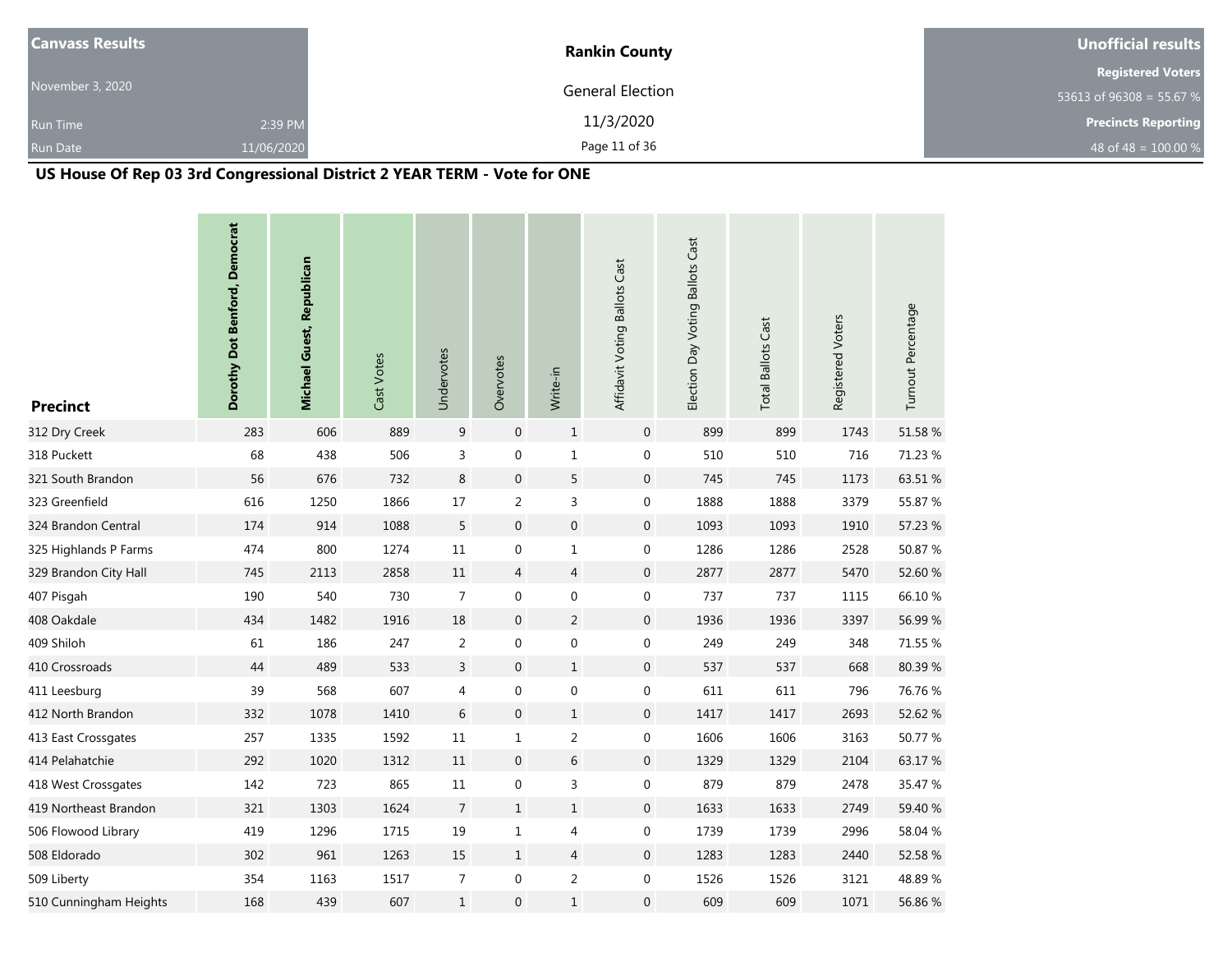| <b>Canvass Results</b> |            | <b>Rankin County</b> | Unofficial results         |
|------------------------|------------|----------------------|----------------------------|
|                        |            |                      | <b>Registered Voters</b>   |
| November 3, 2020       |            | General Election     | 53613 of 96308 = 55.67 %   |
| <b>Run Time</b>        | 2:39 PM    | 11/3/2020            | <b>Precincts Reporting</b> |
| <b>Run Date</b>        | 11/06/2020 | Page 11 of 36        | 48 of 48 = $100.00 %$      |

# **US House Of Rep 03 3rd Congressional District 2 YEAR TERM - Vote for ONE**

| <b>Precinct</b>        | Dorothy Dot Benford, Democrat | <b>Michael Guest, Republican</b> | Cast Votes | Undervotes     | Overvotes        | Write-in         | Affidavit Voting Ballots Cast | Election Day Voting Ballots Cast | <b>Total Ballots Cast</b> | Registered Voters | Turnout Percentage |
|------------------------|-------------------------------|----------------------------------|------------|----------------|------------------|------------------|-------------------------------|----------------------------------|---------------------------|-------------------|--------------------|
| 312 Dry Creek          | 283                           | 606                              | 889        | 9              | $\mathbf 0$      | $\mathbf 1$      | $\mathbf{0}$                  | 899                              | 899                       | 1743              | 51.58 %            |
| 318 Puckett            | 68                            | 438                              | 506        | 3              | 0                | $\mathbf 1$      | $\boldsymbol{0}$              | 510                              | 510                       | 716               | 71.23 %            |
| 321 South Brandon      | 56                            | 676                              | 732        | $\,8\,$        | $\mathbf 0$      | 5                | $\mathsf{O}\xspace$           | 745                              | 745                       | 1173              | 63.51 %            |
| 323 Greenfield         | 616                           | 1250                             | 1866       | 17             | $\overline{2}$   | 3                | 0                             | 1888                             | 1888                      | 3379              | 55.87 %            |
| 324 Brandon Central    | 174                           | 914                              | 1088       | 5              | $\boldsymbol{0}$ | $\boldsymbol{0}$ | $\mathbf 0$                   | 1093                             | 1093                      | 1910              | 57.23 %            |
| 325 Highlands P Farms  | 474                           | 800                              | 1274       | 11             | 0                | $\mathbf{1}$     | $\boldsymbol{0}$              | 1286                             | 1286                      | 2528              | 50.87 %            |
| 329 Brandon City Hall  | 745                           | 2113                             | 2858       | 11             | $\overline{4}$   | $\overline{4}$   | $\mathbf{0}$                  | 2877                             | 2877                      | 5470              | 52.60 %            |
| 407 Pisgah             | 190                           | 540                              | 730        | $\overline{7}$ | 0                | $\boldsymbol{0}$ | $\boldsymbol{0}$              | 737                              | 737                       | 1115              | 66.10%             |
| 408 Oakdale            | 434                           | 1482                             | 1916       | 18             | $\mathbf 0$      | $\overline{2}$   | $\mathbf 0$                   | 1936                             | 1936                      | 3397              | 56.99%             |
| 409 Shiloh             | 61                            | 186                              | 247        | $\overline{2}$ | 0                | $\boldsymbol{0}$ | $\boldsymbol{0}$              | 249                              | 249                       | 348               | 71.55 %            |
| 410 Crossroads         | 44                            | 489                              | 533        | $\overline{3}$ | $\boldsymbol{0}$ | $\,1\,$          | $\mathbf{0}$                  | 537                              | 537                       | 668               | 80.39%             |
| 411 Leesburg           | 39                            | 568                              | 607        | 4              | 0                | $\boldsymbol{0}$ | 0                             | 611                              | 611                       | 796               | 76.76 %            |
| 412 North Brandon      | 332                           | 1078                             | 1410       | $6\,$          | $\mathbf 0$      | $\,1\,$          | $\mathbf 0$                   | 1417                             | 1417                      | 2693              | 52.62 %            |
| 413 East Crossgates    | 257                           | 1335                             | 1592       | 11             | 1                | $\overline{2}$   | 0                             | 1606                             | 1606                      | 3163              | 50.77 %            |
| 414 Pelahatchie        | 292                           | 1020                             | 1312       | 11             | $\mathbf 0$      | $\,$ 6 $\,$      | $\mathbf 0$                   | 1329                             | 1329                      | 2104              | 63.17%             |
| 418 West Crossgates    | 142                           | 723                              | 865        | 11             | 0                | 3                | 0                             | 879                              | 879                       | 2478              | 35.47 %            |
| 419 Northeast Brandon  | 321                           | 1303                             | 1624       | $\overline{7}$ | $\mathbf{1}$     | $\mathbf 1$      | $\mathsf{O}\xspace$           | 1633                             | 1633                      | 2749              | 59.40 %            |
| 506 Flowood Library    | 419                           | 1296                             | 1715       | 19             | 1                | 4                | 0                             | 1739                             | 1739                      | 2996              | 58.04 %            |
| 508 Eldorado           | 302                           | 961                              | 1263       | 15             | $\mathbf{1}$     | $\overline{4}$   | $\mathsf{O}\xspace$           | 1283                             | 1283                      | 2440              | 52.58 %            |
| 509 Liberty            | 354                           | 1163                             | 1517       | $\overline{7}$ | 0                | $\overline{a}$   | 0                             | 1526                             | 1526                      | 3121              | 48.89%             |
| 510 Cunningham Heights | 168                           | 439                              | 607        | $\mathbf{1}$   | $\mathbf 0$      | $1\,$            | $\mathbf 0$                   | 609                              | 609                       | 1071              | 56.86 %            |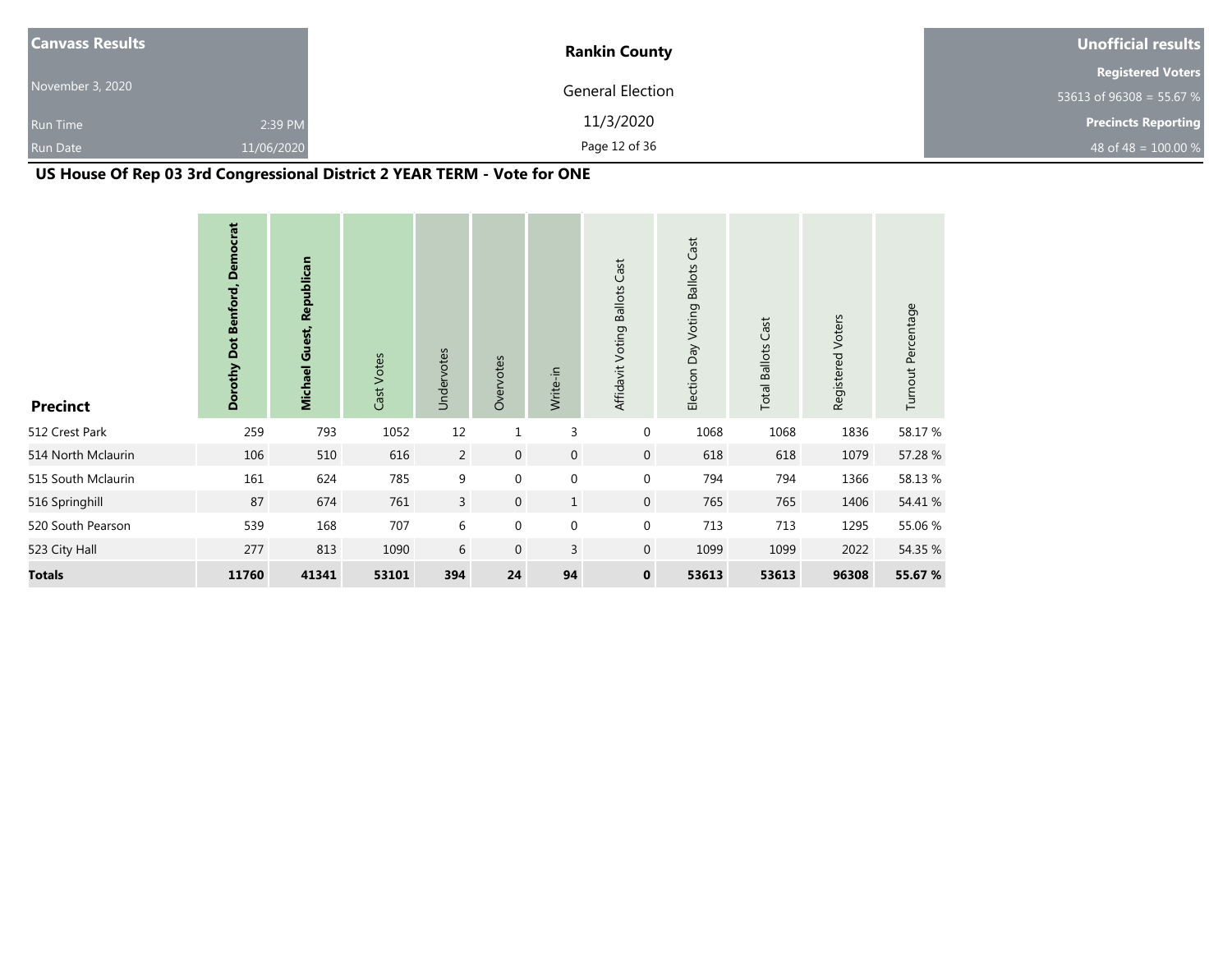| <b>Canvass Results</b> |            | <b>Rankin County</b> | Unofficial results         |
|------------------------|------------|----------------------|----------------------------|
|                        |            |                      | <b>Registered Voters</b>   |
| November 3, 2020       |            | General Election     | 53613 of 96308 = 55.67 %   |
| <b>Run Time</b>        | 2:39 PM    | 11/3/2020            | <b>Precincts Reporting</b> |
| <b>Run Date</b>        | 11/06/2020 | Page 12 of 36        | 48 of 48 = $100.00\%$      |

# **US House Of Rep 03 3rd Congressional District 2 YEAR TERM - Vote for ONE**

| <b>Precinct</b>    | <b>Democrat</b><br>Dorothy Dot Benford, | Michael Guest, Republican | Cast Votes | Undervotes     | Overvotes    | Write-in       | Affidavit Voting Ballots Cast | Election Day Voting Ballots Cast | <b>Total Ballots Cast</b> | Registered Voters | Turnout Percentage |
|--------------------|-----------------------------------------|---------------------------|------------|----------------|--------------|----------------|-------------------------------|----------------------------------|---------------------------|-------------------|--------------------|
| 512 Crest Park     | 259                                     | 793                       | 1052       | 12             | $\mathbf{1}$ | 3              | 0                             | 1068                             | 1068                      | 1836              | 58.17 %            |
| 514 North Mclaurin | 106                                     | 510                       | 616        | 2              | $\mathbf 0$  | $\mathbf 0$    | $\mathbf{0}$                  | 618                              | 618                       | 1079              | 57.28 %            |
| 515 South Mclaurin | 161                                     | 624                       | 785        | 9              | $\mathbf 0$  | $\mathbf 0$    | 0                             | 794                              | 794                       | 1366              | 58.13 %            |
| 516 Springhill     | 87                                      | 674                       | 761        | $\overline{3}$ | $\mathbf{0}$ | $\mathbf{1}$   | $\mathbf 0$                   | 765                              | 765                       | 1406              | 54.41 %            |
| 520 South Pearson  | 539                                     | 168                       | 707        | 6              | $\mathbf 0$  | $\mathbf 0$    | 0                             | 713                              | 713                       | 1295              | 55.06 %            |
| 523 City Hall      | 277                                     | 813                       | 1090       | 6              | $\mathbf 0$  | $\overline{3}$ | $\overline{0}$                | 1099                             | 1099                      | 2022              | 54.35 %            |
| <b>Totals</b>      | 11760                                   | 41341                     | 53101      | 394            | 24           | 94             | $\mathbf 0$                   | 53613                            | 53613                     | 96308             | 55.67 %            |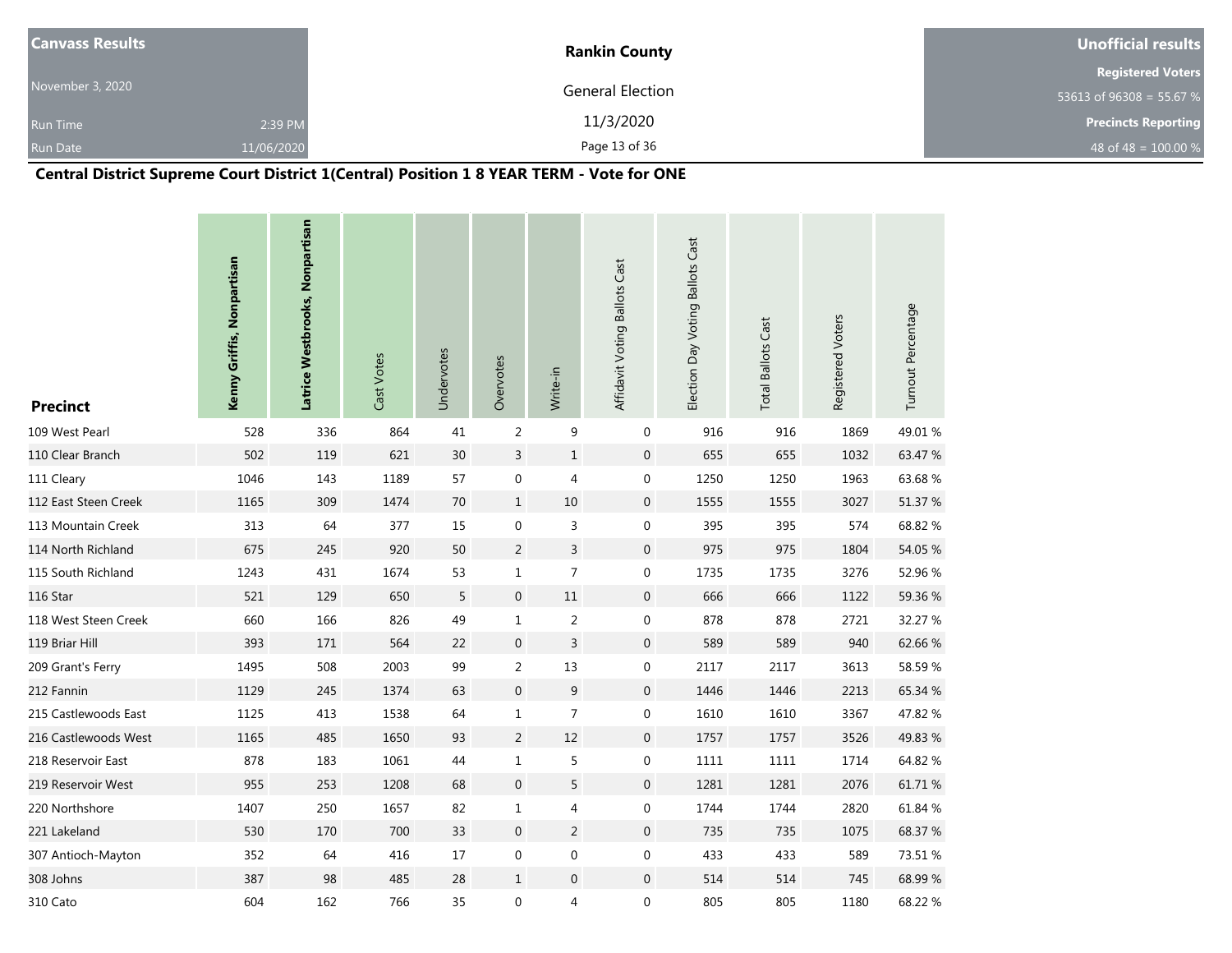| <b>Canvass Results</b> |            | <b>Rankin County</b> | Unofficial results         |
|------------------------|------------|----------------------|----------------------------|
|                        |            |                      | <b>Registered Voters</b>   |
| November 3, 2020       |            | General Election     | 53613 of 96308 = 55.67 %   |
| <b>Run Time</b>        | 2:39 PM    | 11/3/2020            | <b>Precincts Reporting</b> |
| <b>Run Date</b>        | 11/06/2020 | Page 13 of 36        | 48 of 48 = $100.00\%$      |

# **Central District Supreme Court District 1(Central) Position 1 8 YEAR TERM - Vote for ONE**

| <b>Precinct</b>      | Kenny Griffis, Nonpartisan | Latrice Westbrooks, Nonpartisan | Cast Votes | Undervotes | Overvotes        | Write-in         | Affidavit Voting Ballots Cast | Election Day Voting Ballots Cast | <b>Total Ballots Cast</b> | Registered Voters | Turnout Percentage |
|----------------------|----------------------------|---------------------------------|------------|------------|------------------|------------------|-------------------------------|----------------------------------|---------------------------|-------------------|--------------------|
| 109 West Pearl       | 528                        | 336                             | 864        | 41         | 2                | 9                | 0                             | 916                              | 916                       | 1869              | 49.01%             |
| 110 Clear Branch     | 502                        | 119                             | 621        | 30         | 3                | $\mathbf 1$      | $\mathbf 0$                   | 655                              | 655                       | 1032              | 63.47 %            |
| 111 Cleary           | 1046                       | 143                             | 1189       | 57         | 0                | 4                | 0                             | 1250                             | 1250                      | 1963              | 63.68%             |
| 112 East Steen Creek | 1165                       | 309                             | 1474       | 70         | $\mathbf{1}$     | 10               | $\mathbf 0$                   | 1555                             | 1555                      | 3027              | 51.37 %            |
| 113 Mountain Creek   | 313                        | 64                              | 377        | 15         | $\boldsymbol{0}$ | 3                | $\mathbf 0$                   | 395                              | 395                       | 574               | 68.82 %            |
| 114 North Richland   | 675                        | 245                             | 920        | 50         | $\overline{c}$   | $\mathsf{3}$     | $\mathbf 0$                   | 975                              | 975                       | 1804              | 54.05 %            |
| 115 South Richland   | 1243                       | 431                             | 1674       | 53         | $\mathbf{1}$     | $\overline{7}$   | $\boldsymbol{0}$              | 1735                             | 1735                      | 3276              | 52.96 %            |
| 116 Star             | 521                        | 129                             | 650        | 5          | $\mathbf 0$      | 11               | $\mathbf 0$                   | 666                              | 666                       | 1122              | 59.36 %            |
| 118 West Steen Creek | 660                        | 166                             | 826        | 49         | $\mathbf{1}$     | $\overline{2}$   | $\boldsymbol{0}$              | 878                              | 878                       | 2721              | 32.27 %            |
| 119 Briar Hill       | 393                        | 171                             | 564        | 22         | $\overline{0}$   | $\mathsf{3}$     | $\boldsymbol{0}$              | 589                              | 589                       | 940               | 62.66 %            |
| 209 Grant's Ferry    | 1495                       | 508                             | 2003       | 99         | $\overline{2}$   | 13               | 0                             | 2117                             | 2117                      | 3613              | 58.59%             |
| 212 Fannin           | 1129                       | 245                             | 1374       | 63         | $\mathbf{0}$     | $\boldsymbol{9}$ | $\boldsymbol{0}$              | 1446                             | 1446                      | 2213              | 65.34 %            |
| 215 Castlewoods East | 1125                       | 413                             | 1538       | 64         | $\mathbf{1}$     | $\overline{7}$   | 0                             | 1610                             | 1610                      | 3367              | 47.82 %            |
| 216 Castlewoods West | 1165                       | 485                             | 1650       | 93         | $\overline{2}$   | 12               | $\mathbf 0$                   | 1757                             | 1757                      | 3526              | 49.83 %            |
| 218 Reservoir East   | 878                        | 183                             | 1061       | 44         | $\mathbf{1}$     | 5                | 0                             | 1111                             | 1111                      | 1714              | 64.82 %            |
| 219 Reservoir West   | 955                        | 253                             | 1208       | 68         | $\overline{0}$   | 5                | $\mathbf{0}$                  | 1281                             | 1281                      | 2076              | 61.71 %            |
| 220 Northshore       | 1407                       | 250                             | 1657       | 82         | $\mathbf{1}$     | 4                | 0                             | 1744                             | 1744                      | 2820              | 61.84 %            |
| 221 Lakeland         | 530                        | 170                             | 700        | 33         | $\overline{0}$   | $\overline{2}$   | $\mathbf 0$                   | 735                              | 735                       | 1075              | 68.37 %            |
| 307 Antioch-Mayton   | 352                        | 64                              | 416        | 17         | $\pmb{0}$        | $\boldsymbol{0}$ | $\boldsymbol{0}$              | 433                              | 433                       | 589               | 73.51 %            |
| 308 Johns            | 387                        | 98                              | 485        | 28         | $\mathbf{1}$     | $\boldsymbol{0}$ | $\mathbf 0$                   | 514                              | 514                       | 745               | 68.99%             |
| 310 Cato             | 604                        | 162                             | 766        | 35         | 0                | 4                | $\boldsymbol{0}$              | 805                              | 805                       | 1180              | 68.22 %            |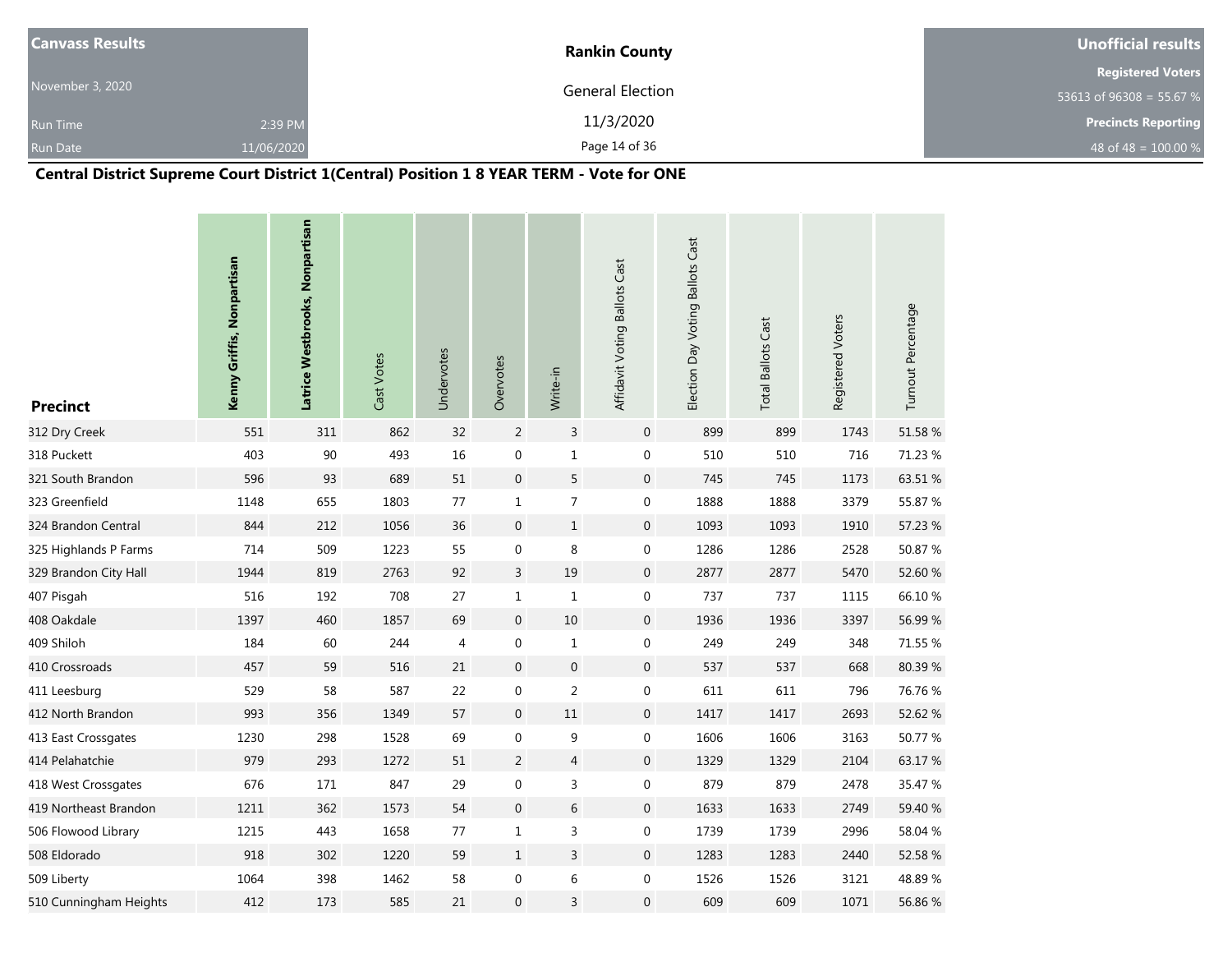| <b>Canvass Results</b> |            | <b>Rankin County</b> | Unofficial results         |
|------------------------|------------|----------------------|----------------------------|
|                        |            |                      | <b>Registered Voters</b>   |
| November 3, 2020       |            | General Election     | 53613 of 96308 = 55.67 %   |
| <b>Run Time</b>        | 2:39 PM    | 11/3/2020            | <b>Precincts Reporting</b> |
| <b>Run Date</b>        | 11/06/2020 | Page 14 of 36        | 48 of 48 = $100.00\%$      |

# **Central District Supreme Court District 1(Central) Position 1 8 YEAR TERM - Vote for ONE**

| <b>Precinct</b>        | Kenny Griffis, Nonpartisan | Latrice Westbrooks, Nonpartisan | Cast Votes | Undervotes | Overvotes        | Write-in         | Affidavit Voting Ballots Cast | Election Day Voting Ballots Cast | <b>Total Ballots Cast</b> | Registered Voters | Turnout Percentage |
|------------------------|----------------------------|---------------------------------|------------|------------|------------------|------------------|-------------------------------|----------------------------------|---------------------------|-------------------|--------------------|
| 312 Dry Creek          | 551                        | 311                             | 862        | 32         | $\overline{2}$   | $\mathsf{3}$     | $\mathbf 0$                   | 899                              | 899                       | 1743              | 51.58 %            |
| 318 Puckett            | 403                        | 90                              | 493        | 16         | $\boldsymbol{0}$ | $\mathbf 1$      | $\boldsymbol{0}$              | 510                              | 510                       | 716               | 71.23 %            |
| 321 South Brandon      | 596                        | 93                              | 689        | 51         | $\boldsymbol{0}$ | 5                | $\mathbf 0$                   | 745                              | 745                       | 1173              | 63.51 %            |
| 323 Greenfield         | 1148                       | 655                             | 1803       | 77         | 1                | $\overline{7}$   | $\boldsymbol{0}$              | 1888                             | 1888                      | 3379              | 55.87 %            |
| 324 Brandon Central    | 844                        | 212                             | 1056       | 36         | $\mathbf 0$      | $\mathbf{1}$     | $\mathbf{0}$                  | 1093                             | 1093                      | 1910              | 57.23 %            |
| 325 Highlands P Farms  | 714                        | 509                             | 1223       | 55         | $\boldsymbol{0}$ | $\,8\,$          | $\boldsymbol{0}$              | 1286                             | 1286                      | 2528              | 50.87 %            |
| 329 Brandon City Hall  | 1944                       | 819                             | 2763       | 92         | 3                | $19\,$           | $\mathsf{O}\xspace$           | 2877                             | 2877                      | 5470              | 52.60 %            |
| 407 Pisgah             | 516                        | 192                             | 708        | 27         | $\mathbf{1}$     | $\mathbf{1}$     | $\boldsymbol{0}$              | 737                              | 737                       | 1115              | 66.10%             |
| 408 Oakdale            | 1397                       | 460                             | 1857       | 69         | $\overline{0}$   | 10               | $\mathbf{0}$                  | 1936                             | 1936                      | 3397              | 56.99%             |
| 409 Shiloh             | 184                        | 60                              | 244        | 4          | 0                | $\mathbf{1}$     | $\boldsymbol{0}$              | 249                              | 249                       | 348               | 71.55 %            |
| 410 Crossroads         | 457                        | 59                              | 516        | 21         | $\overline{0}$   | $\boldsymbol{0}$ | $\mathbf 0$                   | 537                              | 537                       | 668               | 80.39%             |
| 411 Leesburg           | 529                        | 58                              | 587        | 22         | $\pmb{0}$        | $\overline{c}$   | $\boldsymbol{0}$              | 611                              | 611                       | 796               | 76.76 %            |
| 412 North Brandon      | 993                        | 356                             | 1349       | 57         | $\mathbf 0$      | 11               | $\mathbf 0$                   | 1417                             | 1417                      | 2693              | 52.62 %            |
| 413 East Crossgates    | 1230                       | 298                             | 1528       | 69         | 0                | 9                | $\boldsymbol{0}$              | 1606                             | 1606                      | 3163              | 50.77 %            |
| 414 Pelahatchie        | 979                        | 293                             | 1272       | 51         | $\overline{2}$   | $\overline{4}$   | $\mathbf 0$                   | 1329                             | 1329                      | 2104              | 63.17%             |
| 418 West Crossgates    | 676                        | 171                             | 847        | 29         | 0                | 3                | 0                             | 879                              | 879                       | 2478              | 35.47 %            |
| 419 Northeast Brandon  | 1211                       | 362                             | 1573       | 54         | $\mathbf 0$      | $6\,$            | $\mathbf 0$                   | 1633                             | 1633                      | 2749              | 59.40 %            |
| 506 Flowood Library    | 1215                       | 443                             | 1658       | 77         | $\mathbf{1}$     | 3                | $\mathbf 0$                   | 1739                             | 1739                      | 2996              | 58.04 %            |
| 508 Eldorado           | 918                        | 302                             | 1220       | 59         | $\mathbf{1}$     | $\overline{3}$   | $\boldsymbol{0}$              | 1283                             | 1283                      | 2440              | 52.58 %            |
| 509 Liberty            | 1064                       | 398                             | 1462       | 58         | 0                | 6                | $\boldsymbol{0}$              | 1526                             | 1526                      | 3121              | 48.89%             |
| 510 Cunningham Heights | 412                        | 173                             | 585        | 21         | $\mathbf{0}$     | 3                | $\mathbf 0$                   | 609                              | 609                       | 1071              | 56.86 %            |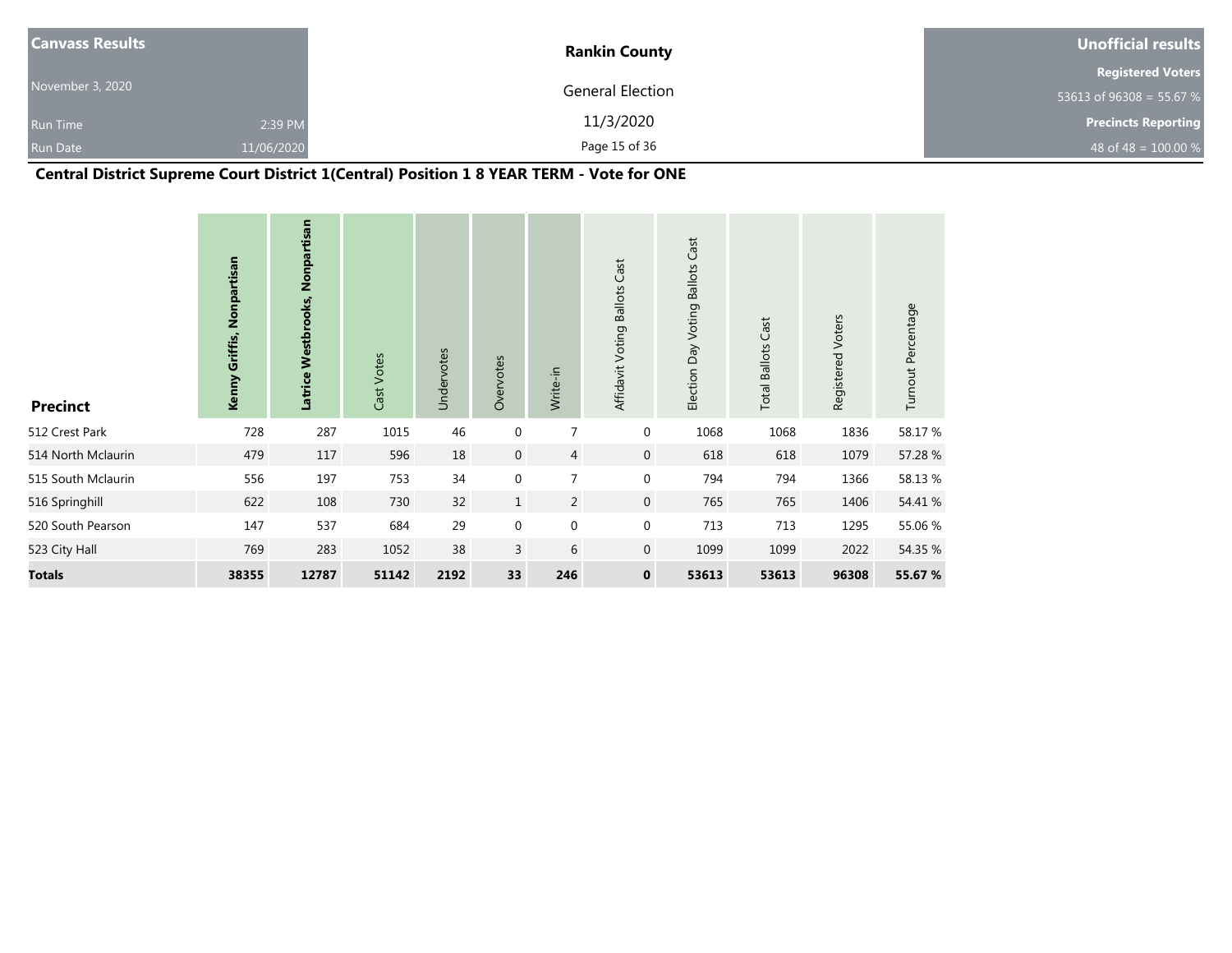| <b>Canvass Results</b> |            | <b>Rankin County</b> | Unofficial results         |
|------------------------|------------|----------------------|----------------------------|
|                        |            |                      | <b>Registered Voters</b>   |
| November 3, 2020       |            | General Election     | 53613 of 96308 = 55.67 %   |
| <b>Run Time</b>        | 2:39 PM    | 11/3/2020            | <b>Precincts Reporting</b> |
| <b>Run Date</b>        | 11/06/2020 | Page 15 of 36        | 48 of 48 = $100.00\%$      |

# **Central District Supreme Court District 1(Central) Position 1 8 YEAR TERM - Vote for ONE**

| <b>Precinct</b>    | Kenny Griffis, Nonpartisan | Latrice Westbrooks, Nonpartisan | Cast Votes | Undervotes | Overvotes    | Write-in       | Affidavit Voting Ballots Cast | <b>Ballots Cast</b><br>Election Day Voting | Cast<br><b>Total Ballots</b> | Registered Voters | Turnout Percentage |
|--------------------|----------------------------|---------------------------------|------------|------------|--------------|----------------|-------------------------------|--------------------------------------------|------------------------------|-------------------|--------------------|
| 512 Crest Park     | 728                        | 287                             | 1015       | 46         | $\mathbf 0$  | 7              | $\mathbf 0$                   | 1068                                       | 1068                         | 1836              | 58.17 %            |
| 514 North Mclaurin | 479                        | 117                             | 596        | 18         | $\mathbf 0$  | $\overline{4}$ | $\mathbf 0$                   | 618                                        | 618                          | 1079              | 57.28 %            |
| 515 South Mclaurin | 556                        | 197                             | 753        | 34         | $\mathbf 0$  | 7              | $\mathbf 0$                   | 794                                        | 794                          | 1366              | 58.13%             |
| 516 Springhill     | 622                        | 108                             | 730        | 32         | $\mathbf{1}$ | $\overline{2}$ | $\mathbf 0$                   | 765                                        | 765                          | 1406              | 54.41 %            |
| 520 South Pearson  | 147                        | 537                             | 684        | 29         | $\mathbf 0$  | $\mathbf 0$    | $\mathbf 0$                   | 713                                        | 713                          | 1295              | 55.06 %            |
| 523 City Hall      | 769                        | 283                             | 1052       | 38         | 3            | 6              | $\mathbf 0$                   | 1099                                       | 1099                         | 2022              | 54.35 %            |
| <b>Totals</b>      | 38355                      | 12787                           | 51142      | 2192       | 33           | 246            | $\mathbf 0$                   | 53613                                      | 53613                        | 96308             | 55.67 %            |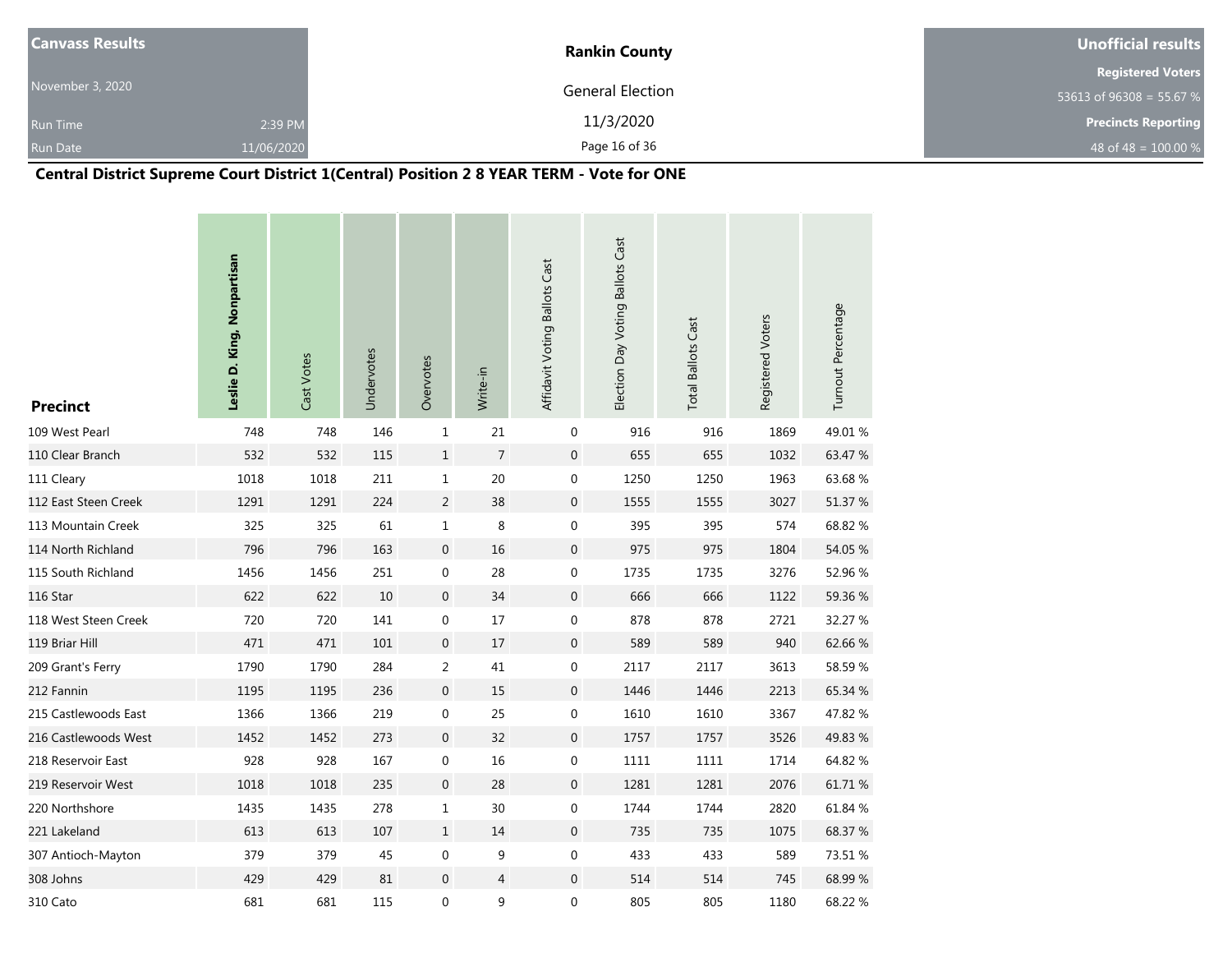| <b>Canvass Results</b> |            | <b>Rankin County</b> | Unofficial results         |
|------------------------|------------|----------------------|----------------------------|
|                        |            |                      | <b>Registered Voters</b>   |
| November 3, 2020       |            | General Election     | 53613 of $96308 = 55.67$ % |
| <b>Run Time</b>        | 2:39 PM    | 11/3/2020            | <b>Precincts Reporting</b> |
| <b>Run Date</b>        | 11/06/2020 | Page 16 of 36        | 48 of 48 = $100.00\%$      |

# **Central District Supreme Court District 1(Central) Position 2 8 YEAR TERM - Vote for ONE**

| <b>Precinct</b>      | Leslie D. King, Nonpartisan | Cast Votes | Undervotes | Overvotes        | Write-in       | Affidavit Voting Ballots Cast | Election Day Voting Ballots Cast | <b>Total Ballots Cast</b> | Registered Voters | Turnout Percentage |
|----------------------|-----------------------------|------------|------------|------------------|----------------|-------------------------------|----------------------------------|---------------------------|-------------------|--------------------|
| 109 West Pearl       | 748                         | 748        | 146        | $\mathbf 1$      | $21\,$         | $\mathbf 0$                   | 916                              | 916                       | 1869              | 49.01%             |
| 110 Clear Branch     | 532                         | 532        | 115        | $\,1$            | $\overline{7}$ | $\boldsymbol{0}$              | 655                              | 655                       | 1032              | 63.47 %            |
| 111 Cleary           | 1018                        | 1018       | 211        | $\mathbf 1$      | 20             | 0                             | 1250                             | 1250                      | 1963              | 63.68%             |
| 112 East Steen Creek | 1291                        | 1291       | 224        | $\overline{c}$   | 38             | $\boldsymbol{0}$              | 1555                             | 1555                      | 3027              | 51.37 %            |
| 113 Mountain Creek   | 325                         | 325        | 61         | $\mathbf 1$      | 8              | $\boldsymbol{0}$              | 395                              | 395                       | 574               | 68.82%             |
| 114 North Richland   | 796                         | 796        | 163        | $\boldsymbol{0}$ | 16             | $\boldsymbol{0}$              | 975                              | 975                       | 1804              | 54.05 %            |
| 115 South Richland   | 1456                        | 1456       | 251        | $\pmb{0}$        | 28             | $\boldsymbol{0}$              | 1735                             | 1735                      | 3276              | 52.96 %            |
| 116 Star             | 622                         | 622        | 10         | $\mathbf 0$      | 34             | $\boldsymbol{0}$              | 666                              | 666                       | 1122              | 59.36 %            |
| 118 West Steen Creek | 720                         | 720        | 141        | $\boldsymbol{0}$ | 17             | $\pmb{0}$                     | 878                              | 878                       | 2721              | 32.27 %            |
| 119 Briar Hill       | 471                         | 471        | 101        | $\boldsymbol{0}$ | 17             | $\boldsymbol{0}$              | 589                              | 589                       | 940               | 62.66%             |
| 209 Grant's Ferry    | 1790                        | 1790       | 284        | $\overline{2}$   | 41             | $\boldsymbol{0}$              | 2117                             | 2117                      | 3613              | 58.59%             |
| 212 Fannin           | 1195                        | 1195       | 236        | $\mathbf 0$      | 15             | $\boldsymbol{0}$              | 1446                             | 1446                      | 2213              | 65.34 %            |
| 215 Castlewoods East | 1366                        | 1366       | 219        | $\pmb{0}$        | 25             | $\pmb{0}$                     | 1610                             | 1610                      | 3367              | 47.82 %            |
| 216 Castlewoods West | 1452                        | 1452       | 273        | $\boldsymbol{0}$ | 32             | $\mathbf 0$                   | 1757                             | 1757                      | 3526              | 49.83%             |
| 218 Reservoir East   | 928                         | 928        | 167        | $\pmb{0}$        | 16             | $\pmb{0}$                     | 1111                             | 1111                      | 1714              | 64.82 %            |
| 219 Reservoir West   | 1018                        | 1018       | 235        | $\mathbf 0$      | 28             | $\boldsymbol{0}$              | 1281                             | 1281                      | 2076              | 61.71%             |
| 220 Northshore       | 1435                        | 1435       | 278        | $\mathbf{1}$     | 30             | $\boldsymbol{0}$              | 1744                             | 1744                      | 2820              | 61.84 %            |
| 221 Lakeland         | 613                         | 613        | 107        | $\mathbf{1}$     | 14             | $\boldsymbol{0}$              | 735                              | 735                       | 1075              | 68.37 %            |
| 307 Antioch-Mayton   | 379                         | 379        | 45         | $\boldsymbol{0}$ | 9              | $\boldsymbol{0}$              | 433                              | 433                       | 589               | 73.51 %            |
| 308 Johns            | 429                         | 429        | 81         | $\mathbf 0$      | 4              | $\mathbf 0$                   | 514                              | 514                       | 745               | 68.99%             |
| 310 Cato             | 681                         | 681        | 115        | 0                | 9              | $\boldsymbol{0}$              | 805                              | 805                       | 1180              | 68.22 %            |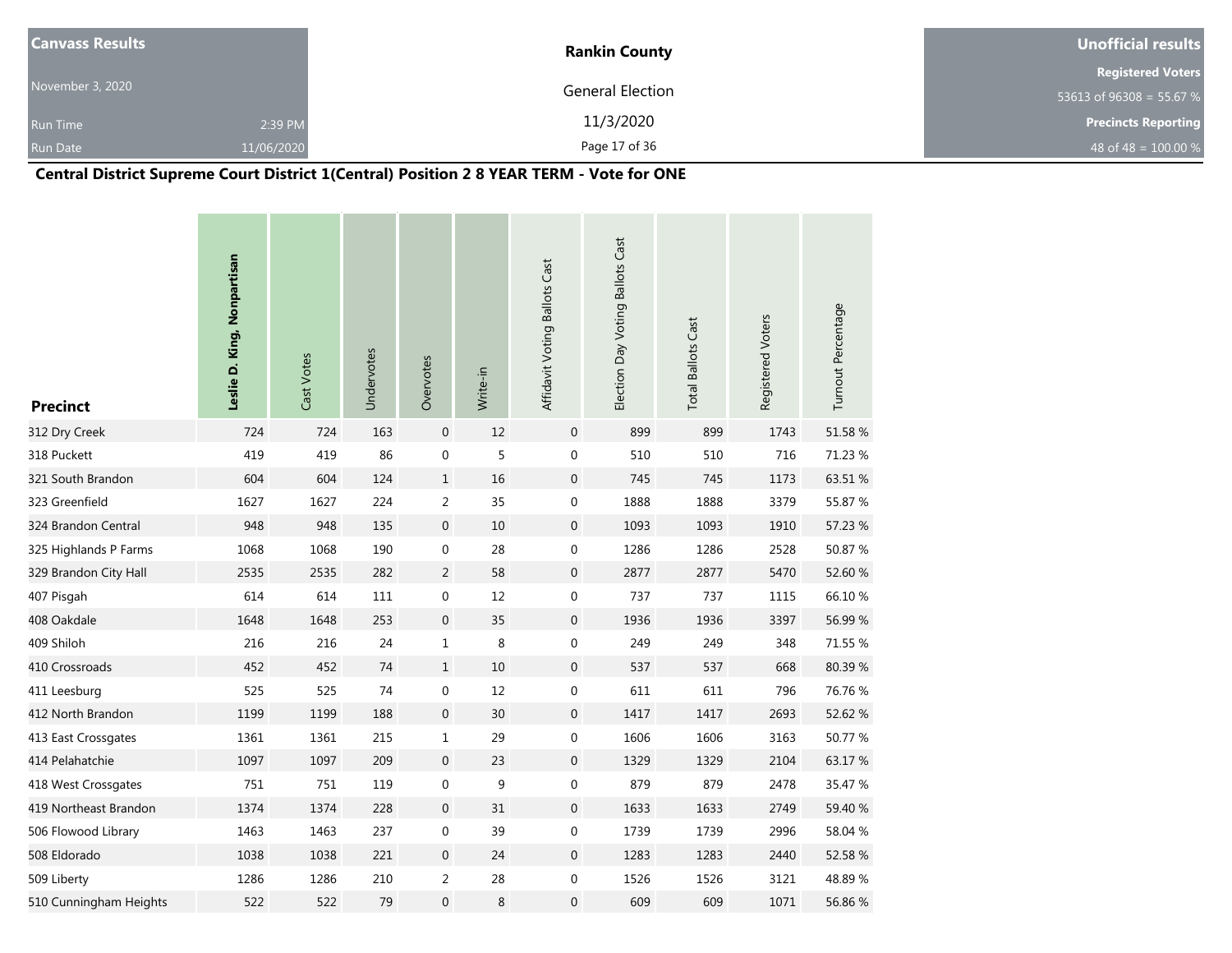| <b>Canvass Results</b> |            | <b>Rankin County</b> | Unofficial results         |
|------------------------|------------|----------------------|----------------------------|
|                        |            |                      | <b>Registered Voters</b>   |
| November 3, 2020       |            | General Election     | 53613 of 96308 = 55.67 %   |
| <b>Run Time</b>        | 2:39 PM    | 11/3/2020            | <b>Precincts Reporting</b> |
| <b>Run Date</b>        | 11/06/2020 | Page 17 of 36        | 48 of 48 = $100.00\%$      |

# **Central District Supreme Court District 1(Central) Position 2 8 YEAR TERM - Vote for ONE**

| <b>Precinct</b>        | Leslie D. King, Nonpartisan | Cast Votes | Undervotes | Overvotes        | Write-in | Affidavit Voting Ballots Cast | Election Day Voting Ballots Cast | <b>Total Ballots Cast</b> | Registered Voters | Turnout Percentage |
|------------------------|-----------------------------|------------|------------|------------------|----------|-------------------------------|----------------------------------|---------------------------|-------------------|--------------------|
| 312 Dry Creek          | 724                         | 724        | 163        | $\mathbf 0$      | 12       | $\mathbf 0$                   | 899                              | 899                       | 1743              | 51.58%             |
| 318 Puckett            | 419                         | 419        | 86         | $\boldsymbol{0}$ | 5        | $\boldsymbol{0}$              | 510                              | 510                       | 716               | 71.23 %            |
| 321 South Brandon      | 604                         | 604        | 124        | $\mathbf{1}$     | 16       | $\boldsymbol{0}$              | 745                              | 745                       | 1173              | 63.51 %            |
| 323 Greenfield         | 1627                        | 1627       | 224        | $\overline{c}$   | 35       | $\boldsymbol{0}$              | 1888                             | 1888                      | 3379              | 55.87 %            |
| 324 Brandon Central    | 948                         | 948        | 135        | $\mathbf 0$      | 10       | $\overline{0}$                | 1093                             | 1093                      | 1910              | 57.23 %            |
| 325 Highlands P Farms  | 1068                        | 1068       | 190        | $\boldsymbol{0}$ | 28       | $\boldsymbol{0}$              | 1286                             | 1286                      | 2528              | 50.87%             |
| 329 Brandon City Hall  | 2535                        | 2535       | 282        | $\overline{2}$   | 58       | $\boldsymbol{0}$              | 2877                             | 2877                      | 5470              | 52.60 %            |
| 407 Pisgah             | 614                         | 614        | 111        | $\boldsymbol{0}$ | 12       | $\boldsymbol{0}$              | 737                              | 737                       | 1115              | 66.10%             |
| 408 Oakdale            | 1648                        | 1648       | 253        | $\boldsymbol{0}$ | 35       | $\boldsymbol{0}$              | 1936                             | 1936                      | 3397              | 56.99 %            |
| 409 Shiloh             | 216                         | 216        | 24         | $\mathbf{1}$     | 8        | $\boldsymbol{0}$              | 249                              | 249                       | 348               | 71.55 %            |
| 410 Crossroads         | 452                         | 452        | 74         | $\mathbf{1}$     | 10       | $\boldsymbol{0}$              | 537                              | 537                       | 668               | 80.39%             |
| 411 Leesburg           | 525                         | 525        | 74         | $\mathbf 0$      | 12       | $\pmb{0}$                     | 611                              | 611                       | 796               | 76.76%             |
| 412 North Brandon      | 1199                        | 1199       | 188        | $\mathbf{0}$     | 30       | $\overline{0}$                | 1417                             | 1417                      | 2693              | 52.62 %            |
| 413 East Crossgates    | 1361                        | 1361       | 215        | 1                | 29       | $\boldsymbol{0}$              | 1606                             | 1606                      | 3163              | 50.77 %            |
| 414 Pelahatchie        | 1097                        | 1097       | 209        | $\mathbf 0$      | 23       | $\boldsymbol{0}$              | 1329                             | 1329                      | 2104              | 63.17%             |
| 418 West Crossgates    | 751                         | 751        | 119        | 0                | 9        | $\pmb{0}$                     | 879                              | 879                       | 2478              | 35.47 %            |
| 419 Northeast Brandon  | 1374                        | 1374       | 228        | $\mathbf 0$      | 31       | $\overline{0}$                | 1633                             | 1633                      | 2749              | 59.40 %            |
| 506 Flowood Library    | 1463                        | 1463       | 237        | $\boldsymbol{0}$ | 39       | $\boldsymbol{0}$              | 1739                             | 1739                      | 2996              | 58.04 %            |
| 508 Eldorado           | 1038                        | 1038       | 221        | $\boldsymbol{0}$ | 24       | $\boldsymbol{0}$              | 1283                             | 1283                      | 2440              | 52.58 %            |
| 509 Liberty            | 1286                        | 1286       | 210        | 2                | 28       | $\boldsymbol{0}$              | 1526                             | 1526                      | 3121              | 48.89%             |
| 510 Cunningham Heights | 522                         | 522        | 79         | 0                | 8        | $\boldsymbol{0}$              | 609                              | 609                       | 1071              | 56.86%             |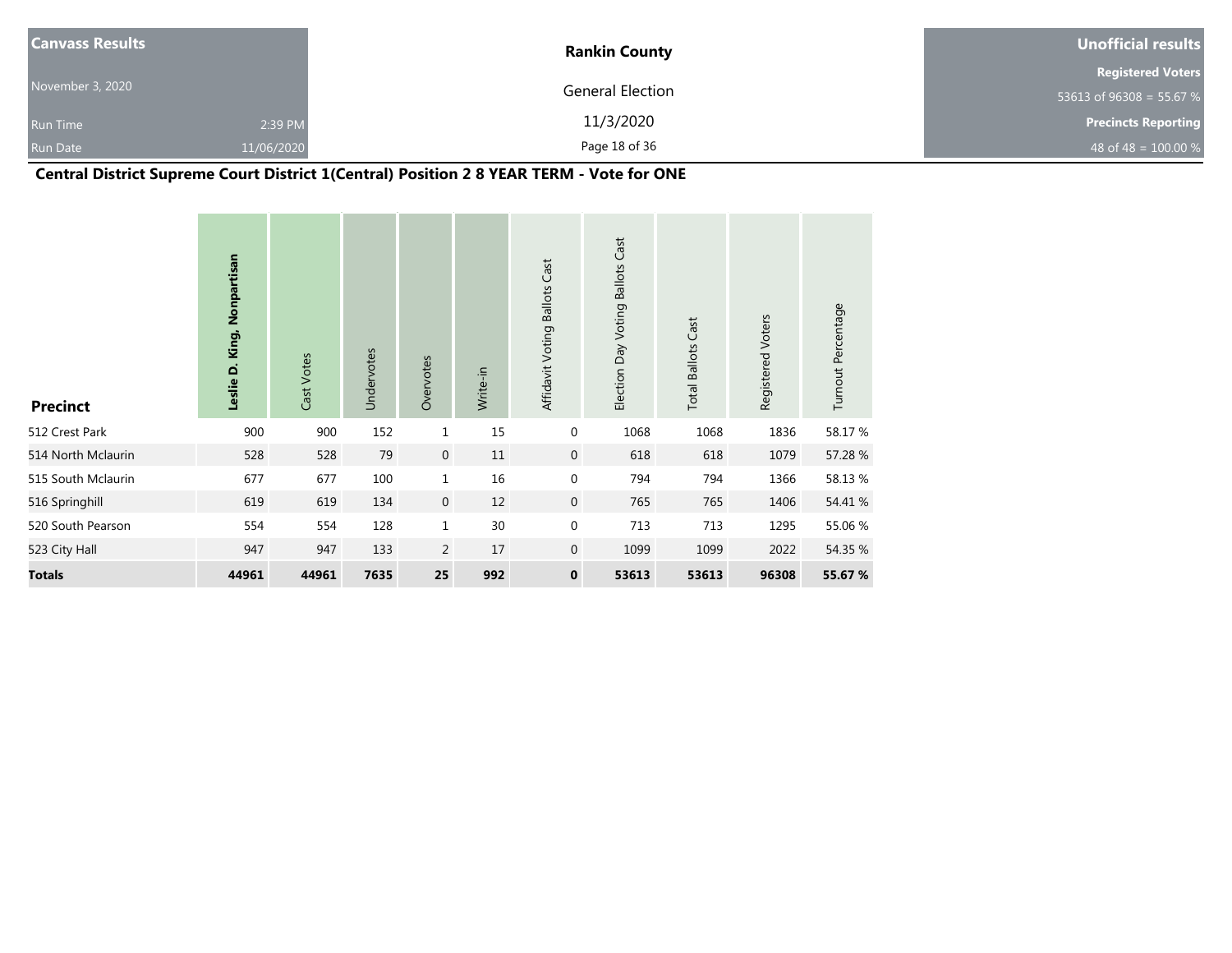| <b>Canvass Results</b> |            | <b>Rankin County</b> | Unofficial results         |
|------------------------|------------|----------------------|----------------------------|
|                        |            |                      | <b>Registered Voters</b>   |
| November 3, 2020       |            | General Election     | 53613 of 96308 = 55.67 %   |
| <b>Run Time</b>        | 2:39 PM    | 11/3/2020            | <b>Precincts Reporting</b> |
| <b>Run Date</b>        | 11/06/2020 | Page 18 of 36        | 48 of 48 = $100.00\%$      |

# **Central District Supreme Court District 1(Central) Position 2 8 YEAR TERM - Vote for ONE**

| <b>Precinct</b>    | Leslie D. King, Nonpartisan | Cast Votes | Undervotes | Overvotes      | Write-in | Affidavit Voting Ballots Cast | Election Day Voting Ballots Cast | <b>Total Ballots Cast</b> | Registered Voters | Turnout Percentage |
|--------------------|-----------------------------|------------|------------|----------------|----------|-------------------------------|----------------------------------|---------------------------|-------------------|--------------------|
| 512 Crest Park     | 900                         | 900        | 152        | 1              | 15       | $\mathbf 0$                   | 1068                             | 1068                      | 1836              | 58.17 %            |
| 514 North Mclaurin | 528                         | 528        | 79         | $\mathbf 0$    | 11       | $\overline{0}$                | 618                              | 618                       | 1079              | 57.28 %            |
| 515 South Mclaurin | 677                         | 677        | 100        | $\mathbf{1}$   | 16       | $\mathbf 0$                   | 794                              | 794                       | 1366              | 58.13%             |
| 516 Springhill     | 619                         | 619        | 134        | $\mathbf 0$    | 12       | $\overline{0}$                | 765                              | 765                       | 1406              | 54.41 %            |
| 520 South Pearson  | 554                         | 554        | 128        | $\mathbf 1$    | 30       | $\mathbf 0$                   | 713                              | 713                       | 1295              | 55.06 %            |
| 523 City Hall      | 947                         | 947        | 133        | $\overline{2}$ | 17       | $\overline{0}$                | 1099                             | 1099                      | 2022              | 54.35 %            |
| <b>Totals</b>      | 44961                       | 44961      | 7635       | 25             | 992      | $\mathbf 0$                   | 53613                            | 53613                     | 96308             | 55.67 %            |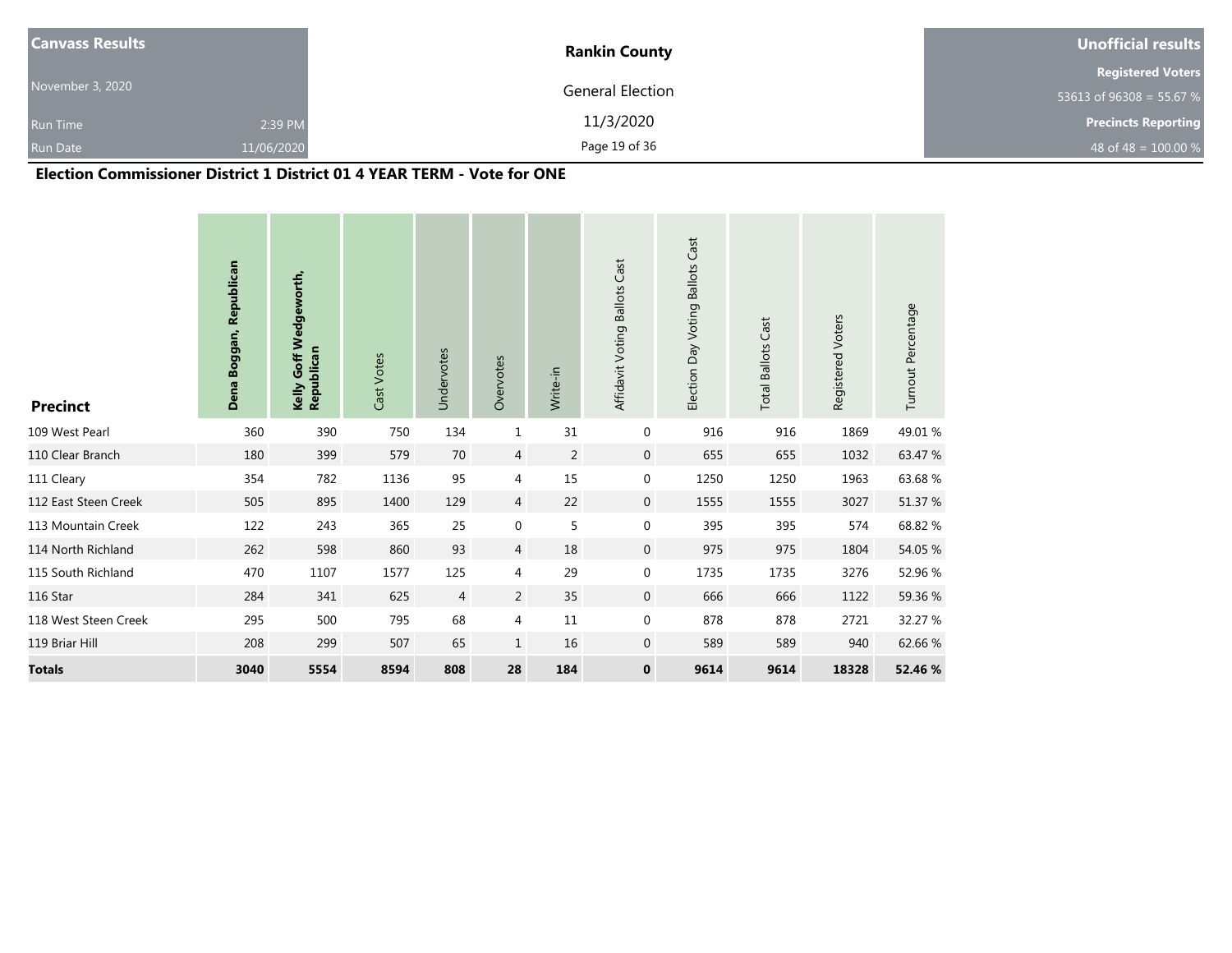| <b>Canvass Results</b> |            | <b>Rankin County</b> | <b>Unofficial results</b>  |
|------------------------|------------|----------------------|----------------------------|
|                        |            |                      | <b>Registered Voters</b>   |
| November 3, 2020       |            | General Election     | 53613 of 96308 = 55.67 %   |
| <b>Run Time</b>        | 2:39 PM    | 11/3/2020            | <b>Precincts Reporting</b> |
| <b>Run Date</b>        | 11/06/2020 | Page 19 of 36        | 48 of 48 = $100.00\%$      |

## **Election Commissioner District 1 District 01 4 YEAR TERM - Vote for ONE**

| <b>Precinct</b>      | Republican<br>Dena Boggan, | Goff Wedgeworth,<br>Republican<br>Kelly | Cast Votes | Undervotes     | Overvotes        | Write-in       | Affidavit Voting Ballots Cast | Election Day Voting Ballots Cast | <b>Total Ballots Cast</b> | Registered Voters | Turnout Percentage |
|----------------------|----------------------------|-----------------------------------------|------------|----------------|------------------|----------------|-------------------------------|----------------------------------|---------------------------|-------------------|--------------------|
| 109 West Pearl       | 360                        | 390                                     | 750        | 134            | $1\,$            | 31             | 0                             | 916                              | 916                       | 1869              | 49.01 %            |
| 110 Clear Branch     | 180                        | 399                                     | 579        | 70             | 4                | $\overline{2}$ | $\pmb{0}$                     | 655                              | 655                       | 1032              | 63.47 %            |
| 111 Cleary           | 354                        | 782                                     | 1136       | 95             | 4                | 15             | 0                             | 1250                             | 1250                      | 1963              | 63.68%             |
| 112 East Steen Creek | 505                        | 895                                     | 1400       | 129            | 4                | 22             | $\mathbf 0$                   | 1555                             | 1555                      | 3027              | 51.37 %            |
| 113 Mountain Creek   | 122                        | 243                                     | 365        | 25             | $\boldsymbol{0}$ | 5              | 0                             | 395                              | 395                       | 574               | 68.82 %            |
| 114 North Richland   | 262                        | 598                                     | 860        | 93             | $\overline{4}$   | 18             | $\mathbf 0$                   | 975                              | 975                       | 1804              | 54.05 %            |
| 115 South Richland   | 470                        | 1107                                    | 1577       | 125            | 4                | 29             | 0                             | 1735                             | 1735                      | 3276              | 52.96 %            |
| 116 Star             | 284                        | 341                                     | 625        | $\overline{4}$ | 2                | 35             | $\mathbf{0}$                  | 666                              | 666                       | 1122              | 59.36 %            |
| 118 West Steen Creek | 295                        | 500                                     | 795        | 68             | 4                | $11\,$         | 0                             | 878                              | 878                       | 2721              | 32.27 %            |
| 119 Briar Hill       | 208                        | 299                                     | 507        | 65             | $\mathbf{1}$     | 16             | 0                             | 589                              | 589                       | 940               | 62.66 %            |
| <b>Totals</b>        | 3040                       | 5554                                    | 8594       | 808            | 28               | 184            | $\mathbf 0$                   | 9614                             | 9614                      | 18328             | 52.46 %            |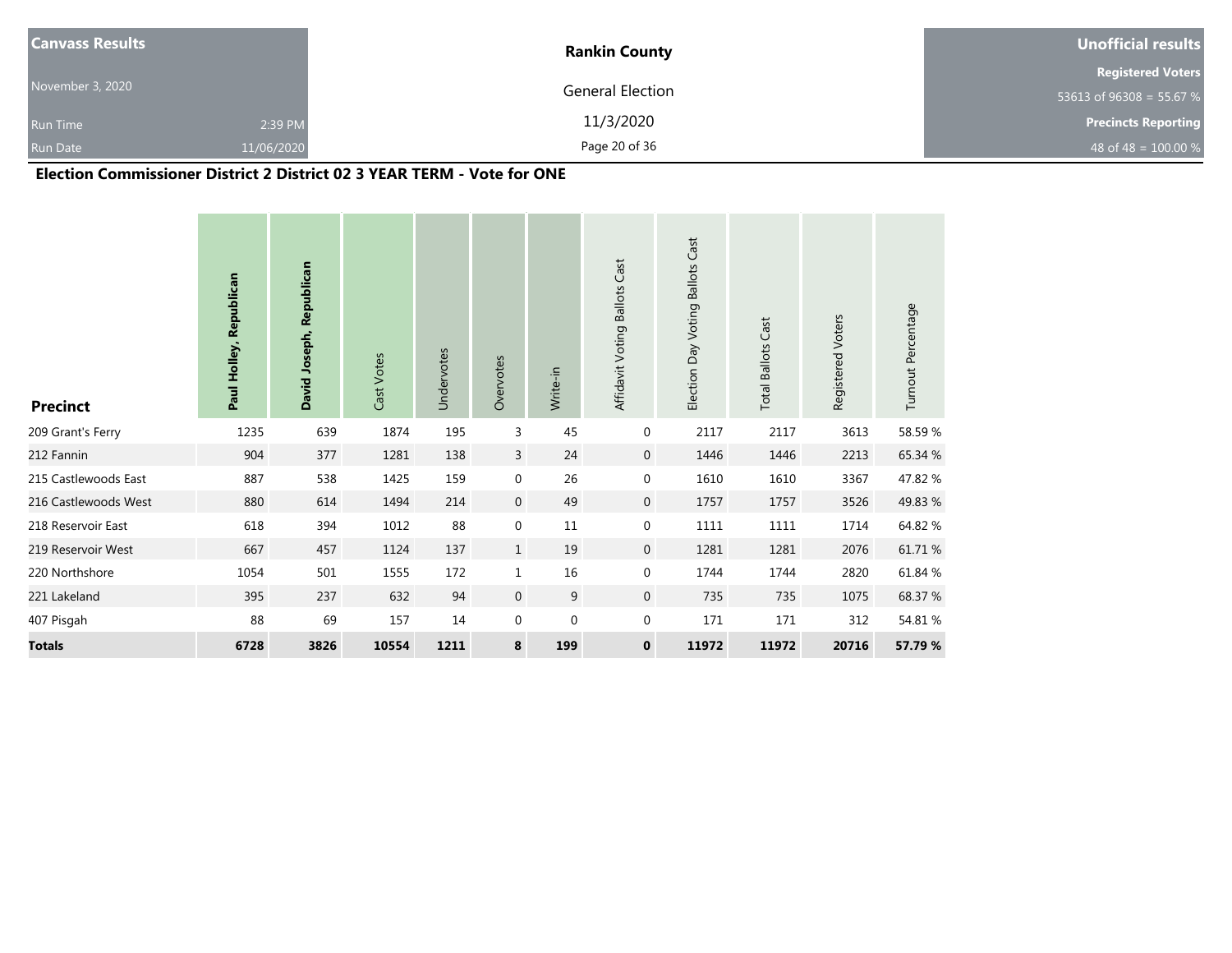| <b>Canvass Results</b> |            | <b>Rankin County</b> | <b>Unofficial results</b>  |
|------------------------|------------|----------------------|----------------------------|
|                        |            |                      | <b>Registered Voters</b>   |
| November 3, 2020       |            | General Election     | 53613 of 96308 = 55.67 %   |
| <b>Run Time</b>        | 2:39 PM    | 11/3/2020            | <b>Precincts Reporting</b> |
| <b>Run Date</b>        | 11/06/2020 | Page 20 of 36        | 48 of 48 = $100.00\%$      |

#### **Election Commissioner District 2 District 02 3 YEAR TERM - Vote for ONE**

| <b>Precinct</b>      | Paul Holley, Republican | David Joseph, Republican | Cast Votes | Undervotes | Overvotes        | Write-in    | Affidavit Voting Ballots Cast | Cast<br>Day Voting Ballots<br>Election | <b>Total Ballots Cast</b> | Registered Voters | Turnout Percentage |
|----------------------|-------------------------|--------------------------|------------|------------|------------------|-------------|-------------------------------|----------------------------------------|---------------------------|-------------------|--------------------|
| 209 Grant's Ferry    | 1235                    | 639                      | 1874       | 195        | 3                | 45          | 0                             | 2117                                   | 2117                      | 3613              | 58.59 %            |
| 212 Fannin           | 904                     | 377                      | 1281       | 138        | 3                | 24          | $\mathbf 0$                   | 1446                                   | 1446                      | 2213              | 65.34 %            |
| 215 Castlewoods East | 887                     | 538                      | 1425       | 159        | $\boldsymbol{0}$ | 26          | 0                             | 1610                                   | 1610                      | 3367              | 47.82 %            |
| 216 Castlewoods West | 880                     | 614                      | 1494       | 214        | $\mathbf 0$      | 49          | $\mathbf 0$                   | 1757                                   | 1757                      | 3526              | 49.83 %            |
| 218 Reservoir East   | 618                     | 394                      | 1012       | 88         | $\boldsymbol{0}$ | 11          | 0                             | 1111                                   | 1111                      | 1714              | 64.82 %            |
| 219 Reservoir West   | 667                     | 457                      | 1124       | 137        | $\mathbf{1}$     | 19          | $\mathbf 0$                   | 1281                                   | 1281                      | 2076              | 61.71 %            |
| 220 Northshore       | 1054                    | 501                      | 1555       | 172        | $\mathbf{1}$     | 16          | 0                             | 1744                                   | 1744                      | 2820              | 61.84 %            |
| 221 Lakeland         | 395                     | 237                      | 632        | 94         | $\mathbf 0$      | 9           | $\mathbf{0}$                  | 735                                    | 735                       | 1075              | 68.37 %            |
| 407 Pisgah           | 88                      | 69                       | 157        | 14         | 0                | $\mathbf 0$ | 0                             | 171                                    | 171                       | 312               | 54.81 %            |
| <b>Totals</b>        | 6728                    | 3826                     | 10554      | 1211       | 8                | 199         | 0                             | 11972                                  | 11972                     | 20716             | 57.79 %            |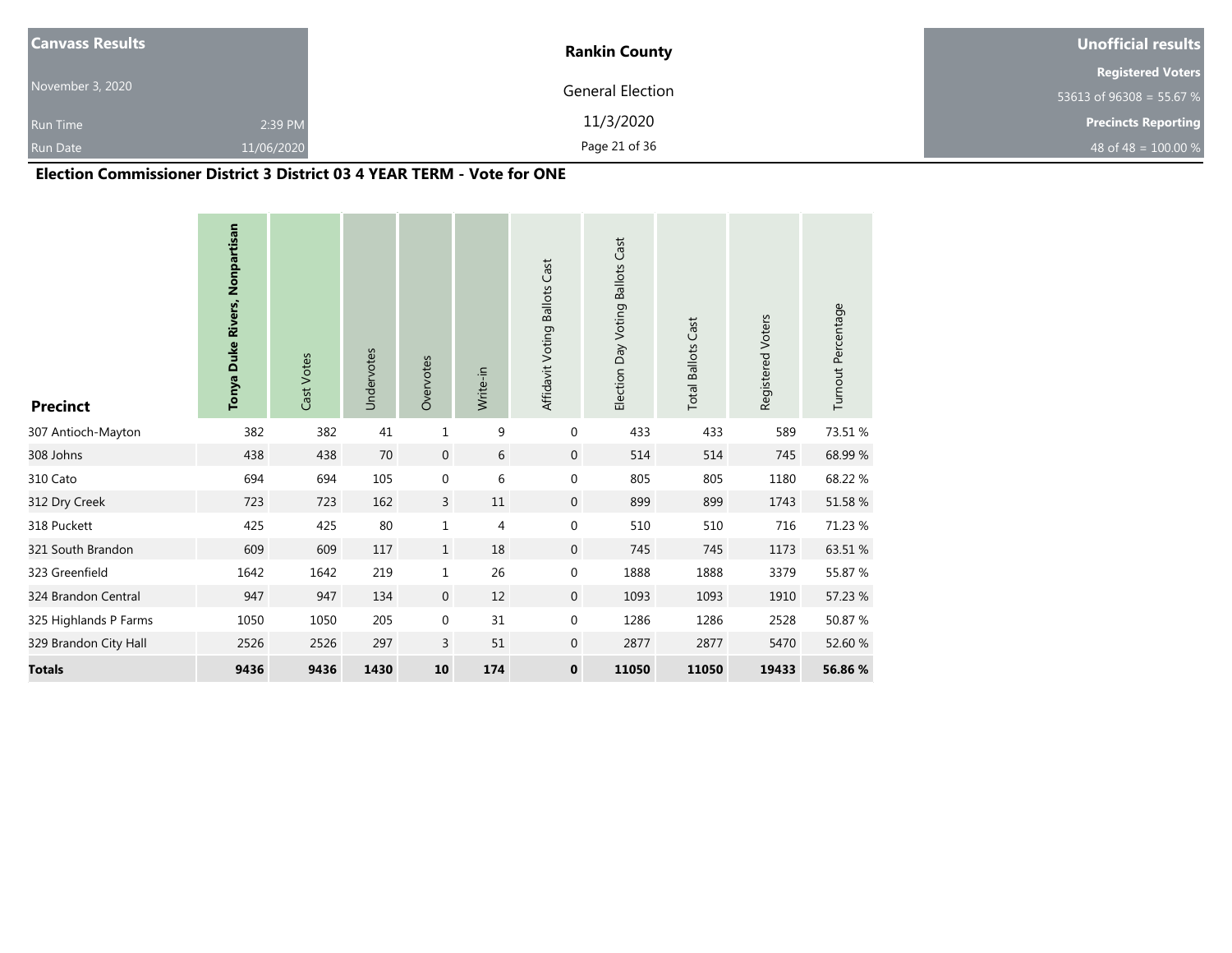| <b>Canvass Results</b> |            | <b>Rankin County</b> | Unofficial results         |
|------------------------|------------|----------------------|----------------------------|
|                        |            |                      | <b>Registered Voters</b>   |
| November 3, 2020       |            | General Election     | 53613 of 96308 = 55.67 %   |
| <b>Run Time</b>        | 2:39 PM    | 11/3/2020            | <b>Precincts Reporting</b> |
| <b>Run Date</b>        | 11/06/2020 | Page 21 of 36        | 48 of 48 = $100.00\%$      |

#### **Election Commissioner District 3 District 03 4 YEAR TERM - Vote for ONE**

| <b>Precinct</b>       | Tonya Duke Rivers, Nonpartisan | Cast Votes | Undervotes | Overvotes      | Write-in       | Affidavit Voting Ballots Cast | Election Day Voting Ballots Cast | <b>Total Ballots Cast</b> | Registered Voters | Turnout Percentage |
|-----------------------|--------------------------------|------------|------------|----------------|----------------|-------------------------------|----------------------------------|---------------------------|-------------------|--------------------|
| 307 Antioch-Mayton    | 382                            | 382        | 41         | $\mathbf 1$    | 9              | $\boldsymbol{0}$              | 433                              | 433                       | 589               | 73.51 %            |
| 308 Johns             | 438                            | 438        | 70         | $\mathbf 0$    | 6              | $\boldsymbol{0}$              | 514                              | 514                       | 745               | 68.99%             |
| 310 Cato              | 694                            | 694        | 105        | $\mathbf 0$    | 6              | $\boldsymbol{0}$              | 805                              | 805                       | 1180              | 68.22 %            |
| 312 Dry Creek         | 723                            | 723        | 162        | $\overline{3}$ | 11             | $\overline{0}$                | 899                              | 899                       | 1743              | 51.58 %            |
| 318 Puckett           | 425                            | 425        | 80         | $\mathbf{1}$   | $\overline{4}$ | $\boldsymbol{0}$              | 510                              | 510                       | 716               | 71.23 %            |
| 321 South Brandon     | 609                            | 609        | 117        | $\mathbf{1}$   | 18             | $\boldsymbol{0}$              | 745                              | 745                       | 1173              | 63.51 %            |
| 323 Greenfield        | 1642                           | 1642       | 219        | $\mathbf{1}$   | 26             | $\boldsymbol{0}$              | 1888                             | 1888                      | 3379              | 55.87 %            |
| 324 Brandon Central   | 947                            | 947        | 134        | $\mathbf{0}$   | 12             | $\mathbf{0}$                  | 1093                             | 1093                      | 1910              | 57.23 %            |
| 325 Highlands P Farms | 1050                           | 1050       | 205        | $\mathbf 0$    | 31             | $\boldsymbol{0}$              | 1286                             | 1286                      | 2528              | 50.87 %            |
| 329 Brandon City Hall | 2526                           | 2526       | 297        | 3              | 51             | $\boldsymbol{0}$              | 2877                             | 2877                      | 5470              | 52.60 %            |
| <b>Totals</b>         | 9436                           | 9436       | 1430       | 10             | 174            | $\mathbf 0$                   | 11050                            | 11050                     | 19433             | 56.86 %            |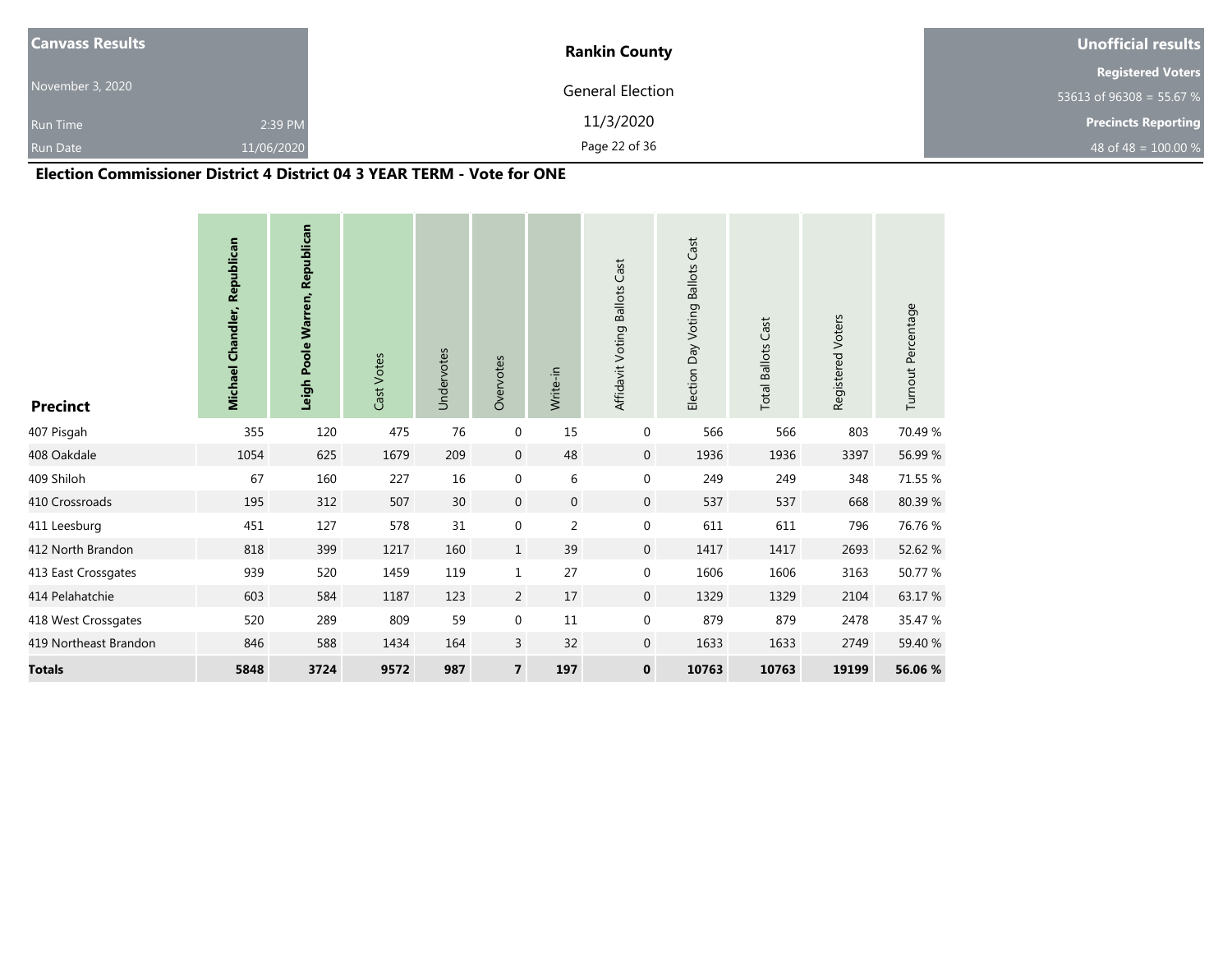| <b>Canvass Results</b> |            | <b>Rankin County</b> | Unofficial results         |
|------------------------|------------|----------------------|----------------------------|
|                        |            |                      | <b>Registered Voters</b>   |
| November 3, 2020       |            | General Election     | 53613 of 96308 = 55.67 %   |
| <b>Run Time</b>        | 2:39 PM    | 11/3/2020            | <b>Precincts Reporting</b> |
| <b>Run Date</b>        | 11/06/2020 | Page 22 of 36        | 48 of 48 = $100.00\%$      |

## **Election Commissioner District 4 District 04 3 YEAR TERM - Vote for ONE**

| <b>Precinct</b>       | <b>Michael Chandler, Republican</b> | Leigh Poole Warren, Republican | Cast Votes | Undervotes | Overvotes        | Write-in         | Affidavit Voting Ballots Cast | Election Day Voting Ballots Cast | <b>Total Ballots Cast</b> | Registered Voters | Turnout Percentage |
|-----------------------|-------------------------------------|--------------------------------|------------|------------|------------------|------------------|-------------------------------|----------------------------------|---------------------------|-------------------|--------------------|
| 407 Pisgah            | 355                                 | 120                            | 475        | 76         | $\boldsymbol{0}$ | 15               | 0                             | 566                              | 566                       | 803               | 70.49 %            |
| 408 Oakdale           | 1054                                | 625                            | 1679       | 209        | $\mathbf{0}$     | 48               | $\mathbf 0$                   | 1936                             | 1936                      | 3397              | 56.99 %            |
| 409 Shiloh            | 67                                  | 160                            | 227        | 16         | $\boldsymbol{0}$ | 6                | $\mathbf 0$                   | 249                              | 249                       | 348               | 71.55 %            |
| 410 Crossroads        | 195                                 | 312                            | 507        | 30         | $\mathbf 0$      | $\boldsymbol{0}$ | $\overline{0}$                | 537                              | 537                       | 668               | 80.39%             |
| 411 Leesburg          | 451                                 | 127                            | 578        | 31         | $\boldsymbol{0}$ | 2                | $\mathbf 0$                   | 611                              | 611                       | 796               | 76.76 %            |
| 412 North Brandon     | 818                                 | 399                            | 1217       | 160        | $\mathbf 1$      | 39               | $\mathsf{O}\xspace$           | 1417                             | 1417                      | 2693              | 52.62 %            |
| 413 East Crossgates   | 939                                 | 520                            | 1459       | 119        | $\mathbf 1$      | 27               | $\mathbf 0$                   | 1606                             | 1606                      | 3163              | 50.77 %            |
| 414 Pelahatchie       | 603                                 | 584                            | 1187       | 123        | 2                | 17               | $\mathbf 0$                   | 1329                             | 1329                      | 2104              | 63.17 %            |
| 418 West Crossgates   | 520                                 | 289                            | 809        | 59         | $\boldsymbol{0}$ | 11               | 0                             | 879                              | 879                       | 2478              | 35.47 %            |
| 419 Northeast Brandon | 846                                 | 588                            | 1434       | 164        | 3                | 32               | $\mathbf 0$                   | 1633                             | 1633                      | 2749              | 59.40 %            |
| <b>Totals</b>         | 5848                                | 3724                           | 9572       | 987        | $\overline{7}$   | 197              | $\mathbf 0$                   | 10763                            | 10763                     | 19199             | 56.06 %            |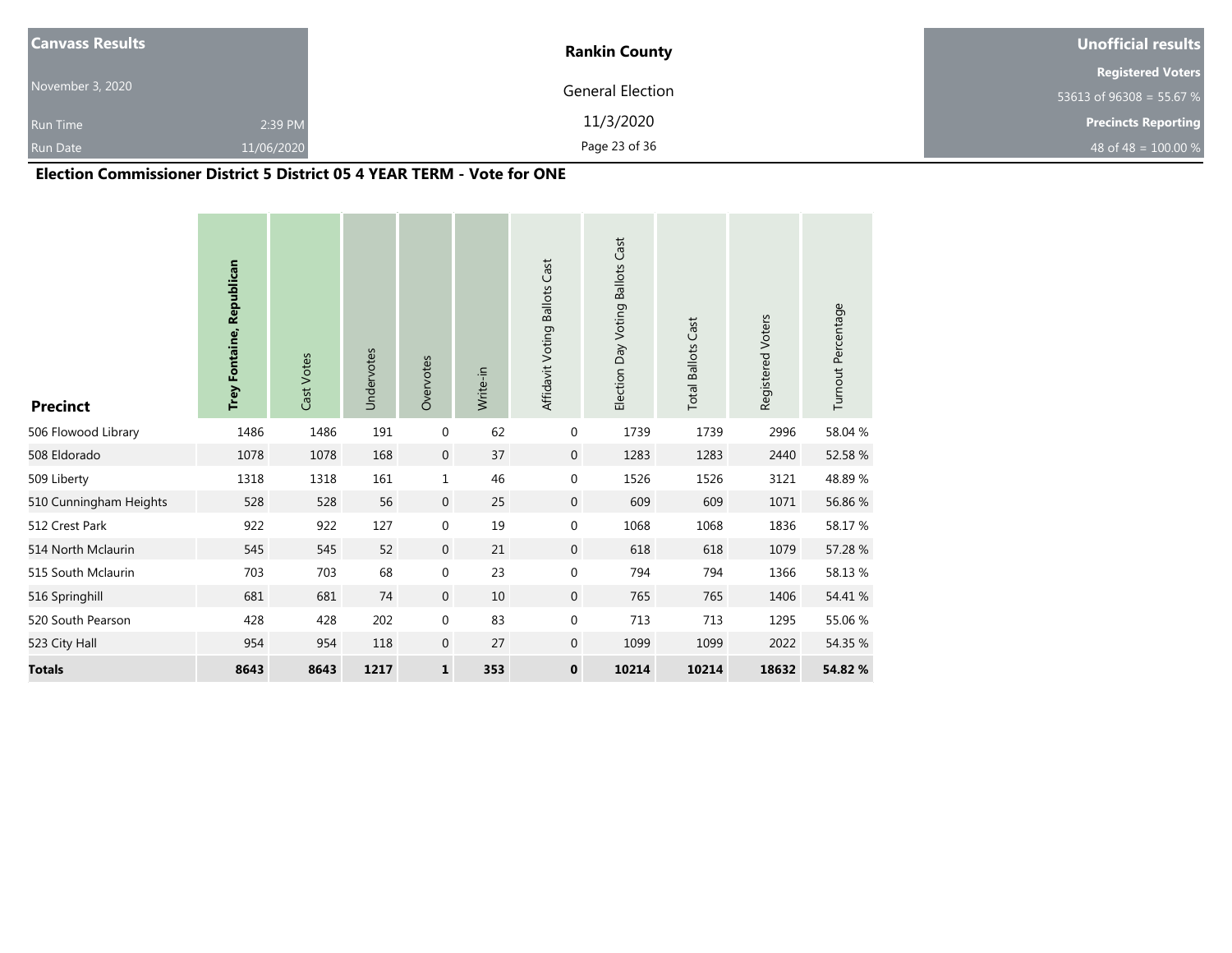| <b>Canvass Results</b> |            | <b>Rankin County</b> | Unofficial results         |
|------------------------|------------|----------------------|----------------------------|
|                        |            |                      | <b>Registered Voters</b>   |
| November 3, 2020       |            | General Election     | 53613 of 96308 = 55.67 %   |
| <b>Run Time</b>        | 2:39 PM    | 11/3/2020            | <b>Precincts Reporting</b> |
| <b>Run Date</b>        | 11/06/2020 | Page 23 of 36        | 48 of 48 = $100.00 %$      |

#### **Election Commissioner District 5 District 05 4 YEAR TERM - Vote for ONE**

| <b>Precinct</b>        | Trey Fontaine, Republican | Cast Votes | Undervotes | Overvotes    | Write-in | Affidavit Voting Ballots Cast | Election Day Voting Ballots Cast | <b>Total Ballots Cast</b> | Registered Voters | Turnout Percentage |
|------------------------|---------------------------|------------|------------|--------------|----------|-------------------------------|----------------------------------|---------------------------|-------------------|--------------------|
| 506 Flowood Library    | 1486                      | 1486       | 191        | $\mathbf{0}$ | 62       | $\mathbf 0$                   | 1739                             | 1739                      | 2996              | 58.04 %            |
| 508 Eldorado           | 1078                      | 1078       | 168        | $\mathbf 0$  | 37       | $\mathbf{0}$                  | 1283                             | 1283                      | 2440              | 52.58 %            |
| 509 Liberty            | 1318                      | 1318       | 161        | $\mathbf{1}$ | 46       | $\pmb{0}$                     | 1526                             | 1526                      | 3121              | 48.89%             |
| 510 Cunningham Heights | 528                       | 528        | 56         | $\mathbf{0}$ | 25       | $\overline{0}$                | 609                              | 609                       | 1071              | 56.86 %            |
| 512 Crest Park         | 922                       | 922        | 127        | $\mathbf 0$  | 19       | $\boldsymbol{0}$              | 1068                             | 1068                      | 1836              | 58.17 %            |
| 514 North Mclaurin     | 545                       | 545        | 52         | $\mathbf 0$  | 21       | $\boldsymbol{0}$              | 618                              | 618                       | 1079              | 57.28 %            |
| 515 South Mclaurin     | 703                       | 703        | 68         | $\mathbf 0$  | 23       | $\pmb{0}$                     | 794                              | 794                       | 1366              | 58.13%             |
| 516 Springhill         | 681                       | 681        | 74         | $\mathbf{0}$ | 10       | $\mathbf{0}$                  | 765                              | 765                       | 1406              | 54.41 %            |
| 520 South Pearson      | 428                       | 428        | 202        | $\mathbf 0$  | 83       | $\boldsymbol{0}$              | 713                              | 713                       | 1295              | 55.06 %            |
| 523 City Hall          | 954                       | 954        | 118        | $\mathbf 0$  | 27       | $\mathbf 0$                   | 1099                             | 1099                      | 2022              | 54.35 %            |
| <b>Totals</b>          | 8643                      | 8643       | 1217       | $\mathbf{1}$ | 353      | $\mathbf 0$                   | 10214                            | 10214                     | 18632             | 54.82 %            |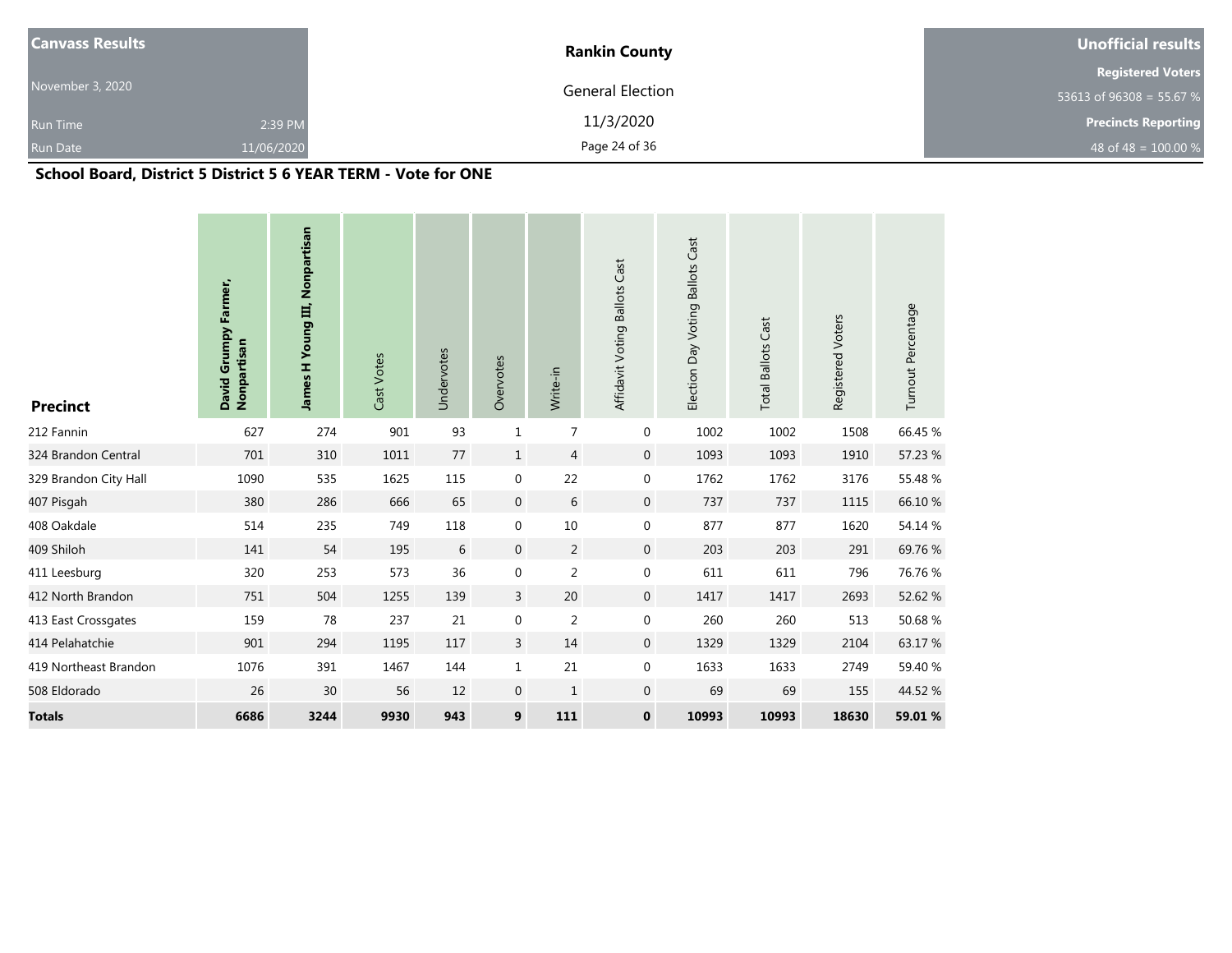| <b>Canvass Results</b> |            | <b>Rankin County</b> | Unofficial results         |
|------------------------|------------|----------------------|----------------------------|
|                        |            |                      | <b>Registered Voters</b>   |
| November 3, 2020       |            | General Election     | 53613 of 96308 = 55.67 %   |
| <b>Run Time</b>        | 2:39 PM    | 11/3/2020            | <b>Precincts Reporting</b> |
| <b>Run Date</b>        | 11/06/2020 | Page 24 of 36        | 48 of 48 = $100.00 %$      |

## **School Board, District 5 District 5 6 YEAR TERM - Vote for ONE**

| <b>Precinct</b>       | David Grumpy Farmer,<br>Nonpartisan | James H Young III, Nonpartisan | Cast Votes | Undervotes  | Overvotes        | Write-in       | Affidavit Voting Ballots Cast | Election Day Voting Ballots Cast | <b>Total Ballots Cast</b> | Registered Voters | Turnout Percentage |
|-----------------------|-------------------------------------|--------------------------------|------------|-------------|------------------|----------------|-------------------------------|----------------------------------|---------------------------|-------------------|--------------------|
| 212 Fannin            | 627                                 | 274                            | 901        | 93          | $1\,$            | 7              | 0                             | 1002                             | 1002                      | 1508              | 66.45 %            |
| 324 Brandon Central   | 701                                 | 310                            | 1011       | 77          | $\mathbf{1}$     | $\overline{4}$ | $\mathbf 0$                   | 1093                             | 1093                      | 1910              | 57.23 %            |
| 329 Brandon City Hall | 1090                                | 535                            | 1625       | 115         | $\mathbf 0$      | 22             | $\mathbf 0$                   | 1762                             | 1762                      | 3176              | 55.48 %            |
| 407 Pisgah            | 380                                 | 286                            | 666        | 65          | $\mathbf 0$      | 6              | $\mathbf 0$                   | 737                              | 737                       | 1115              | 66.10 %            |
| 408 Oakdale           | 514                                 | 235                            | 749        | 118         | $\mathbf 0$      | $10\,$         | $\boldsymbol{0}$              | 877                              | 877                       | 1620              | 54.14 %            |
| 409 Shiloh            | 141                                 | 54                             | 195        | $\,$ 6 $\,$ | $\boldsymbol{0}$ | $\overline{2}$ | $\boldsymbol{0}$              | 203                              | 203                       | 291               | 69.76%             |
| 411 Leesburg          | 320                                 | 253                            | 573        | 36          | $\mathbf 0$      | $\sqrt{2}$     | $\boldsymbol{0}$              | 611                              | 611                       | 796               | 76.76 %            |
| 412 North Brandon     | 751                                 | 504                            | 1255       | 139         | $\overline{3}$   | 20             | $\boldsymbol{0}$              | 1417                             | 1417                      | 2693              | 52.62 %            |
| 413 East Crossgates   | 159                                 | 78                             | 237        | 21          | $\mathbf 0$      | $\overline{2}$ | $\mathbf 0$                   | 260                              | 260                       | 513               | 50.68%             |
| 414 Pelahatchie       | 901                                 | 294                            | 1195       | 117         | 3                | 14             | $\mathbf 0$                   | 1329                             | 1329                      | 2104              | 63.17%             |
| 419 Northeast Brandon | 1076                                | 391                            | 1467       | 144         | $1\,$            | 21             | $\mathbf 0$                   | 1633                             | 1633                      | 2749              | 59.40 %            |
| 508 Eldorado          | 26                                  | 30                             | 56         | 12          | $\boldsymbol{0}$ | $1\,$          | $\boldsymbol{0}$              | 69                               | 69                        | 155               | 44.52 %            |
| <b>Totals</b>         | 6686                                | 3244                           | 9930       | 943         | 9                | 111            | $\mathbf 0$                   | 10993                            | 10993                     | 18630             | 59.01 %            |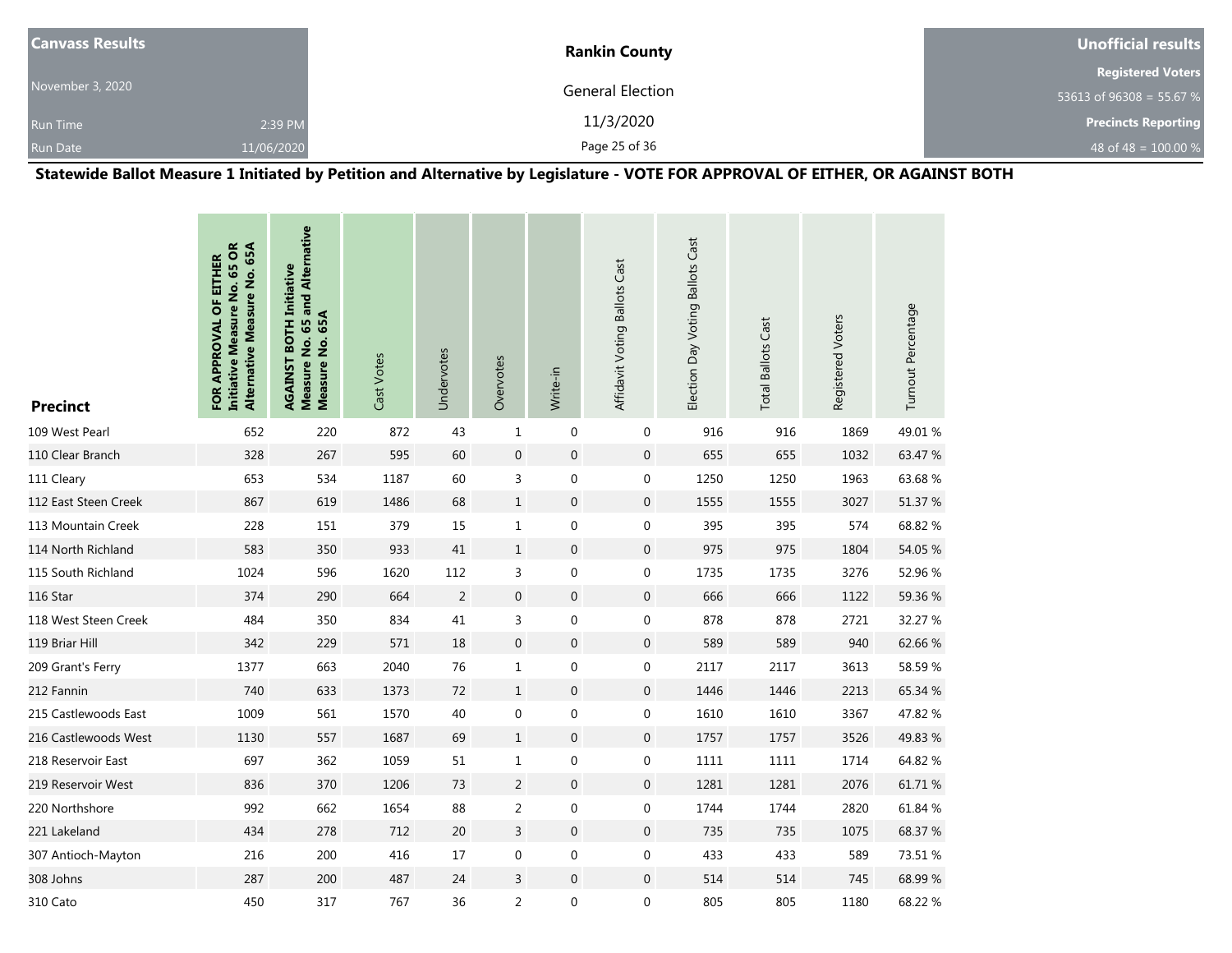| <b>Canvass Results</b> |            | <b>Rankin County</b> | Unofficial results         |
|------------------------|------------|----------------------|----------------------------|
|                        |            |                      | <b>Registered Voters</b>   |
| November 3, 2020       |            | General Election     | 53613 of 96308 = 55.67 %   |
| <b>Run Time</b>        | 2:39 PM    | 11/3/2020            | <b>Precincts Reporting</b> |
| <b>Run Date</b>        | 11/06/2020 | Page 25 of 36        | 48 of 48 = $100.00\%$      |

**Statewide Ballot Measure 1 Initiated by Petition and Alternative by Legislature - VOTE FOR APPROVAL OF EITHER, OR AGAINST BOTH**

| <b>Precinct</b>      | <b>Initiative Measure No. 65 OR</b><br>Alternative Measure No. 65A<br>FOR APPROVAL OF EITHER | Measure No. 65 and Alternative<br><b>AGAINST BOTH Initiative</b><br>65A<br>Measure No. | Cast Votes | Undervotes     | Overvotes        | Write-in         | Affidavit Voting Ballots Cast | Election Day Voting Ballots Cast | <b>Total Ballots Cast</b> | Registered Voters | Turnout Percentage |
|----------------------|----------------------------------------------------------------------------------------------|----------------------------------------------------------------------------------------|------------|----------------|------------------|------------------|-------------------------------|----------------------------------|---------------------------|-------------------|--------------------|
| 109 West Pearl       | 652                                                                                          | 220                                                                                    | 872        | 43             | $\mathbf{1}$     | $\mathbf 0$      | 0                             | 916                              | 916                       | 1869              | 49.01%             |
| 110 Clear Branch     | 328                                                                                          | 267                                                                                    | 595        | 60             | $\mathbf 0$      | $\boldsymbol{0}$ | 0                             | 655                              | 655                       | 1032              | 63.47 %            |
| 111 Cleary           | 653                                                                                          | 534                                                                                    | 1187       | 60             | 3                | $\mathbf 0$      | $\boldsymbol{0}$              | 1250                             | 1250                      | 1963              | 63.68%             |
| 112 East Steen Creek | 867                                                                                          | 619                                                                                    | 1486       | 68             | $1\,$            | $\boldsymbol{0}$ | $\boldsymbol{0}$              | 1555                             | 1555                      | 3027              | 51.37 %            |
| 113 Mountain Creek   | 228                                                                                          | 151                                                                                    | 379        | 15             | $\mathbf{1}$     | $\mathbf 0$      | 0                             | 395                              | 395                       | 574               | 68.82 %            |
| 114 North Richland   | 583                                                                                          | 350                                                                                    | 933        | 41             | $1\,$            | $\boldsymbol{0}$ | 0                             | 975                              | 975                       | 1804              | 54.05 %            |
| 115 South Richland   | 1024                                                                                         | 596                                                                                    | 1620       | 112            | 3                | $\mathbf 0$      | $\boldsymbol{0}$              | 1735                             | 1735                      | 3276              | 52.96 %            |
| 116 Star             | 374                                                                                          | 290                                                                                    | 664        | $\overline{2}$ | $\mathbf 0$      | $\mathbf 0$      | 0                             | 666                              | 666                       | 1122              | 59.36 %            |
| 118 West Steen Creek | 484                                                                                          | 350                                                                                    | 834        | 41             | $\mathsf 3$      | $\boldsymbol{0}$ | $\boldsymbol{0}$              | 878                              | 878                       | 2721              | 32.27 %            |
| 119 Briar Hill       | 342                                                                                          | 229                                                                                    | 571        | 18             | $\boldsymbol{0}$ | $\boldsymbol{0}$ | 0                             | 589                              | 589                       | 940               | 62.66%             |
| 209 Grant's Ferry    | 1377                                                                                         | 663                                                                                    | 2040       | 76             | $1\,$            | $\pmb{0}$        | 0                             | 2117                             | 2117                      | 3613              | 58.59 %            |
| 212 Fannin           | 740                                                                                          | 633                                                                                    | 1373       | 72             | $\mathbf{1}$     | $\boldsymbol{0}$ | 0                             | 1446                             | 1446                      | 2213              | 65.34 %            |
| 215 Castlewoods East | 1009                                                                                         | 561                                                                                    | 1570       | 40             | $\boldsymbol{0}$ | $\pmb{0}$        | 0                             | 1610                             | 1610                      | 3367              | 47.82 %            |
| 216 Castlewoods West | 1130                                                                                         | 557                                                                                    | 1687       | 69             | $1\,$            | $\pmb{0}$        | 0                             | 1757                             | 1757                      | 3526              | 49.83 %            |
| 218 Reservoir East   | 697                                                                                          | 362                                                                                    | 1059       | 51             | $\mathbf 1$      | $\boldsymbol{0}$ | 0                             | 1111                             | 1111                      | 1714              | 64.82 %            |
| 219 Reservoir West   | 836                                                                                          | 370                                                                                    | 1206       | 73             | $\sqrt{2}$       | $\boldsymbol{0}$ | 0                             | 1281                             | 1281                      | 2076              | 61.71 %            |
| 220 Northshore       | 992                                                                                          | 662                                                                                    | 1654       | 88             | $\sqrt{2}$       | $\boldsymbol{0}$ | 0                             | 1744                             | 1744                      | 2820              | 61.84 %            |
| 221 Lakeland         | 434                                                                                          | 278                                                                                    | 712        | 20             | 3                | $\mathbf 0$      | 0                             | 735                              | 735                       | 1075              | 68.37 %            |
| 307 Antioch-Mayton   | 216                                                                                          | 200                                                                                    | 416        | $17\,$         | $\boldsymbol{0}$ | $\boldsymbol{0}$ | 0                             | 433                              | 433                       | 589               | 73.51 %            |
| 308 Johns            | 287                                                                                          | 200                                                                                    | 487        | 24             | 3                | $\mathbf 0$      | 0                             | 514                              | 514                       | 745               | 68.99%             |
| 310 Cato             | 450                                                                                          | 317                                                                                    | 767        | 36             | $\overline{2}$   | $\pmb{0}$        | 0                             | 805                              | 805                       | 1180              | 68.22 %            |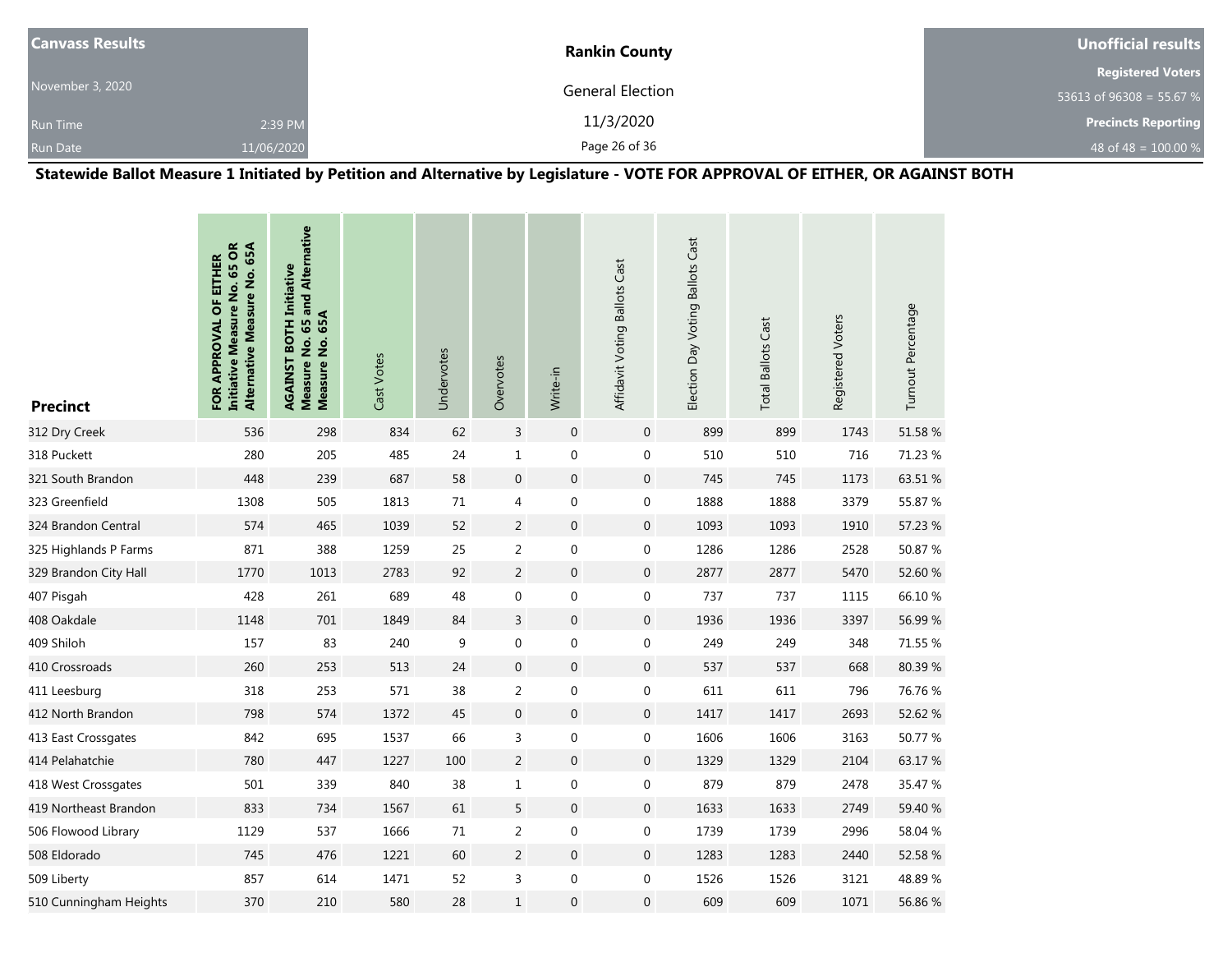| <b>Canvass Results</b> |            | <b>Rankin County</b> | Unofficial results         |
|------------------------|------------|----------------------|----------------------------|
|                        |            |                      | <b>Registered Voters</b>   |
| November 3, 2020       |            | General Election     | 53613 of 96308 = 55.67 %   |
| <b>Run Time</b>        | 2:39 PM    | 11/3/2020            | <b>Precincts Reporting</b> |
| <b>Run Date</b>        | 11/06/2020 | Page 26 of 36        | 48 of 48 = $100.00\%$      |

**Statewide Ballot Measure 1 Initiated by Petition and Alternative by Legislature - VOTE FOR APPROVAL OF EITHER, OR AGAINST BOTH**

| <b>Precinct</b>        | <b>Initiative Measure No. 65 OR</b><br>Alternative Measure No. 65A<br>FOR APPROVAL OF EITHER | Measure No. 65 and Alternative<br><b>AGAINST BOTH Initiative</b><br>Measure No. 65A | Cast Votes | Undervotes | Overvotes      | Write-in         | Affidavit Voting Ballots Cast | Election Day Voting Ballots Cast | <b>Total Ballots Cast</b> | Registered Voters | Turnout Percentage |
|------------------------|----------------------------------------------------------------------------------------------|-------------------------------------------------------------------------------------|------------|------------|----------------|------------------|-------------------------------|----------------------------------|---------------------------|-------------------|--------------------|
| 312 Dry Creek          | 536                                                                                          | 298                                                                                 | 834        | 62         | $\mathsf{3}$   | $\boldsymbol{0}$ | $\mathbf 0$                   | 899                              | 899                       | 1743              | 51.58 %            |
| 318 Puckett            | 280                                                                                          | 205                                                                                 | 485        | 24         | $\mathbf 1$    | $\boldsymbol{0}$ | $\boldsymbol{0}$              | 510                              | 510                       | 716               | 71.23 %            |
| 321 South Brandon      | 448                                                                                          | 239                                                                                 | 687        | 58         | $\mathbf{0}$   | $\overline{0}$   | $\boldsymbol{0}$              | 745                              | 745                       | 1173              | 63.51 %            |
| 323 Greenfield         | 1308                                                                                         | 505                                                                                 | 1813       | 71         | $\overline{4}$ | $\boldsymbol{0}$ | $\boldsymbol{0}$              | 1888                             | 1888                      | 3379              | 55.87 %            |
| 324 Brandon Central    | 574                                                                                          | 465                                                                                 | 1039       | 52         | 2              | $\boldsymbol{0}$ | $\boldsymbol{0}$              | 1093                             | 1093                      | 1910              | 57.23 %            |
| 325 Highlands P Farms  | 871                                                                                          | 388                                                                                 | 1259       | 25         | $\mathsf{2}\,$ | $\boldsymbol{0}$ | $\boldsymbol{0}$              | 1286                             | 1286                      | 2528              | 50.87 %            |
| 329 Brandon City Hall  | 1770                                                                                         | 1013                                                                                | 2783       | 92         | $\overline{2}$ | $\mathbf 0$      | $\boldsymbol{0}$              | 2877                             | 2877                      | 5470              | 52.60 %            |
| 407 Pisgah             | 428                                                                                          | 261                                                                                 | 689        | 48         | $\mathbf 0$    | $\boldsymbol{0}$ | $\boldsymbol{0}$              | 737                              | 737                       | 1115              | 66.10%             |
| 408 Oakdale            | 1148                                                                                         | 701                                                                                 | 1849       | 84         | $\overline{3}$ | $\overline{0}$   | $\boldsymbol{0}$              | 1936                             | 1936                      | 3397              | 56.99 %            |
| 409 Shiloh             | 157                                                                                          | 83                                                                                  | 240        | 9          | $\mathbf 0$    | $\mathbf 0$      | $\boldsymbol{0}$              | 249                              | 249                       | 348               | 71.55 %            |
| 410 Crossroads         | 260                                                                                          | 253                                                                                 | 513        | 24         | $\mathbf{0}$   | $\boldsymbol{0}$ | $\boldsymbol{0}$              | 537                              | 537                       | 668               | 80.39%             |
| 411 Leesburg           | 318                                                                                          | 253                                                                                 | 571        | 38         | $\overline{2}$ | $\boldsymbol{0}$ | $\boldsymbol{0}$              | 611                              | 611                       | 796               | 76.76 %            |
| 412 North Brandon      | 798                                                                                          | 574                                                                                 | 1372       | 45         | $\mathbf 0$    | $\boldsymbol{0}$ | $\boldsymbol{0}$              | 1417                             | 1417                      | 2693              | 52.62 %            |
| 413 East Crossgates    | 842                                                                                          | 695                                                                                 | 1537       | 66         | 3              | $\mathbf 0$      | 0                             | 1606                             | 1606                      | 3163              | 50.77 %            |
| 414 Pelahatchie        | 780                                                                                          | 447                                                                                 | 1227       | 100        | $\overline{2}$ | $\mathbf 0$      | $\boldsymbol{0}$              | 1329                             | 1329                      | 2104              | 63.17 %            |
| 418 West Crossgates    | 501                                                                                          | 339                                                                                 | 840        | 38         | $\mathbf{1}$   | $\boldsymbol{0}$ | $\boldsymbol{0}$              | 879                              | 879                       | 2478              | 35.47 %            |
| 419 Northeast Brandon  | 833                                                                                          | 734                                                                                 | 1567       | 61         | $\sqrt{5}$     | $\boldsymbol{0}$ | $\boldsymbol{0}$              | 1633                             | 1633                      | 2749              | 59.40 %            |
| 506 Flowood Library    | 1129                                                                                         | 537                                                                                 | 1666       | 71         | $\overline{2}$ | $\boldsymbol{0}$ | 0                             | 1739                             | 1739                      | 2996              | 58.04 %            |
| 508 Eldorado           | 745                                                                                          | 476                                                                                 | 1221       | 60         | $\sqrt{2}$     | $\boldsymbol{0}$ | $\boldsymbol{0}$              | 1283                             | 1283                      | 2440              | 52.58 %            |
| 509 Liberty            | 857                                                                                          | 614                                                                                 | 1471       | 52         | 3              | $\boldsymbol{0}$ | $\boldsymbol{0}$              | 1526                             | 1526                      | 3121              | 48.89%             |
| 510 Cunningham Heights | 370                                                                                          | 210                                                                                 | 580        | 28         | $1\,$          | 0                | $\boldsymbol{0}$              | 609                              | 609                       | 1071              | 56.86 %            |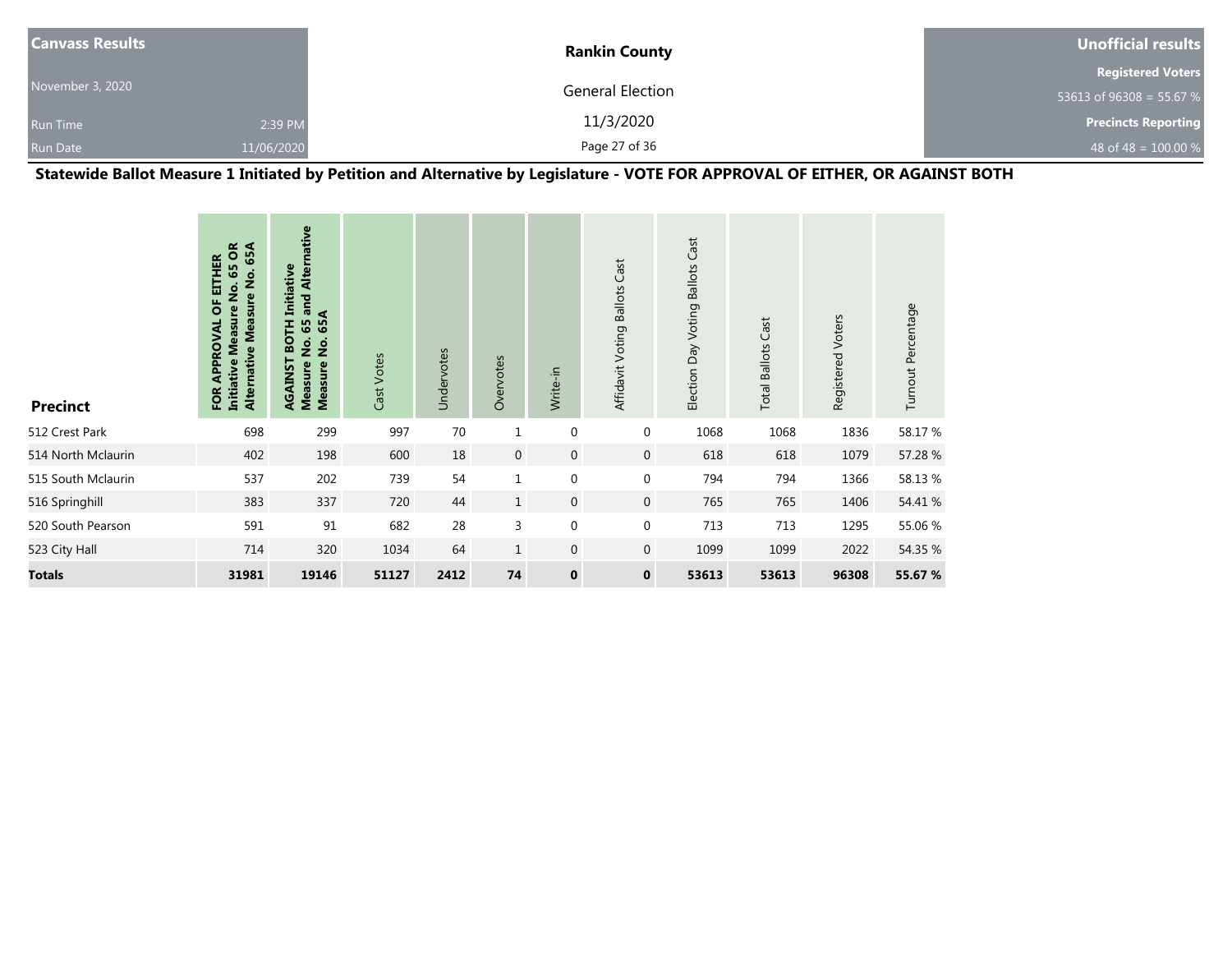| <b>Canvass Results</b> |            | <b>Rankin County</b>    | Unofficial results         |
|------------------------|------------|-------------------------|----------------------------|
|                        |            |                         | <b>Registered Voters</b>   |
| November 3, 2020       |            | <b>General Election</b> | 53613 of 96308 = 55.67 %   |
| <b>Run Time</b>        | 2:39 PM    | 11/3/2020               | <b>Precincts Reporting</b> |
| <b>Run Date</b>        | 11/06/2020 | Page 27 of 36           | 48 of 48 = $100.00\%$      |

**Statewide Ballot Measure 1 Initiated by Petition and Alternative by Legislature - VOTE FOR APPROVAL OF EITHER, OR AGAINST BOTH**

| <b>Precinct</b>    | õ<br>65A<br><b>HER</b><br>59<br>Alternative Measure No.<br>Ē<br>o<br>Z<br><b>Measure</b><br>ō<br>ROVAI<br><b>Initiative</b><br>FOR | and Alternative<br><b>BOTH Initiative</b><br>65A<br>59<br>$\dot{\mathsf{z}}$<br>$\frac{1}{2}$<br>RGAINST<br><b>Measure</b><br>Measure | Cast Votes | Undervotes | Overvotes    | Write-in         | Affidavit Voting Ballots Cast | Election Day Voting Ballots Cast | <b>Total Ballots Cast</b> | Registered Voters | Turnout Percentage |
|--------------------|------------------------------------------------------------------------------------------------------------------------------------|---------------------------------------------------------------------------------------------------------------------------------------|------------|------------|--------------|------------------|-------------------------------|----------------------------------|---------------------------|-------------------|--------------------|
| 512 Crest Park     | 698                                                                                                                                | 299                                                                                                                                   | 997        | 70         | $\mathbf{1}$ | $\mathbf 0$      | $\mathbf 0$                   | 1068                             | 1068                      | 1836              | 58.17 %            |
| 514 North Mclaurin | 402                                                                                                                                | 198                                                                                                                                   | 600        | 18         | $\mathbf 0$  | $\mathbf 0$      | $\mathbf{0}$                  | 618                              | 618                       | 1079              | 57.28 %            |
| 515 South Mclaurin | 537                                                                                                                                | 202                                                                                                                                   | 739        | 54         | $\mathbf{1}$ | $\mathbf 0$      | $\mathbf 0$                   | 794                              | 794                       | 1366              | 58.13%             |
| 516 Springhill     | 383                                                                                                                                | 337                                                                                                                                   | 720        | 44         | $\mathbf{1}$ | $\mathbf 0$      | $\mathbf{0}$                  | 765                              | 765                       | 1406              | 54.41 %            |
| 520 South Pearson  | 591                                                                                                                                | 91                                                                                                                                    | 682        | 28         | 3            | $\boldsymbol{0}$ | $\mathbf 0$                   | 713                              | 713                       | 1295              | 55.06 %            |
| 523 City Hall      | 714                                                                                                                                | 320                                                                                                                                   | 1034       | 64         | $\mathbf{1}$ | $\mathbf{0}$     | $\mathbf{0}$                  | 1099                             | 1099                      | 2022              | 54.35 %            |
| <b>Totals</b>      | 31981                                                                                                                              | 19146                                                                                                                                 | 51127      | 2412       | 74           | $\mathbf 0$      | $\bf{0}$                      | 53613                            | 53613                     | 96308             | 55.67 %            |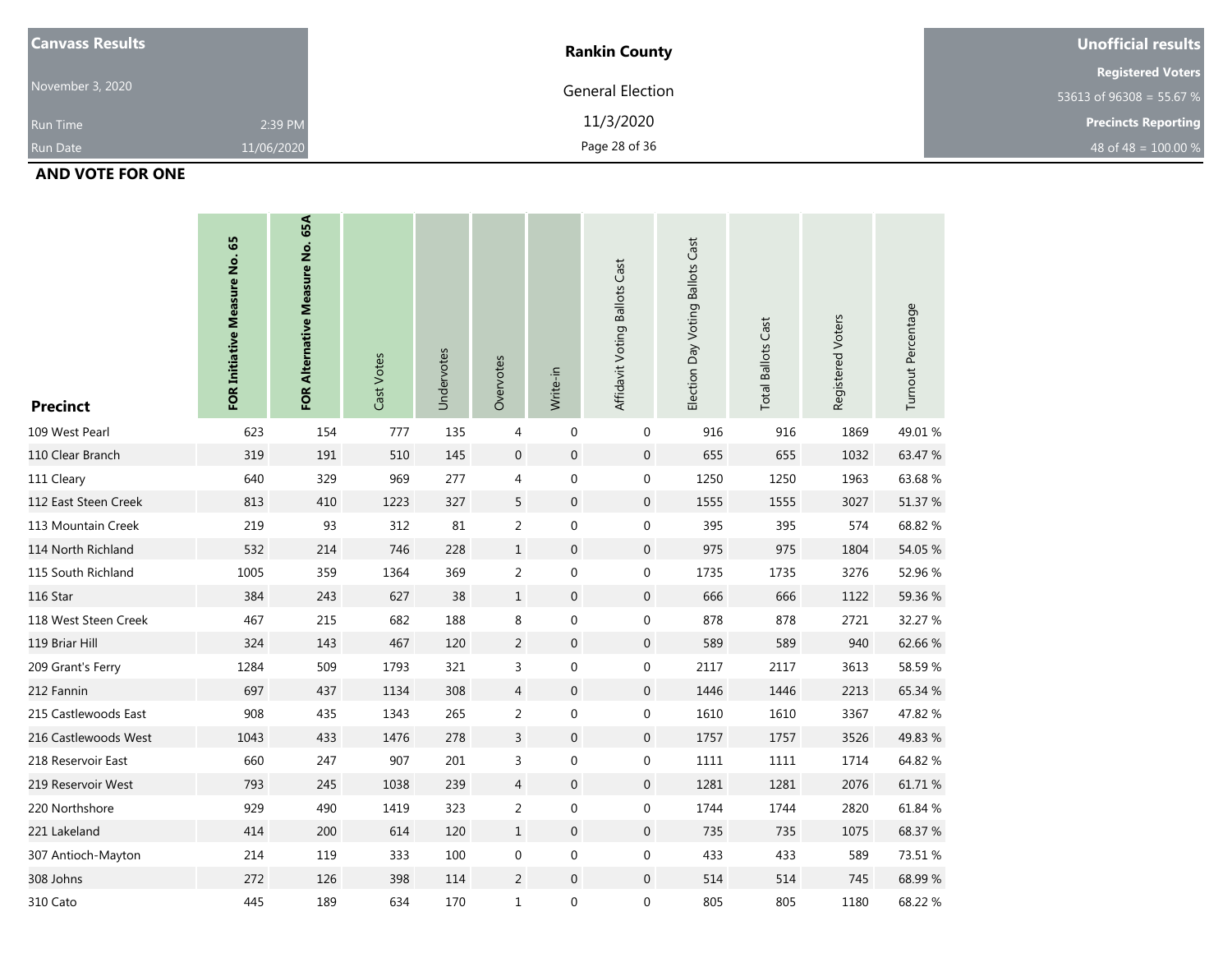| <b>Canvass Results</b> |            | <b>Rankin County</b>    | Unofficial results         |
|------------------------|------------|-------------------------|----------------------------|
|                        |            |                         | <b>Registered Voters</b>   |
| November 3, 2020       |            | <b>General Election</b> | 53613 of 96308 = 55.67 %   |
| <b>Run Time</b>        | 2:39 PM    | 11/3/2020               | <b>Precincts Reporting</b> |
| <b>Run Date</b>        | 11/06/2020 | Page 28 of 36           | 48 of 48 = $100.00\%$      |

#### **AND VOTE FOR ONE**

| <b>Precinct</b>      | FOR Initiative Measure No. 65 | FOR Alternative Measure No. 65A | Cast Votes | Undervotes | Overvotes        | Write-in         | Affidavit Voting Ballots Cast | Election Day Voting Ballots Cast | <b>Total Ballots Cast</b> | Registered Voters | Turnout Percentage |
|----------------------|-------------------------------|---------------------------------|------------|------------|------------------|------------------|-------------------------------|----------------------------------|---------------------------|-------------------|--------------------|
| 109 West Pearl       | 623                           | 154                             | 777        | 135        | $\overline{4}$   | $\boldsymbol{0}$ | $\mathbf 0$                   | 916                              | 916                       | 1869              | 49.01 %            |
| 110 Clear Branch     | 319                           | 191                             | 510        | 145        | $\boldsymbol{0}$ | $\mathbf 0$      | 0                             | 655                              | 655                       | 1032              | 63.47 %            |
| 111 Cleary           | 640                           | 329                             | 969        | 277        | 4                | $\boldsymbol{0}$ | 0                             | 1250                             | 1250                      | 1963              | 63.68%             |
| 112 East Steen Creek | 813                           | 410                             | 1223       | 327        | 5                | $\boldsymbol{0}$ | 0                             | 1555                             | 1555                      | 3027              | 51.37 %            |
| 113 Mountain Creek   | 219                           | 93                              | 312        | 81         | $\overline{2}$   | $\boldsymbol{0}$ | $\boldsymbol{0}$              | 395                              | 395                       | 574               | 68.82 %            |
| 114 North Richland   | 532                           | 214                             | 746        | 228        | $\mathbf{1}$     | $\boldsymbol{0}$ | $\boldsymbol{0}$              | 975                              | 975                       | 1804              | 54.05 %            |
| 115 South Richland   | 1005                          | 359                             | 1364       | 369        | $\overline{2}$   | $\boldsymbol{0}$ | $\boldsymbol{0}$              | 1735                             | 1735                      | 3276              | 52.96 %            |
| 116 Star             | 384                           | 243                             | 627        | 38         | $\mathbf{1}$     | $\mathbf 0$      | 0                             | 666                              | 666                       | 1122              | 59.36 %            |
| 118 West Steen Creek | 467                           | 215                             | 682        | 188        | 8                | $\boldsymbol{0}$ | $\boldsymbol{0}$              | 878                              | 878                       | 2721              | 32.27 %            |
| 119 Briar Hill       | 324                           | 143                             | 467        | 120        | $\overline{2}$   | $\mathbf 0$      | 0                             | 589                              | 589                       | 940               | 62.66%             |
| 209 Grant's Ferry    | 1284                          | 509                             | 1793       | 321        | 3                | $\mathbf 0$      | 0                             | 2117                             | 2117                      | 3613              | 58.59%             |
| 212 Fannin           | 697                           | 437                             | 1134       | 308        | $\overline{4}$   | $\mathbf 0$      | 0                             | 1446                             | 1446                      | 2213              | 65.34 %            |
| 215 Castlewoods East | 908                           | 435                             | 1343       | 265        | $\overline{2}$   | $\pmb{0}$        | 0                             | 1610                             | 1610                      | 3367              | 47.82 %            |
| 216 Castlewoods West | 1043                          | 433                             | 1476       | 278        | 3                | $\mathbf 0$      | 0                             | 1757                             | 1757                      | 3526              | 49.83 %            |
| 218 Reservoir East   | 660                           | 247                             | 907        | 201        | 3                | $\boldsymbol{0}$ | 0                             | 1111                             | 1111                      | 1714              | 64.82 %            |
| 219 Reservoir West   | 793                           | 245                             | 1038       | 239        | $\overline{4}$   | $\boldsymbol{0}$ | 0                             | 1281                             | 1281                      | 2076              | 61.71 %            |
| 220 Northshore       | 929                           | 490                             | 1419       | 323        | $\overline{2}$   | 0                | 0                             | 1744                             | 1744                      | 2820              | 61.84 %            |
| 221 Lakeland         | 414                           | 200                             | 614        | 120        | $\mathbf{1}$     | $\mathbf 0$      | $\mathbf 0$                   | 735                              | 735                       | 1075              | 68.37 %            |
| 307 Antioch-Mayton   | 214                           | 119                             | 333        | 100        | $\pmb{0}$        | $\boldsymbol{0}$ | $\boldsymbol{0}$              | 433                              | 433                       | 589               | 73.51 %            |
| 308 Johns            | 272                           | 126                             | 398        | 114        | $\overline{2}$   | $\boldsymbol{0}$ | 0                             | 514                              | 514                       | 745               | 68.99%             |
| 310 Cato             | 445                           | 189                             | 634        | 170        | $\mathbf{1}$     | 0                | 0                             | 805                              | 805                       | 1180              | 68.22 %            |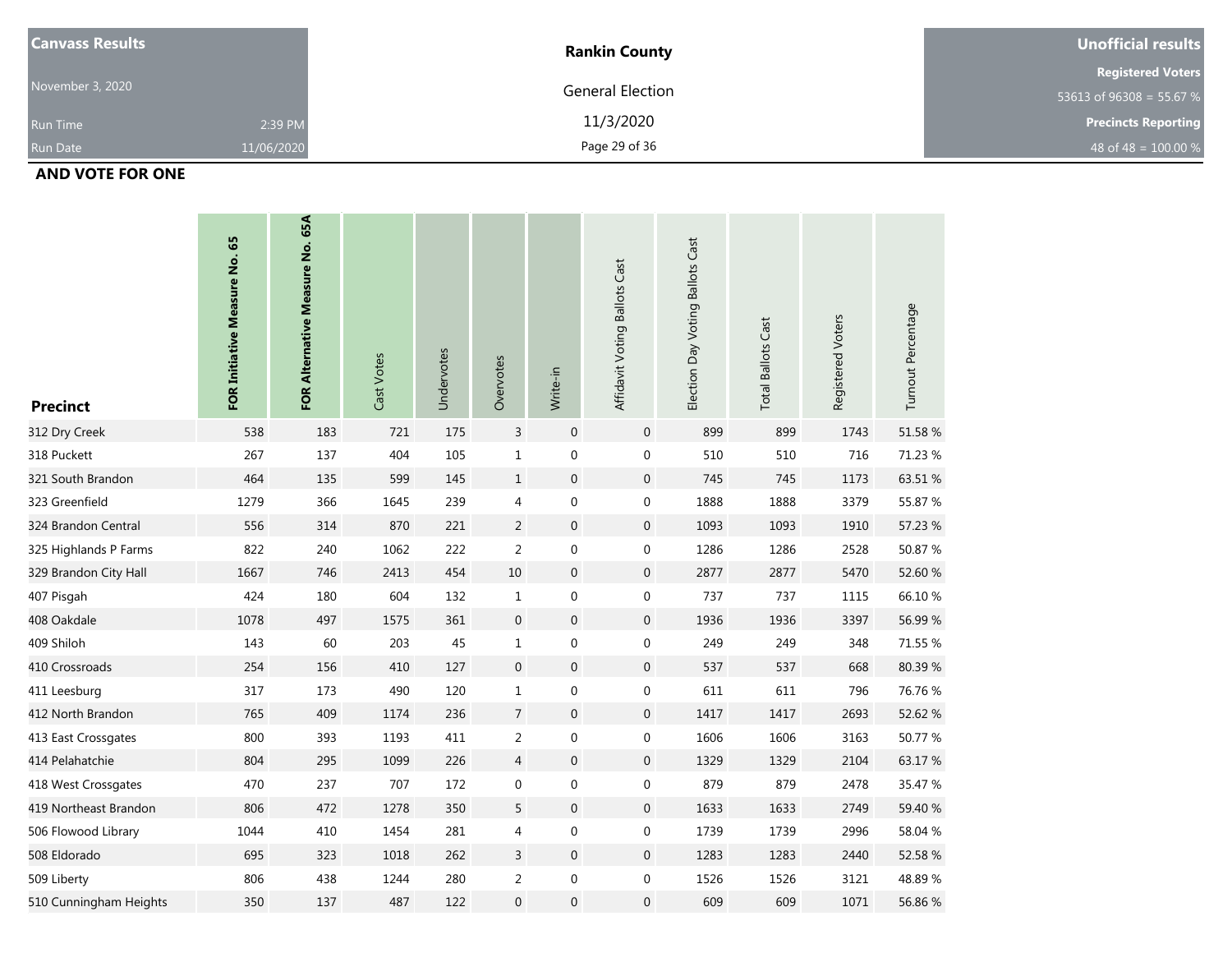| <b>Canvass Results</b> |            | <b>Rankin County</b>    | Unofficial results         |
|------------------------|------------|-------------------------|----------------------------|
|                        |            |                         | <b>Registered Voters</b>   |
| November 3, 2020       |            | <b>General Election</b> | 53613 of 96308 = 55.67 %   |
| <b>Run Time</b>        | 2:39 PM    | 11/3/2020               | <b>Precincts Reporting</b> |
| <b>Run Date</b>        | 11/06/2020 | Page 29 of 36           | 48 of 48 = $100.00\%$      |

#### **AND VOTE FOR ONE**

| <b>Precinct</b>        | FOR Initiative Measure No. 65 | FOR Alternative Measure No. 65A | Cast Votes | Undervotes | Overvotes      | Write-in         | Affidavit Voting Ballots Cast | Election Day Voting Ballots Cast | <b>Total Ballots Cast</b> | Registered Voters | Turnout Percentage |
|------------------------|-------------------------------|---------------------------------|------------|------------|----------------|------------------|-------------------------------|----------------------------------|---------------------------|-------------------|--------------------|
| 312 Dry Creek          | 538                           | 183                             | 721        | 175        | $\overline{3}$ | $\mathbf 0$      | $\mathbf 0$                   | 899                              | 899                       | 1743              | 51.58 %            |
| 318 Puckett            | 267                           | 137                             | 404        | 105        | $\mathbf{1}$   | $\boldsymbol{0}$ | 0                             | 510                              | 510                       | 716               | 71.23 %            |
| 321 South Brandon      | 464                           | 135                             | 599        | 145        | $\,1\,$        | $\boldsymbol{0}$ | $\boldsymbol{0}$              | 745                              | 745                       | 1173              | 63.51 %            |
| 323 Greenfield         | 1279                          | 366                             | 1645       | 239        | 4              | $\boldsymbol{0}$ | 0                             | 1888                             | 1888                      | 3379              | 55.87 %            |
| 324 Brandon Central    | 556                           | 314                             | 870        | 221        | $\overline{2}$ | $\mathbf 0$      | 0                             | 1093                             | 1093                      | 1910              | 57.23 %            |
| 325 Highlands P Farms  | 822                           | 240                             | 1062       | 222        | $\overline{2}$ | $\boldsymbol{0}$ | 0                             | 1286                             | 1286                      | 2528              | 50.87 %            |
| 329 Brandon City Hall  | 1667                          | 746                             | 2413       | 454        | 10             | $\,0\,$          | $\boldsymbol{0}$              | 2877                             | 2877                      | 5470              | 52.60 %            |
| 407 Pisgah             | 424                           | 180                             | 604        | 132        | $\mathbf{1}$   | $\boldsymbol{0}$ | 0                             | 737                              | 737                       | 1115              | 66.10%             |
| 408 Oakdale            | 1078                          | 497                             | 1575       | 361        | $\mathbf 0$    | $\mathbf 0$      | $\boldsymbol{0}$              | 1936                             | 1936                      | 3397              | 56.99 %            |
| 409 Shiloh             | 143                           | 60                              | 203        | 45         | $\mathbf{1}$   | $\boldsymbol{0}$ | $\boldsymbol{0}$              | 249                              | 249                       | 348               | 71.55 %            |
| 410 Crossroads         | 254                           | 156                             | 410        | 127        | $\overline{0}$ | $\boldsymbol{0}$ | $\boldsymbol{0}$              | 537                              | 537                       | 668               | 80.39%             |
| 411 Leesburg           | 317                           | 173                             | 490        | 120        | $\mathbf{1}$   | $\boldsymbol{0}$ | 0                             | 611                              | 611                       | 796               | 76.76 %            |
| 412 North Brandon      | 765                           | 409                             | 1174       | 236        | $\overline{7}$ | $\mathbf 0$      | $\boldsymbol{0}$              | 1417                             | 1417                      | 2693              | 52.62 %            |
| 413 East Crossgates    | 800                           | 393                             | 1193       | 411        | $\overline{a}$ | $\boldsymbol{0}$ | 0                             | 1606                             | 1606                      | 3163              | 50.77 %            |
| 414 Pelahatchie        | 804                           | 295                             | 1099       | 226        | $\overline{4}$ | $\boldsymbol{0}$ | 0                             | 1329                             | 1329                      | 2104              | 63.17 %            |
| 418 West Crossgates    | 470                           | 237                             | 707        | 172        | 0              | $\boldsymbol{0}$ | 0                             | 879                              | 879                       | 2478              | 35.47 %            |
| 419 Northeast Brandon  | 806                           | 472                             | 1278       | 350        | 5              | $\boldsymbol{0}$ | $\boldsymbol{0}$              | 1633                             | 1633                      | 2749              | 59.40 %            |
| 506 Flowood Library    | 1044                          | 410                             | 1454       | 281        | 4              | $\pmb{0}$        | 0                             | 1739                             | 1739                      | 2996              | 58.04 %            |
| 508 Eldorado           | 695                           | 323                             | 1018       | 262        | 3              | $\boldsymbol{0}$ | 0                             | 1283                             | 1283                      | 2440              | 52.58 %            |
| 509 Liberty            | 806                           | 438                             | 1244       | 280        | $\overline{a}$ | $\boldsymbol{0}$ | $\boldsymbol{0}$              | 1526                             | 1526                      | 3121              | 48.89%             |
| 510 Cunningham Heights | 350                           | 137                             | 487        | 122        | $\overline{0}$ | $\boldsymbol{0}$ | $\boldsymbol{0}$              | 609                              | 609                       | 1071              | 56.86 %            |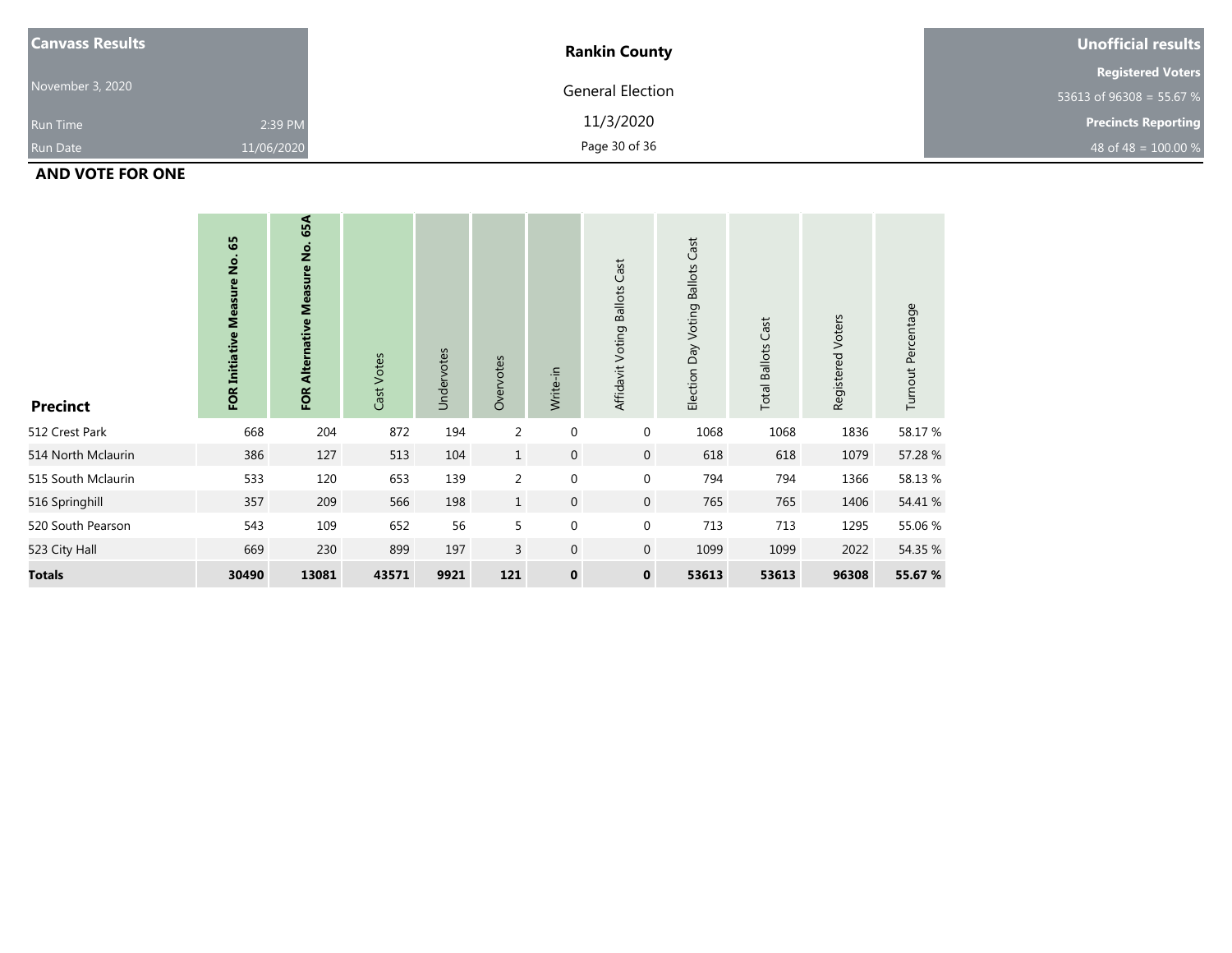| <b>Canvass Results</b> |            | <b>Rankin County</b>    | Unofficial results         |
|------------------------|------------|-------------------------|----------------------------|
|                        |            |                         | <b>Registered Voters</b>   |
| November 3, 2020       |            | <b>General Election</b> | 53613 of 96308 = 55.67 %   |
| <b>Run Time</b>        | 2:39 PM    | 11/3/2020               | <b>Precincts Reporting</b> |
| <b>Run Date</b>        | 11/06/2020 | Page 30 of 36           | 48 of 48 = $100.00 %$      |

### **AND VOTE FOR ONE**

| <b>Precinct</b>    | 65<br>$\frac{\dot{\mathsf{g}}}{\mathsf{Z}}$<br><b>Measure</b><br><b>FOR Initiative</b> | 65A<br>FOR Alternative Measure No. | Cast Votes | Undervotes | Overvotes      | Write-in         | Affidavit Voting Ballots Cast | Cast<br>Election Day Voting Ballots | Cast<br><b>Total Ballots</b> | Registered Voters | Turnout Percentage |
|--------------------|----------------------------------------------------------------------------------------|------------------------------------|------------|------------|----------------|------------------|-------------------------------|-------------------------------------|------------------------------|-------------------|--------------------|
| 512 Crest Park     | 668                                                                                    | 204                                | 872        | 194        | 2              | $\boldsymbol{0}$ | 0                             | 1068                                | 1068                         | 1836              | 58.17 %            |
| 514 North Mclaurin | 386                                                                                    | 127                                | 513        | 104        | $\mathbf{1}$   | $\mathbf 0$      | $\mathbf 0$                   | 618                                 | 618                          | 1079              | 57.28 %            |
| 515 South Mclaurin | 533                                                                                    | 120                                | 653        | 139        | 2              | $\mathbf 0$      | 0                             | 794                                 | 794                          | 1366              | 58.13%             |
| 516 Springhill     | 357                                                                                    | 209                                | 566        | 198        | $\mathbf{1}$   | $\boldsymbol{0}$ | $\overline{0}$                | 765                                 | 765                          | 1406              | 54.41 %            |
| 520 South Pearson  | 543                                                                                    | 109                                | 652        | 56         | 5              | $\mathbf 0$      | 0                             | 713                                 | 713                          | 1295              | 55.06 %            |
| 523 City Hall      | 669                                                                                    | 230                                | 899        | 197        | $\overline{3}$ | $\mathbf 0$      | $\mathbf 0$                   | 1099                                | 1099                         | 2022              | 54.35 %            |
| <b>Totals</b>      | 30490                                                                                  | 13081                              | 43571      | 9921       | 121            | $\mathbf 0$      | $\mathbf 0$                   | 53613                               | 53613                        | 96308             | 55.67 %            |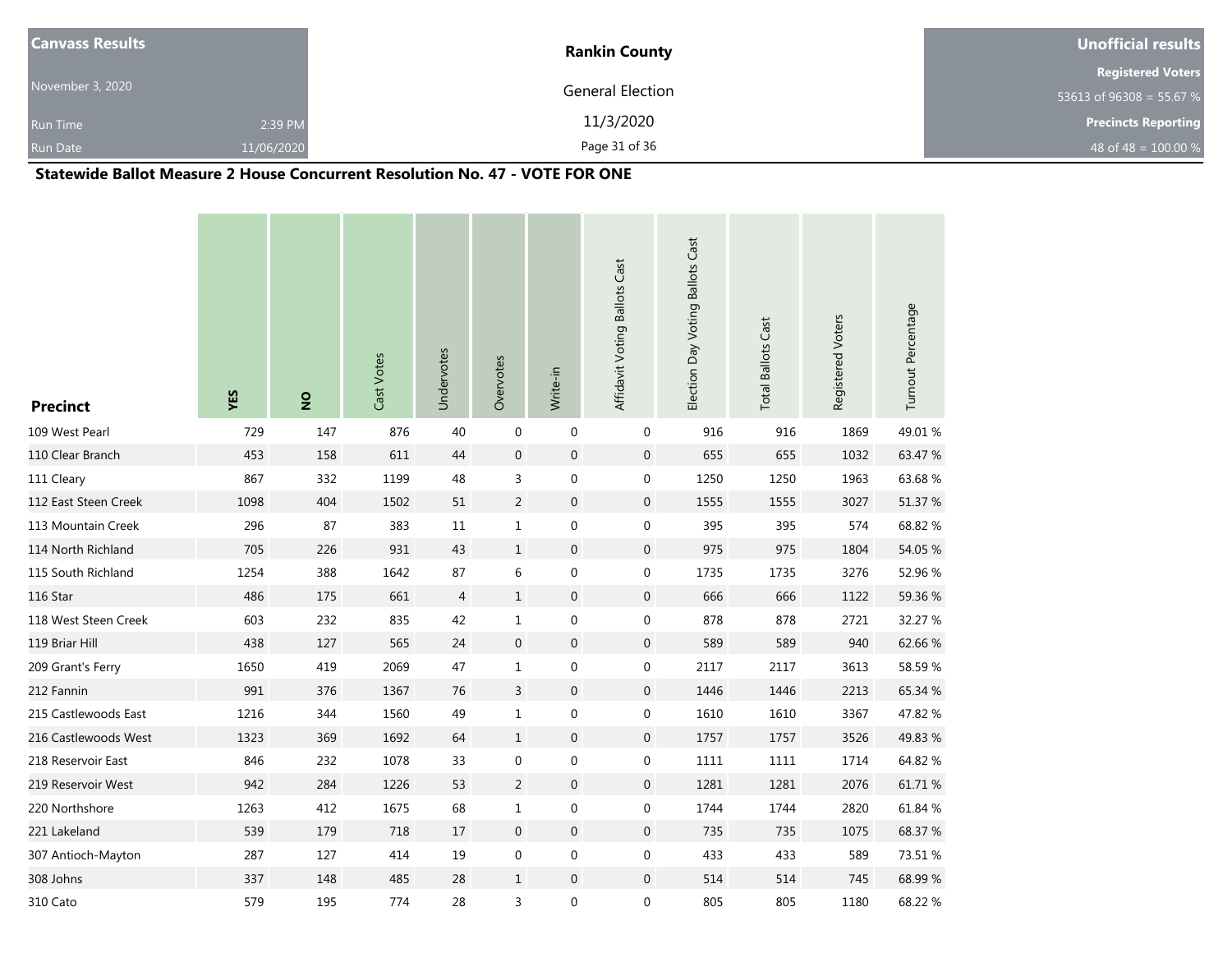| <b>Canvass Results</b> |            | <b>Rankin County</b> | Unofficial results         |
|------------------------|------------|----------------------|----------------------------|
|                        |            |                      | <b>Registered Voters</b>   |
| November 3, 2020       |            | General Election     | 53613 of 96308 = 55.67 %   |
| <b>Run Time</b>        | 2:39 PM    | 11/3/2020            | <b>Precincts Reporting</b> |
| <b>Run Date</b>        | 11/06/2020 | Page 31 of 36        | 48 of 48 = $100.00 %$      |

#### **Statewide Ballot Measure 2 House Concurrent Resolution No. 47 - VOTE FOR ONE**

| <b>Precinct</b>      | YES  | $\frac{1}{2}$ | Cast Votes | Undervotes     | Overvotes        | Write-in         | Affidavit Voting Ballots Cast | Election Day Voting Ballots Cast | <b>Total Ballots Cast</b> | Registered Voters | Turnout Percentage |
|----------------------|------|---------------|------------|----------------|------------------|------------------|-------------------------------|----------------------------------|---------------------------|-------------------|--------------------|
| 109 West Pearl       | 729  | 147           | 876        | 40             | $\mathbf 0$      | $\mathbf 0$      | 0                             | 916                              | 916                       | 1869              | 49.01%             |
| 110 Clear Branch     | 453  | 158           | 611        | 44             | $\mathbf 0$      | $\boldsymbol{0}$ | $\mathbf 0$                   | 655                              | 655                       | 1032              | 63.47 %            |
| 111 Cleary           | 867  | 332           | 1199       | 48             | 3                | 0                | 0                             | 1250                             | 1250                      | 1963              | 63.68%             |
| 112 East Steen Creek | 1098 | 404           | 1502       | 51             | $\overline{c}$   | $\boldsymbol{0}$ | $\mathbf 0$                   | 1555                             | 1555                      | 3027              | 51.37 %            |
| 113 Mountain Creek   | 296  | 87            | 383        | 11             | $\mathbf 1$      | $\boldsymbol{0}$ | $\mathbf 0$                   | 395                              | 395                       | 574               | 68.82 %            |
| 114 North Richland   | 705  | 226           | 931        | 43             | $\mathbf{1}$     | $\boldsymbol{0}$ | $\mathbf 0$                   | 975                              | 975                       | 1804              | 54.05 %            |
| 115 South Richland   | 1254 | 388           | 1642       | 87             | 6                | $\boldsymbol{0}$ | $\boldsymbol{0}$              | 1735                             | 1735                      | 3276              | 52.96 %            |
| 116 Star             | 486  | 175           | 661        | $\overline{4}$ | $\mathbf{1}$     | $\pmb{0}$        | $\mathbf 0$                   | 666                              | 666                       | 1122              | 59.36 %            |
| 118 West Steen Creek | 603  | 232           | 835        | 42             | $\mathbf{1}$     | 0                | $\boldsymbol{0}$              | 878                              | 878                       | 2721              | 32.27 %            |
| 119 Briar Hill       | 438  | 127           | 565        | 24             | $\boldsymbol{0}$ | $\boldsymbol{0}$ | $\mathbf 0$                   | 589                              | 589                       | 940               | 62.66%             |
| 209 Grant's Ferry    | 1650 | 419           | 2069       | 47             | $\mathbf{1}$     | $\boldsymbol{0}$ | 0                             | 2117                             | 2117                      | 3613              | 58.59%             |
| 212 Fannin           | 991  | 376           | 1367       | 76             | 3                | $\boldsymbol{0}$ | $\boldsymbol{0}$              | 1446                             | 1446                      | 2213              | 65.34 %            |
| 215 Castlewoods East | 1216 | 344           | 1560       | 49             | $\mathbf{1}$     | 0                | 0                             | 1610                             | 1610                      | 3367              | 47.82 %            |
| 216 Castlewoods West | 1323 | 369           | 1692       | 64             | $\mathbf{1}$     | $\boldsymbol{0}$ | $\mathbf 0$                   | 1757                             | 1757                      | 3526              | 49.83 %            |
| 218 Reservoir East   | 846  | 232           | 1078       | 33             | $\pmb{0}$        | 0                | 0                             | 1111                             | 1111                      | 1714              | 64.82 %            |
| 219 Reservoir West   | 942  | 284           | 1226       | 53             | $\overline{c}$   | $\boldsymbol{0}$ | $\mathbf{0}$                  | 1281                             | 1281                      | 2076              | 61.71 %            |
| 220 Northshore       | 1263 | 412           | 1675       | 68             | $\mathbf 1$      | $\boldsymbol{0}$ | 0                             | 1744                             | 1744                      | 2820              | 61.84 %            |
| 221 Lakeland         | 539  | 179           | 718        | 17             | $\overline{0}$   | $\boldsymbol{0}$ | $\mathbf 0$                   | 735                              | 735                       | 1075              | 68.37 %            |
| 307 Antioch-Mayton   | 287  | 127           | 414        | 19             | $\boldsymbol{0}$ | $\boldsymbol{0}$ | $\boldsymbol{0}$              | 433                              | 433                       | 589               | 73.51 %            |
| 308 Johns            | 337  | 148           | 485        | 28             | $\mathbf{1}$     | $\mathbf 0$      | $\mathbf 0$                   | 514                              | 514                       | 745               | 68.99%             |
| 310 Cato             | 579  | 195           | 774        | 28             | 3                | $\boldsymbol{0}$ | $\boldsymbol{0}$              | 805                              | 805                       | 1180              | 68.22 %            |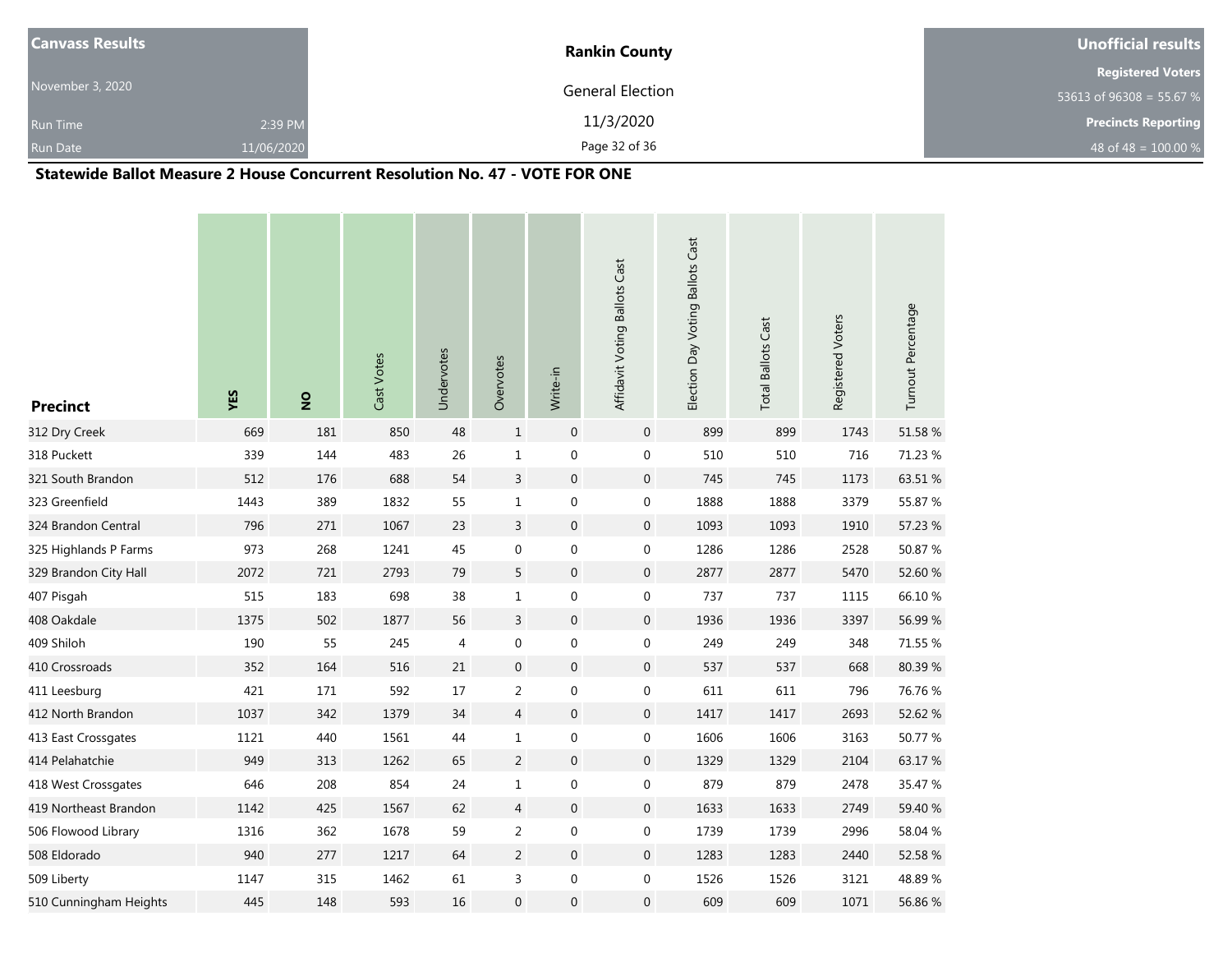| <b>Canvass Results</b> |            | <b>Rankin County</b> | Unofficial results         |
|------------------------|------------|----------------------|----------------------------|
|                        |            |                      | <b>Registered Voters</b>   |
| November 3, 2020       |            | General Election     | 53613 of 96308 = 55.67 %   |
| <b>Run Time</b>        | 2:39 PM    | 11/3/2020            | <b>Precincts Reporting</b> |
| <b>Run Date</b>        | 11/06/2020 | Page 32 of 36        | 48 of 48 = $100.00 %$      |

#### **Statewide Ballot Measure 2 House Concurrent Resolution No. 47 - VOTE FOR ONE**

| <b>Precinct</b>        | YES  | $\frac{1}{2}$ | Cast Votes | Undervotes | Overvotes        | Write-in         | Affidavit Voting Ballots Cast | Election Day Voting Ballots Cast | <b>Total Ballots Cast</b> | Registered Voters | Turnout Percentage |
|------------------------|------|---------------|------------|------------|------------------|------------------|-------------------------------|----------------------------------|---------------------------|-------------------|--------------------|
| 312 Dry Creek          | 669  | 181           | 850        | 48         | $\mathbf{1}$     | $\boldsymbol{0}$ | $\mathbf 0$                   | 899                              | 899                       | 1743              | 51.58 %            |
| 318 Puckett            | 339  | 144           | 483        | 26         | $\mathbf 1$      | $\boldsymbol{0}$ | $\boldsymbol{0}$              | 510                              | 510                       | 716               | 71.23 %            |
| 321 South Brandon      | 512  | 176           | 688        | 54         | 3                | $\boldsymbol{0}$ | $\boldsymbol{0}$              | 745                              | 745                       | 1173              | 63.51 %            |
| 323 Greenfield         | 1443 | 389           | 1832       | 55         | $\mathbf{1}$     | $\boldsymbol{0}$ | $\boldsymbol{0}$              | 1888                             | 1888                      | 3379              | 55.87 %            |
| 324 Brandon Central    | 796  | 271           | 1067       | 23         | 3                | $\boldsymbol{0}$ | $\boldsymbol{0}$              | 1093                             | 1093                      | 1910              | 57.23 %            |
| 325 Highlands P Farms  | 973  | 268           | 1241       | 45         | 0                | $\boldsymbol{0}$ | $\boldsymbol{0}$              | 1286                             | 1286                      | 2528              | 50.87 %            |
| 329 Brandon City Hall  | 2072 | 721           | 2793       | 79         | 5                | $\boldsymbol{0}$ | $\mathbf 0$                   | 2877                             | 2877                      | 5470              | 52.60 %            |
| 407 Pisgah             | 515  | 183           | 698        | 38         | $\mathbf{1}$     | $\boldsymbol{0}$ | $\boldsymbol{0}$              | 737                              | 737                       | 1115              | 66.10%             |
| 408 Oakdale            | 1375 | 502           | 1877       | 56         | $\overline{3}$   | $\boldsymbol{0}$ | $\overline{0}$                | 1936                             | 1936                      | 3397              | 56.99%             |
| 409 Shiloh             | 190  | 55            | 245        | 4          | 0                | $\boldsymbol{0}$ | $\boldsymbol{0}$              | 249                              | 249                       | 348               | 71.55 %            |
| 410 Crossroads         | 352  | 164           | 516        | $21\,$     | $\boldsymbol{0}$ | $\boldsymbol{0}$ | $\boldsymbol{0}$              | 537                              | 537                       | 668               | 80.39%             |
| 411 Leesburg           | 421  | 171           | 592        | 17         | $\overline{2}$   | $\boldsymbol{0}$ | 0                             | 611                              | 611                       | 796               | 76.76 %            |
| 412 North Brandon      | 1037 | 342           | 1379       | 34         | $\overline{4}$   | $\boldsymbol{0}$ | $\boldsymbol{0}$              | 1417                             | 1417                      | 2693              | 52.62 %            |
| 413 East Crossgates    | 1121 | 440           | 1561       | 44         | $\mathbf{1}$     | $\boldsymbol{0}$ | 0                             | 1606                             | 1606                      | 3163              | 50.77 %            |
| 414 Pelahatchie        | 949  | 313           | 1262       | 65         | $\overline{2}$   | $\boldsymbol{0}$ | $\boldsymbol{0}$              | 1329                             | 1329                      | 2104              | 63.17%             |
| 418 West Crossgates    | 646  | 208           | 854        | 24         | $\mathbf{1}$     | $\mathbf 0$      | 0                             | 879                              | 879                       | 2478              | 35.47 %            |
| 419 Northeast Brandon  | 1142 | 425           | 1567       | 62         | $\overline{4}$   | $\boldsymbol{0}$ | $\boldsymbol{0}$              | 1633                             | 1633                      | 2749              | 59.40 %            |
| 506 Flowood Library    | 1316 | 362           | 1678       | 59         | $\overline{c}$   | $\boldsymbol{0}$ | 0                             | 1739                             | 1739                      | 2996              | 58.04 %            |
| 508 Eldorado           | 940  | 277           | 1217       | 64         | $\overline{2}$   | $\boldsymbol{0}$ | $\boldsymbol{0}$              | 1283                             | 1283                      | 2440              | 52.58 %            |
| 509 Liberty            | 1147 | 315           | 1462       | 61         | 3                | $\boldsymbol{0}$ | $\boldsymbol{0}$              | 1526                             | 1526                      | 3121              | 48.89%             |
| 510 Cunningham Heights | 445  | 148           | 593        | 16         | $\mathbf 0$      | $\boldsymbol{0}$ | $\mathbf 0$                   | 609                              | 609                       | 1071              | 56.86 %            |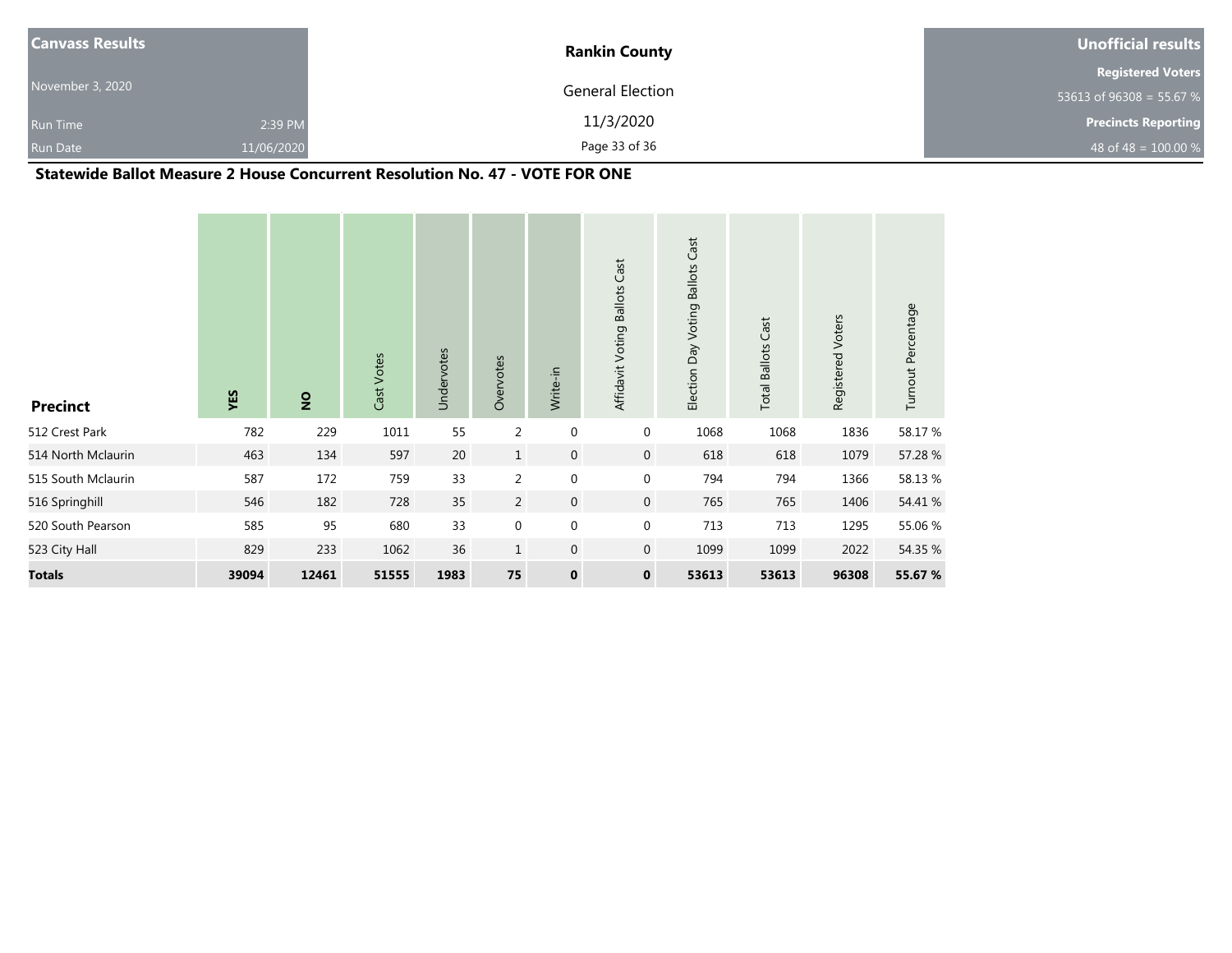| <b>Canvass Results</b> |            | <b>Rankin County</b> | Unofficial results         |
|------------------------|------------|----------------------|----------------------------|
|                        |            |                      | <b>Registered Voters</b>   |
| November 3, 2020       |            | General Election     | 53613 of 96308 = 55.67 %   |
| <b>Run Time</b>        | 2:39 PM    | 11/3/2020            | <b>Precincts Reporting</b> |
| <b>Run Date</b>        | 11/06/2020 | Page 33 of 36        | 48 of 48 = $100.00\%$      |

### **Statewide Ballot Measure 2 House Concurrent Resolution No. 47 - VOTE FOR ONE**

| <b>Precinct</b>    | YES   | $\overline{2}$ | Cast Votes | Undervotes | Overvotes      | Write-in         | Affidavit Voting Ballots Cast | Election Day Voting Ballots Cast | <b>Total Ballots Cast</b> | Registered Voters | Turnout Percentage |
|--------------------|-------|----------------|------------|------------|----------------|------------------|-------------------------------|----------------------------------|---------------------------|-------------------|--------------------|
| 512 Crest Park     | 782   | 229            | 1011       | 55         | $\overline{2}$ | $\mathbf 0$      | $\mathbf 0$                   | 1068                             | 1068                      | 1836              | 58.17 %            |
| 514 North Mclaurin | 463   | 134            | 597        | 20         | $\mathbf{1}$   | $\boldsymbol{0}$ | $\mathbf{0}$                  | 618                              | 618                       | 1079              | 57.28 %            |
| 515 South Mclaurin | 587   | 172            | 759        | 33         | $\overline{2}$ | $\mathbf 0$      | $\mathbf 0$                   | 794                              | 794                       | 1366              | 58.13 %            |
| 516 Springhill     | 546   | 182            | 728        | 35         | $\overline{2}$ | $\mathbf 0$      | $\overline{0}$                | 765                              | 765                       | 1406              | 54.41 %            |
| 520 South Pearson  | 585   | 95             | 680        | 33         | $\mathbf 0$    | $\boldsymbol{0}$ | $\mathbf 0$                   | 713                              | 713                       | 1295              | 55.06 %            |
| 523 City Hall      | 829   | 233            | 1062       | 36         | $\mathbf{1}$   | $\mathbf{0}$     | $\mathbf 0$                   | 1099                             | 1099                      | 2022              | 54.35 %            |
| <b>Totals</b>      | 39094 | 12461          | 51555      | 1983       | 75             | $\pmb{0}$        | $\mathbf 0$                   | 53613                            | 53613                     | 96308             | 55.67 %            |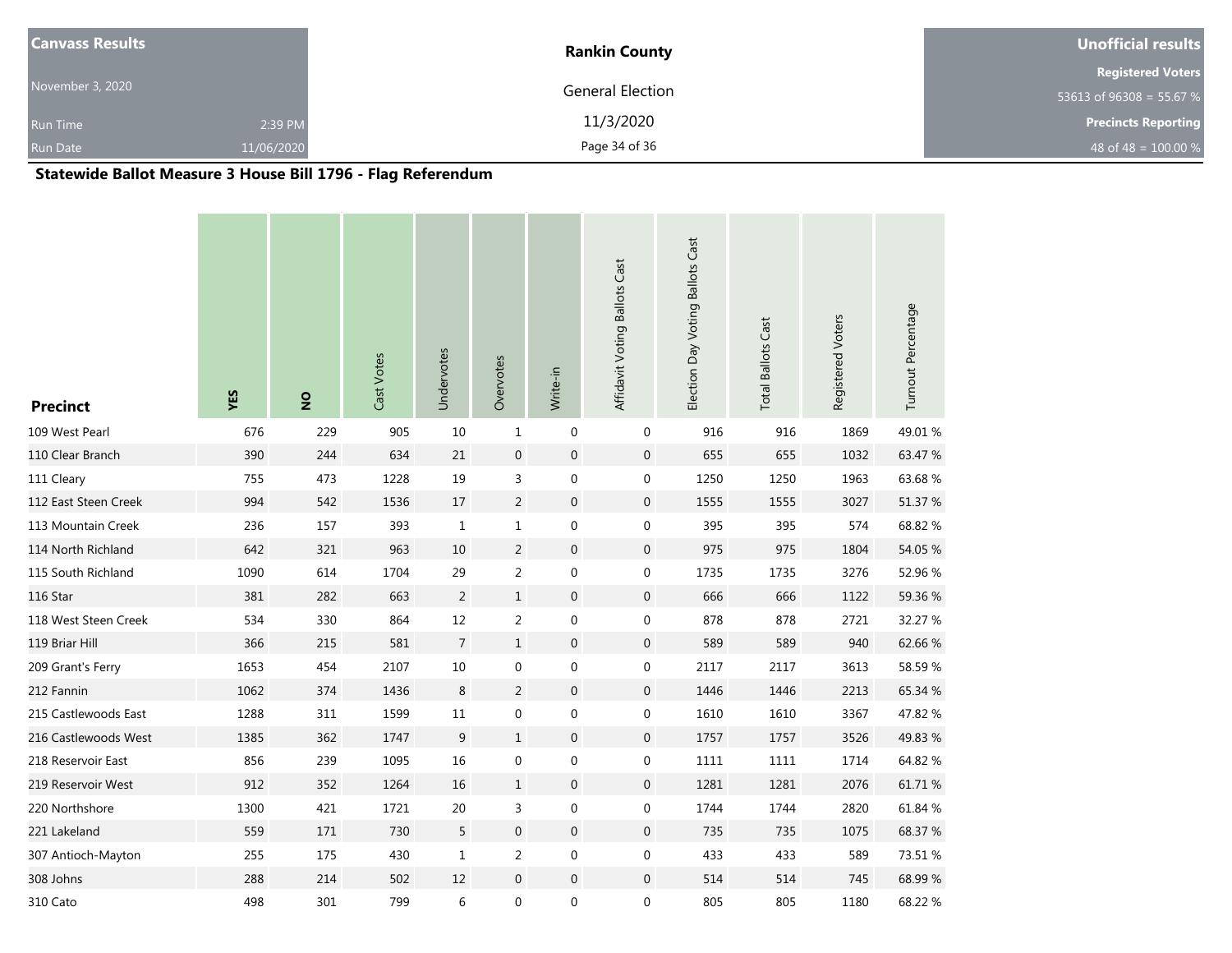| <b>Canvass Results</b> |            | <b>Rankin County</b> | Unofficial results         |
|------------------------|------------|----------------------|----------------------------|
|                        |            |                      | <b>Registered Voters</b>   |
| November 3, 2020       |            | General Election     | 53613 of 96308 = 55.67 %   |
| <b>Run Time</b>        | 2:39 PM    | 11/3/2020            | <b>Precincts Reporting</b> |
| <b>Run Date</b>        | 11/06/2020 | Page 34 of 36        | 48 of 48 = $100.00 %$      |

# **Statewide Ballot Measure 3 House Bill 1796 - Flag Referendum**

| <b>Precinct</b>      | YES  | $\overline{2}$ | Cast Votes | Undervotes     | Overvotes        | Write-in         | Affidavit Voting Ballots Cast | Election Day Voting Ballots Cast | <b>Total Ballots Cast</b> | Registered Voters | Turnout Percentage |
|----------------------|------|----------------|------------|----------------|------------------|------------------|-------------------------------|----------------------------------|---------------------------|-------------------|--------------------|
| 109 West Pearl       | 676  | 229            | 905        | 10             | $\mathbf{1}$     | $\mathbf 0$      | 0                             | 916                              | 916                       | 1869              | 49.01 %            |
| 110 Clear Branch     | 390  | 244            | 634        | 21             | $\boldsymbol{0}$ | $\boldsymbol{0}$ | $\boldsymbol{0}$              | 655                              | 655                       | 1032              | 63.47 %            |
| 111 Cleary           | 755  | 473            | 1228       | 19             | 3                | $\mathbf 0$      | 0                             | 1250                             | 1250                      | 1963              | 63.68%             |
| 112 East Steen Creek | 994  | 542            | 1536       | 17             | $\overline{2}$   | $\boldsymbol{0}$ | $\boldsymbol{0}$              | 1555                             | 1555                      | 3027              | 51.37 %            |
| 113 Mountain Creek   | 236  | 157            | 393        | $\mathbf{1}$   | $\mathbf{1}$     | $\boldsymbol{0}$ | 0                             | 395                              | 395                       | 574               | 68.82 %            |
| 114 North Richland   | 642  | 321            | 963        | 10             | $\overline{2}$   | $\boldsymbol{0}$ | $\boldsymbol{0}$              | 975                              | 975                       | 1804              | 54.05 %            |
| 115 South Richland   | 1090 | 614            | 1704       | 29             | 2                | $\boldsymbol{0}$ | 0                             | 1735                             | 1735                      | 3276              | 52.96 %            |
| 116 Star             | 381  | 282            | 663        | $\overline{2}$ | $\mathbf{1}$     | $\boldsymbol{0}$ | $\boldsymbol{0}$              | 666                              | 666                       | 1122              | 59.36 %            |
| 118 West Steen Creek | 534  | 330            | 864        | $12\,$         | $\overline{2}$   | $\boldsymbol{0}$ | $\boldsymbol{0}$              | 878                              | 878                       | 2721              | 32.27 %            |
| 119 Briar Hill       | 366  | 215            | 581        | $\overline{7}$ | $\mathbf{1}$     | $\,0\,$          | $\boldsymbol{0}$              | 589                              | 589                       | 940               | 62.66%             |
| 209 Grant's Ferry    | 1653 | 454            | 2107       | $10\,$         | $\pmb{0}$        | $\boldsymbol{0}$ | $\boldsymbol{0}$              | 2117                             | 2117                      | 3613              | 58.59%             |
| 212 Fannin           | 1062 | 374            | 1436       | 8              | $\overline{2}$   | $\boldsymbol{0}$ | $\boldsymbol{0}$              | 1446                             | 1446                      | 2213              | 65.34 %            |
| 215 Castlewoods East | 1288 | 311            | 1599       | 11             | $\mathbf 0$      | $\boldsymbol{0}$ | $\boldsymbol{0}$              | 1610                             | 1610                      | 3367              | 47.82 %            |
| 216 Castlewoods West | 1385 | 362            | 1747       | 9              | $\mathbf{1}$     | $\boldsymbol{0}$ | $\boldsymbol{0}$              | 1757                             | 1757                      | 3526              | 49.83 %            |
| 218 Reservoir East   | 856  | 239            | 1095       | 16             | $\mathbf 0$      | $\boldsymbol{0}$ | 0                             | 1111                             | 1111                      | 1714              | 64.82 %            |
| 219 Reservoir West   | 912  | 352            | 1264       | 16             | $\mathbf{1}$     | $\boldsymbol{0}$ | $\boldsymbol{0}$              | 1281                             | 1281                      | 2076              | 61.71%             |
| 220 Northshore       | 1300 | 421            | 1721       | 20             | 3                | $\boldsymbol{0}$ | $\boldsymbol{0}$              | 1744                             | 1744                      | 2820              | 61.84 %            |
| 221 Lakeland         | 559  | 171            | 730        | 5              | $\boldsymbol{0}$ | $\boldsymbol{0}$ | $\mathbf 0$                   | 735                              | 735                       | 1075              | 68.37 %            |
| 307 Antioch-Mayton   | 255  | 175            | 430        | $\mathbf{1}$   | $\overline{2}$   | $\boldsymbol{0}$ | $\boldsymbol{0}$              | 433                              | 433                       | 589               | 73.51 %            |
| 308 Johns            | 288  | 214            | 502        | 12             | $\boldsymbol{0}$ | $\boldsymbol{0}$ | $\boldsymbol{0}$              | 514                              | 514                       | 745               | 68.99%             |
| 310 Cato             | 498  | 301            | 799        | 6              | 0                | $\boldsymbol{0}$ | $\boldsymbol{0}$              | 805                              | 805                       | 1180              | 68.22 %            |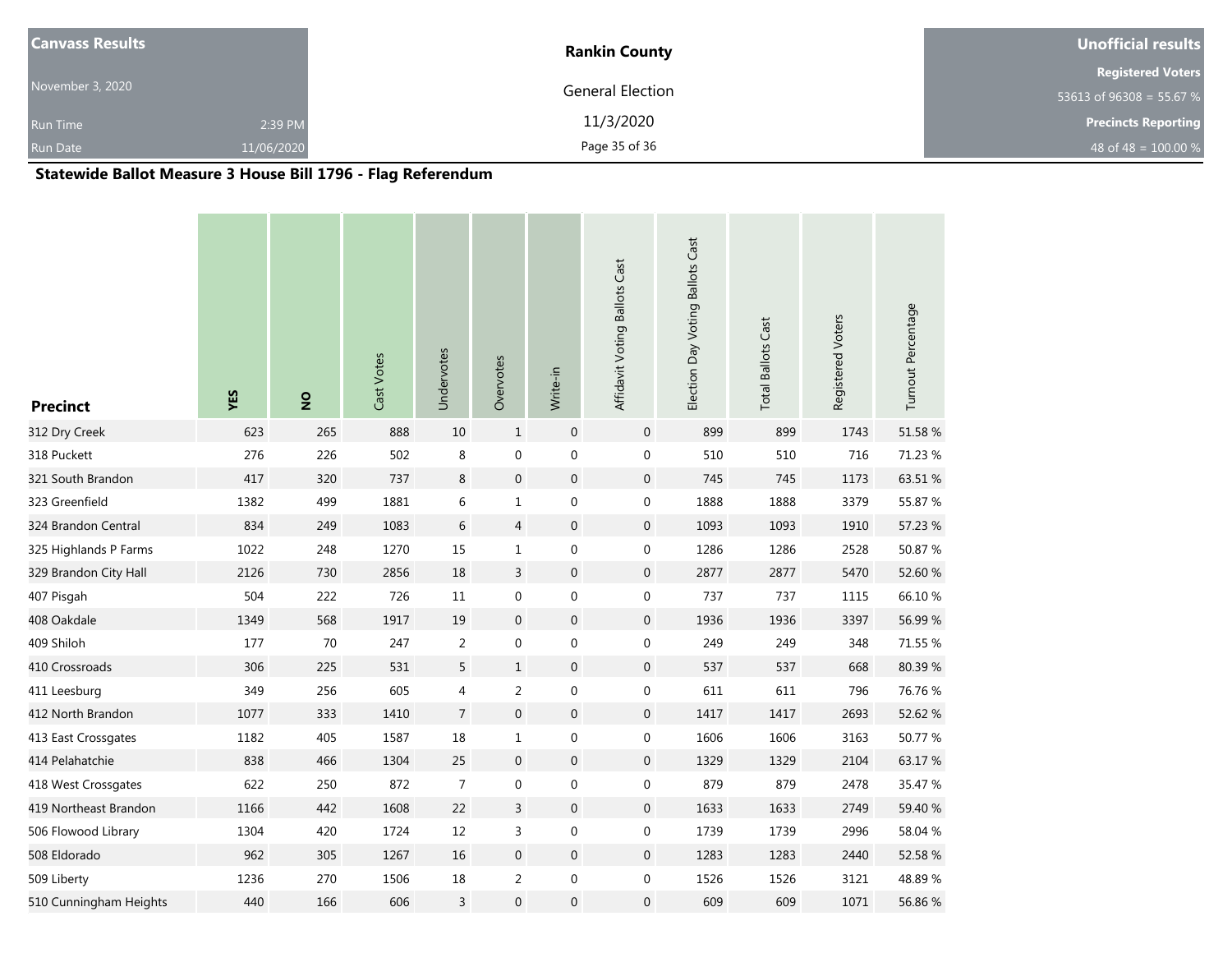| <b>Canvass Results</b> |            | <b>Rankin County</b> | Unofficial results         |
|------------------------|------------|----------------------|----------------------------|
|                        |            |                      | <b>Registered Voters</b>   |
| November 3, 2020       |            | General Election     | 53613 of 96308 = 55.67 %   |
| <b>Run Time</b>        | 2:39 PM    | 11/3/2020            | <b>Precincts Reporting</b> |
| <b>Run Date</b>        | 11/06/2020 | Page 35 of 36        | 48 of 48 = $100.00 %$      |

# **Statewide Ballot Measure 3 House Bill 1796 - Flag Referendum**

| <b>Precinct</b>        | YES  | $\overline{2}$ | Cast Votes | Undervotes     | Overvotes        | Write-in         | Affidavit Voting Ballots Cast | Election Day Voting Ballots Cast | <b>Total Ballots Cast</b> | Registered Voters | Turnout Percentage |
|------------------------|------|----------------|------------|----------------|------------------|------------------|-------------------------------|----------------------------------|---------------------------|-------------------|--------------------|
| 312 Dry Creek          | 623  | 265            | 888        | 10             | $\mathbf{1}$     | $\mathbf 0$      | $\mathbf 0$                   | 899                              | 899                       | 1743              | 51.58 %            |
| 318 Puckett            | 276  | 226            | 502        | $\,8\,$        | $\boldsymbol{0}$ | $\boldsymbol{0}$ | 0                             | 510                              | 510                       | 716               | 71.23 %            |
| 321 South Brandon      | 417  | 320            | 737        | $\,8\,$        | $\mathbf 0$      | $\mathbf 0$      | $\boldsymbol{0}$              | 745                              | 745                       | 1173              | 63.51 %            |
| 323 Greenfield         | 1382 | 499            | 1881       | $\,6\,$        | $1\,$            | $\boldsymbol{0}$ | $\boldsymbol{0}$              | 1888                             | 1888                      | 3379              | 55.87 %            |
| 324 Brandon Central    | 834  | 249            | 1083       | $6\,$          | $\overline{4}$   | $\mathbf 0$      | $\boldsymbol{0}$              | 1093                             | 1093                      | 1910              | 57.23 %            |
| 325 Highlands P Farms  | 1022 | 248            | 1270       | 15             | $\mathbf{1}$     | $\boldsymbol{0}$ | $\boldsymbol{0}$              | 1286                             | 1286                      | 2528              | 50.87 %            |
| 329 Brandon City Hall  | 2126 | 730            | 2856       | 18             | $\overline{3}$   | $\mathbf 0$      | $\boldsymbol{0}$              | 2877                             | 2877                      | 5470              | 52.60 %            |
| 407 Pisgah             | 504  | 222            | 726        | 11             | $\boldsymbol{0}$ | $\boldsymbol{0}$ | 0                             | 737                              | 737                       | 1115              | 66.10%             |
| 408 Oakdale            | 1349 | 568            | 1917       | 19             | $\overline{0}$   | $\mathbf 0$      | $\boldsymbol{0}$              | 1936                             | 1936                      | 3397              | 56.99 %            |
| 409 Shiloh             | 177  | 70             | 247        | $\overline{2}$ | 0                | $\boldsymbol{0}$ | 0                             | 249                              | 249                       | 348               | 71.55 %            |
| 410 Crossroads         | 306  | 225            | 531        | 5              | $\mathbf{1}$     | $\mathbf 0$      | $\mathbf 0$                   | 537                              | 537                       | 668               | 80.39%             |
| 411 Leesburg           | 349  | 256            | 605        | $\overline{4}$ | $\overline{2}$   | $\boldsymbol{0}$ | 0                             | 611                              | 611                       | 796               | 76.76 %            |
| 412 North Brandon      | 1077 | 333            | 1410       | $\overline{7}$ | $\overline{0}$   | $\mathbf 0$      | $\boldsymbol{0}$              | 1417                             | 1417                      | 2693              | 52.62 %            |
| 413 East Crossgates    | 1182 | 405            | 1587       | 18             | $\mathbf{1}$     | $\boldsymbol{0}$ | 0                             | 1606                             | 1606                      | 3163              | 50.77 %            |
| 414 Pelahatchie        | 838  | 466            | 1304       | 25             | $\mathbf 0$      | $\boldsymbol{0}$ | $\boldsymbol{0}$              | 1329                             | 1329                      | 2104              | 63.17%             |
| 418 West Crossgates    | 622  | 250            | 872        | $\overline{7}$ | 0                | $\boldsymbol{0}$ | $\boldsymbol{0}$              | 879                              | 879                       | 2478              | 35.47 %            |
| 419 Northeast Brandon  | 1166 | 442            | 1608       | 22             | $\overline{3}$   | $\boldsymbol{0}$ | $\boldsymbol{0}$              | 1633                             | 1633                      | 2749              | 59.40 %            |
| 506 Flowood Library    | 1304 | 420            | 1724       | 12             | 3                | $\pmb{0}$        | 0                             | 1739                             | 1739                      | 2996              | 58.04 %            |
| 508 Eldorado           | 962  | 305            | 1267       | 16             | $\overline{0}$   | $\mathbf 0$      | $\boldsymbol{0}$              | 1283                             | 1283                      | 2440              | 52.58 %            |
| 509 Liberty            | 1236 | 270            | 1506       | 18             | 2                | $\pmb{0}$        | 0                             | 1526                             | 1526                      | 3121              | 48.89%             |
| 510 Cunningham Heights | 440  | 166            | 606        | $\overline{3}$ | $\mathbf 0$      | $\boldsymbol{0}$ | $\boldsymbol{0}$              | 609                              | 609                       | 1071              | 56.86 %            |